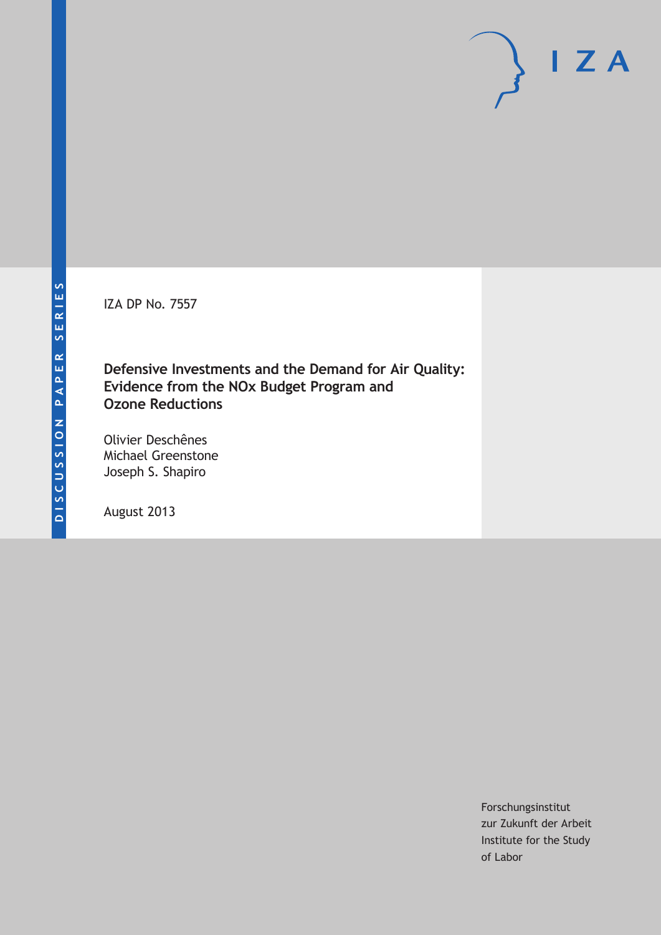IZA DP No. 7557

**Defensive Investments and the Demand for Air Quality: Evidence from the NOx Budget Program and Ozone Reductions**

Olivier Deschênes Michael Greenstone Joseph S. Shapiro

August 2013

Forschungsinstitut zur Zukunft der Arbeit Institute for the Study of Labor

 $I Z A$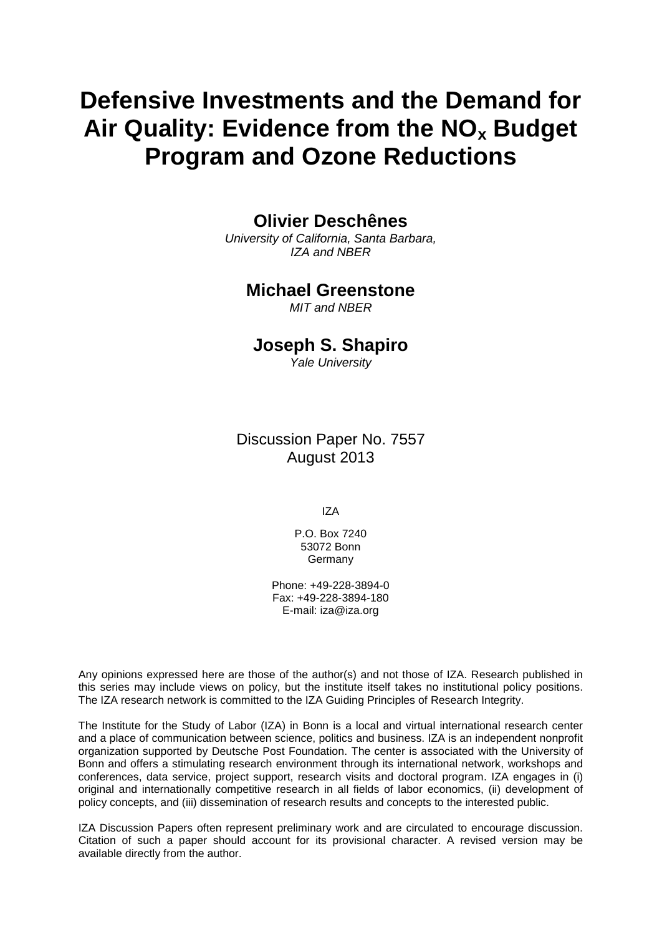# **Defensive Investments and the Demand for Air Quality: Evidence from the NOx Budget Program and Ozone Reductions**

# **Olivier Deschênes**

*University of California, Santa Barbara, IZA and NBER*

### **Michael Greenstone**

*MIT and NBER*

# **Joseph S. Shapiro**

*Yale University*

Discussion Paper No. 7557 August 2013

IZA

P.O. Box 7240 53072 Bonn **Germany** 

Phone: +49-228-3894-0 Fax: +49-228-3894-180 E-mail: [iza@iza.org](mailto:iza@iza.org)

Any opinions expressed here are those of the author(s) and not those of IZA. Research published in this series may include views on policy, but the institute itself takes no institutional policy positions. The IZA research network is committed to the IZA Guiding Principles of Research Integrity.

The Institute for the Study of Labor (IZA) in Bonn is a local and virtual international research center and a place of communication between science, politics and business. IZA is an independent nonprofit organization supported by Deutsche Post Foundation. The center is associated with the University of Bonn and offers a stimulating research environment through its international network, workshops and conferences, data service, project support, research visits and doctoral program. IZA engages in (i) original and internationally competitive research in all fields of labor economics, (ii) development of policy concepts, and (iii) dissemination of research results and concepts to the interested public.

<span id="page-1-0"></span>IZA Discussion Papers often represent preliminary work and are circulated to encourage discussion. Citation of such a paper should account for its provisional character. A revised version may be available directly from the author.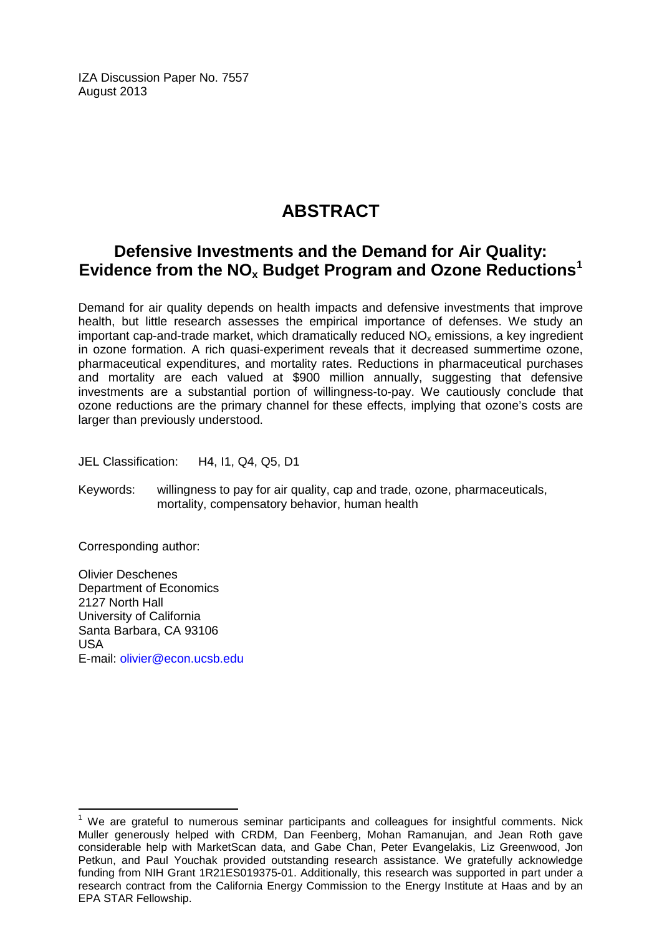IZA Discussion Paper No. 7557 August 2013

# **ABSTRACT**

# **Defensive Investments and the Demand for Air Quality: Evidence from the NOx Budget Program and Ozone Reductions[1](#page-1-0)**

Demand for air quality depends on health impacts and defensive investments that improve health, but little research assesses the empirical importance of defenses. We study an important cap-and-trade market, which dramatically reduced  $NO<sub>x</sub>$  emissions, a key ingredient in ozone formation. A rich quasi-experiment reveals that it decreased summertime ozone, pharmaceutical expenditures, and mortality rates. Reductions in pharmaceutical purchases and mortality are each valued at \$900 million annually, suggesting that defensive investments are a substantial portion of willingness-to-pay. We cautiously conclude that ozone reductions are the primary channel for these effects, implying that ozone's costs are larger than previously understood.

JEL Classification: H4, I1, Q4, Q5, D1

Keywords: willingness to pay for air quality, cap and trade, ozone, pharmaceuticals, mortality, compensatory behavior, human health

Corresponding author:

Olivier Deschenes Department of Economics 2127 North Hall University of California Santa Barbara, CA 93106 USA E-mail: [olivier@econ.ucsb.edu](mailto:olivier@econ.ucsb.edu)

 $<sup>1</sup>$  We are grateful to numerous seminar participants and colleagues for insightful comments. Nick</sup> Muller generously helped with CRDM, Dan Feenberg, Mohan Ramanujan, and Jean Roth gave considerable help with MarketScan data, and Gabe Chan, Peter Evangelakis, Liz Greenwood, Jon Petkun, and Paul Youchak provided outstanding research assistance. We gratefully acknowledge funding from NIH Grant 1R21ES019375-01. Additionally, this research was supported in part under a research contract from the California Energy Commission to the Energy Institute at Haas and by an EPA STAR Fellowship.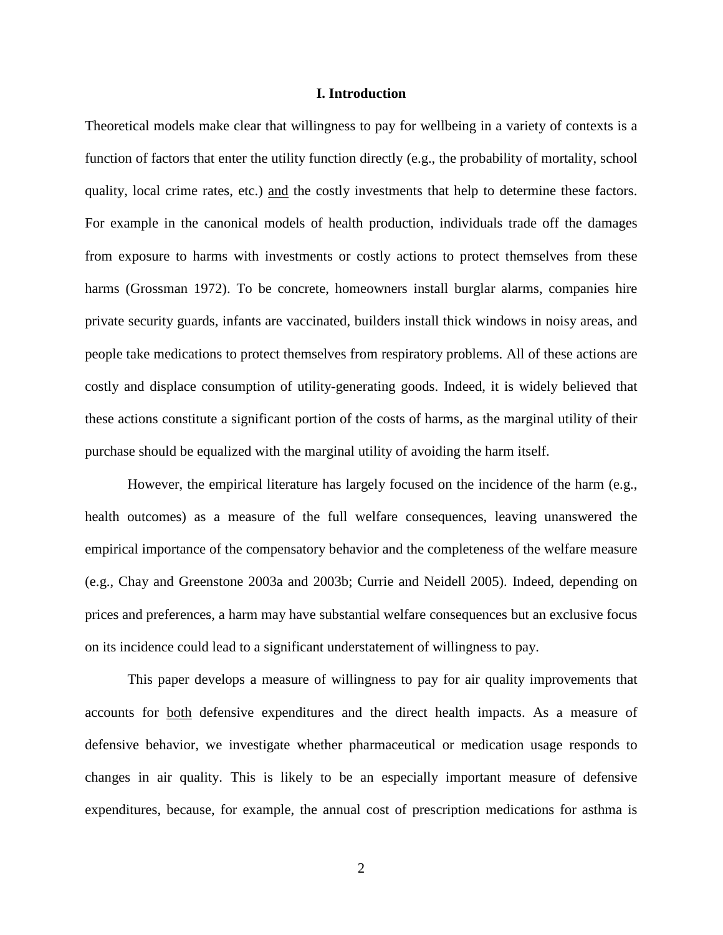#### **I. Introduction**

Theoretical models make clear that willingness to pay for wellbeing in a variety of contexts is a function of factors that enter the utility function directly (e.g., the probability of mortality, school quality, local crime rates, etc.) and the costly investments that help to determine these factors. For example in the canonical models of health production, individuals trade off the damages from exposure to harms with investments or costly actions to protect themselves from these harms (Grossman 1972). To be concrete, homeowners install burglar alarms, companies hire private security guards, infants are vaccinated, builders install thick windows in noisy areas, and people take medications to protect themselves from respiratory problems. All of these actions are costly and displace consumption of utility-generating goods. Indeed, it is widely believed that these actions constitute a significant portion of the costs of harms, as the marginal utility of their purchase should be equalized with the marginal utility of avoiding the harm itself.

However, the empirical literature has largely focused on the incidence of the harm (e.g., health outcomes) as a measure of the full welfare consequences, leaving unanswered the empirical importance of the compensatory behavior and the completeness of the welfare measure (e.g., Chay and Greenstone 2003a and 2003b; Currie and Neidell 2005). Indeed, depending on prices and preferences, a harm may have substantial welfare consequences but an exclusive focus on its incidence could lead to a significant understatement of willingness to pay.

This paper develops a measure of willingness to pay for air quality improvements that accounts for both defensive expenditures and the direct health impacts. As a measure of defensive behavior, we investigate whether pharmaceutical or medication usage responds to changes in air quality. This is likely to be an especially important measure of defensive expenditures, because, for example, the annual cost of prescription medications for asthma is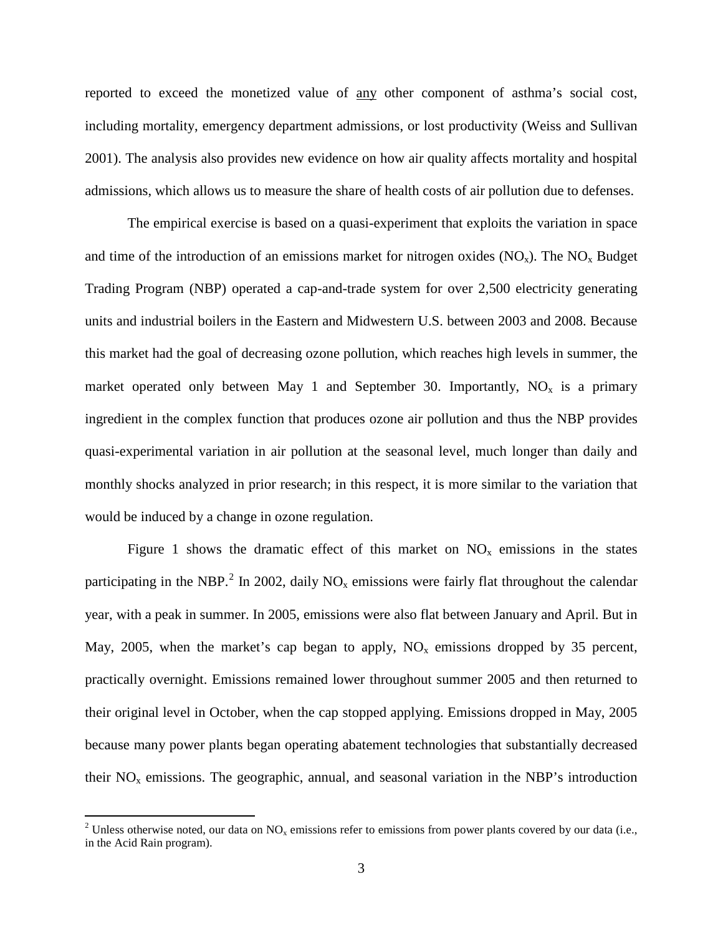reported to exceed the monetized value of any other component of asthma's social cost, including mortality, emergency department admissions, or lost productivity (Weiss and Sullivan 2001). The analysis also provides new evidence on how air quality affects mortality and hospital admissions, which allows us to measure the share of health costs of air pollution due to defenses.

The empirical exercise is based on a quasi-experiment that exploits the variation in space and time of the introduction of an emissions market for nitrogen oxides  $(NO_x)$ . The  $NO_x$  Budget Trading Program (NBP) operated a cap-and-trade system for over 2,500 electricity generating units and industrial boilers in the Eastern and Midwestern U.S. between 2003 and 2008. Because this market had the goal of decreasing ozone pollution, which reaches high levels in summer, the market operated only between May 1 and September 30. Importantly,  $NO_x$  is a primary ingredient in the complex function that produces ozone air pollution and thus the NBP provides quasi-experimental variation in air pollution at the seasonal level, much longer than daily and monthly shocks analyzed in prior research; in this respect, it is more similar to the variation that would be induced by a change in ozone regulation.

Figure 1 shows the dramatic effect of this market on  $NO<sub>x</sub>$  emissions in the states participating in the NBP.<sup>[2](#page-4-0)</sup> In 2002, daily NO<sub>x</sub> emissions were fairly flat throughout the calendar year, with a peak in summer. In 2005, emissions were also flat between January and April. But in May, 2005, when the market's cap began to apply,  $NO<sub>x</sub>$  emissions dropped by 35 percent, practically overnight. Emissions remained lower throughout summer 2005 and then returned to their original level in October, when the cap stopped applying. Emissions dropped in May, 2005 because many power plants began operating abatement technologies that substantially decreased their  $NO<sub>x</sub>$  emissions. The geographic, annual, and seasonal variation in the NBP's introduction

<span id="page-4-0"></span><sup>&</sup>lt;sup>2</sup> Unless otherwise noted, our data on NO<sub>x</sub> emissions refer to emissions from power plants covered by our data (i.e., in the Acid Rain program).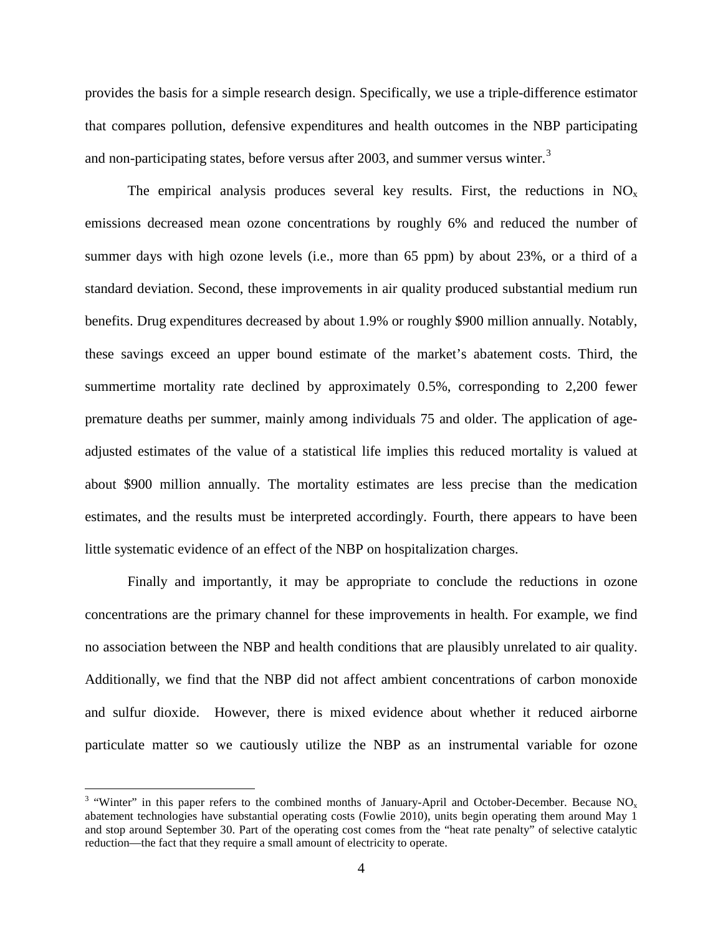provides the basis for a simple research design. Specifically, we use a triple-difference estimator that compares pollution, defensive expenditures and health outcomes in the NBP participating and non-participating states, before versus after 200[3](#page-5-0), and summer versus winter.<sup>3</sup>

The empirical analysis produces several key results. First, the reductions in  $NO_x$ emissions decreased mean ozone concentrations by roughly 6% and reduced the number of summer days with high ozone levels (i.e., more than 65 ppm) by about 23%, or a third of a standard deviation. Second, these improvements in air quality produced substantial medium run benefits. Drug expenditures decreased by about 1.9% or roughly \$900 million annually. Notably, these savings exceed an upper bound estimate of the market's abatement costs. Third, the summertime mortality rate declined by approximately 0.5%, corresponding to 2,200 fewer premature deaths per summer, mainly among individuals 75 and older. The application of ageadjusted estimates of the value of a statistical life implies this reduced mortality is valued at about \$900 million annually. The mortality estimates are less precise than the medication estimates, and the results must be interpreted accordingly. Fourth, there appears to have been little systematic evidence of an effect of the NBP on hospitalization charges.

Finally and importantly, it may be appropriate to conclude the reductions in ozone concentrations are the primary channel for these improvements in health. For example, we find no association between the NBP and health conditions that are plausibly unrelated to air quality. Additionally, we find that the NBP did not affect ambient concentrations of carbon monoxide and sulfur dioxide. However, there is mixed evidence about whether it reduced airborne particulate matter so we cautiously utilize the NBP as an instrumental variable for ozone

<span id="page-5-0"></span><sup>&</sup>lt;sup>3</sup> "Winter" in this paper refers to the combined months of January-April and October-December. Because NO<sub>x</sub> abatement technologies have substantial operating costs (Fowlie 2010), units begin operating them around May 1 and stop around September 30. Part of the operating cost comes from the "heat rate penalty" of selective catalytic reduction—the fact that they require a small amount of electricity to operate.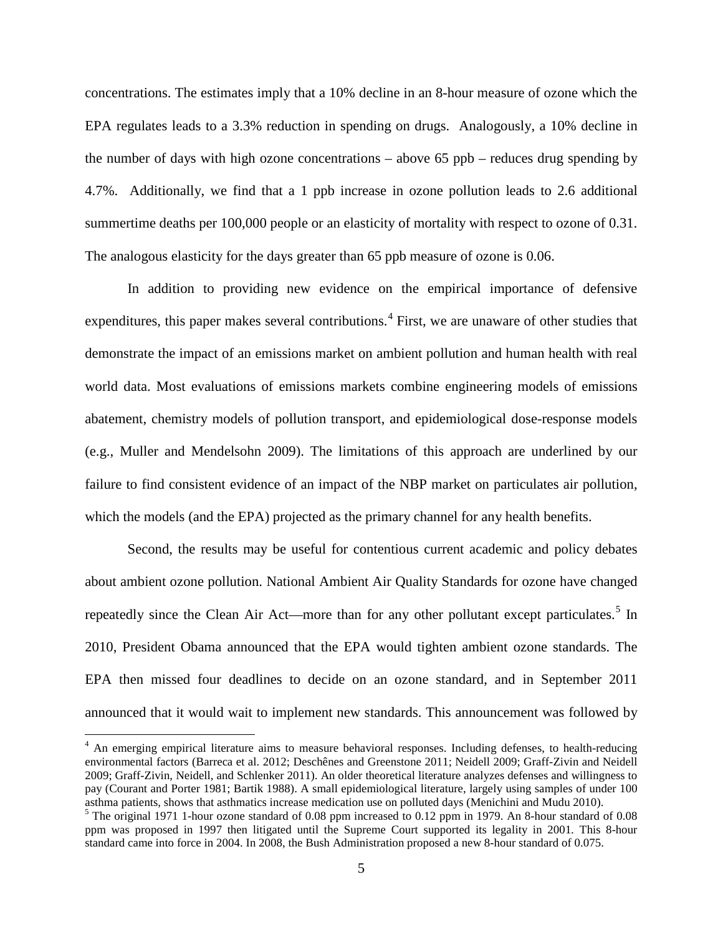concentrations. The estimates imply that a 10% decline in an 8-hour measure of ozone which the EPA regulates leads to a 3.3% reduction in spending on drugs. Analogously, a 10% decline in the number of days with high ozone concentrations – above 65 ppb – reduces drug spending by 4.7%. Additionally, we find that a 1 ppb increase in ozone pollution leads to 2.6 additional summertime deaths per 100,000 people or an elasticity of mortality with respect to ozone of 0.31. The analogous elasticity for the days greater than 65 ppb measure of ozone is 0.06.

In addition to providing new evidence on the empirical importance of defensive expenditures, this paper makes several contributions.<sup>[4](#page-6-0)</sup> First, we are unaware of other studies that demonstrate the impact of an emissions market on ambient pollution and human health with real world data. Most evaluations of emissions markets combine engineering models of emissions abatement, chemistry models of pollution transport, and epidemiological dose-response models (e.g., Muller and Mendelsohn 2009). The limitations of this approach are underlined by our failure to find consistent evidence of an impact of the NBP market on particulates air pollution, which the models (and the EPA) projected as the primary channel for any health benefits.

Second, the results may be useful for contentious current academic and policy debates about ambient ozone pollution. National Ambient Air Quality Standards for ozone have changed repeatedly since the Clean Air Act—more than for any other pollutant except particulates.<sup>[5](#page-6-1)</sup> In 2010, President Obama announced that the EPA would tighten ambient ozone standards. The EPA then missed four deadlines to decide on an ozone standard, and in September 2011 announced that it would wait to implement new standards. This announcement was followed by

<span id="page-6-0"></span><sup>&</sup>lt;sup>4</sup> An emerging empirical literature aims to measure behavioral responses. Including defenses, to health-reducing environmental factors (Barreca et al. 2012; Deschênes and Greenstone 2011; Neidell 2009; Graff-Zivin and Neidell 2009; Graff-Zivin, Neidell, and Schlenker 2011). An older theoretical literature analyzes defenses and willingness to pay (Courant and Porter 1981; Bartik 1988). A small epidemiological literature, largely using samples of under 100 asthma patients, shows that asthmatics increase medication use on polluted days (Menichini and Mudu 2010).

<span id="page-6-1"></span> $<sup>5</sup>$  The original 1971 1-hour ozone standard of 0.08 ppm increased to 0.12 ppm in 1979. An 8-hour standard of 0.08</sup> ppm was proposed in 1997 then litigated until the Supreme Court supported its legality in 2001*.* This 8-hour standard came into force in 2004. In 2008, the Bush Administration proposed a new 8-hour standard of 0.075.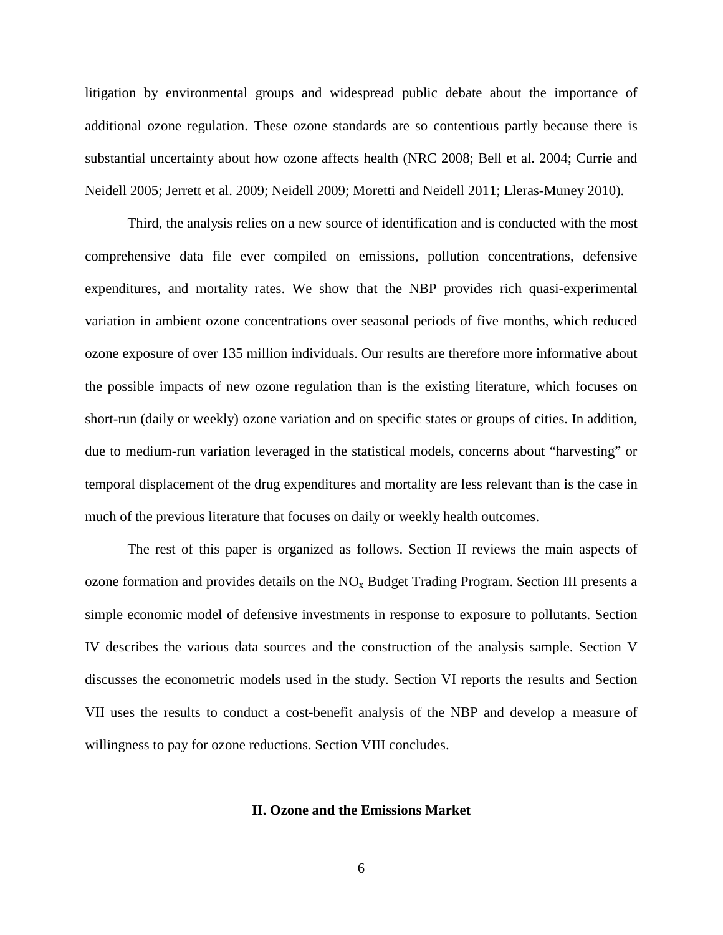litigation by environmental groups and widespread public debate about the importance of additional ozone regulation. These ozone standards are so contentious partly because there is substantial uncertainty about how ozone affects health (NRC 2008; Bell et al. 2004; Currie and Neidell 2005; Jerrett et al. 2009; Neidell 2009; Moretti and Neidell 2011; Lleras-Muney 2010).

Third, the analysis relies on a new source of identification and is conducted with the most comprehensive data file ever compiled on emissions, pollution concentrations, defensive expenditures, and mortality rates. We show that the NBP provides rich quasi-experimental variation in ambient ozone concentrations over seasonal periods of five months, which reduced ozone exposure of over 135 million individuals. Our results are therefore more informative about the possible impacts of new ozone regulation than is the existing literature, which focuses on short-run (daily or weekly) ozone variation and on specific states or groups of cities. In addition, due to medium-run variation leveraged in the statistical models, concerns about "harvesting" or temporal displacement of the drug expenditures and mortality are less relevant than is the case in much of the previous literature that focuses on daily or weekly health outcomes.

The rest of this paper is organized as follows. Section II reviews the main aspects of ozone formation and provides details on the  $NO<sub>x</sub>$  Budget Trading Program. Section III presents a simple economic model of defensive investments in response to exposure to pollutants. Section IV describes the various data sources and the construction of the analysis sample. Section V discusses the econometric models used in the study. Section VI reports the results and Section VII uses the results to conduct a cost-benefit analysis of the NBP and develop a measure of willingness to pay for ozone reductions. Section VIII concludes.

#### **II. Ozone and the Emissions Market**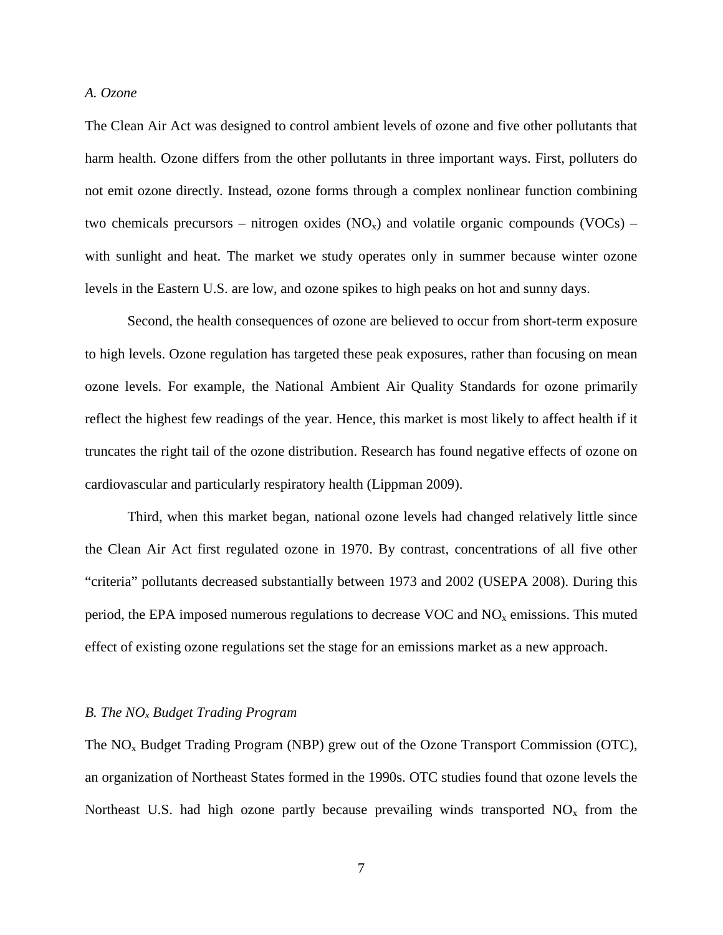#### *A. Ozone*

The Clean Air Act was designed to control ambient levels of ozone and five other pollutants that harm health. Ozone differs from the other pollutants in three important ways. First, polluters do not emit ozone directly. Instead, ozone forms through a complex nonlinear function combining two chemicals precursors – nitrogen oxides  $(NO<sub>x</sub>)$  and volatile organic compounds  $(VOCs)$  – with sunlight and heat. The market we study operates only in summer because winter ozone levels in the Eastern U.S. are low, and ozone spikes to high peaks on hot and sunny days.

Second, the health consequences of ozone are believed to occur from short-term exposure to high levels. Ozone regulation has targeted these peak exposures, rather than focusing on mean ozone levels. For example, the National Ambient Air Quality Standards for ozone primarily reflect the highest few readings of the year. Hence, this market is most likely to affect health if it truncates the right tail of the ozone distribution. Research has found negative effects of ozone on cardiovascular and particularly respiratory health (Lippman 2009).

Third, when this market began, national ozone levels had changed relatively little since the Clean Air Act first regulated ozone in 1970. By contrast, concentrations of all five other "criteria" pollutants decreased substantially between 1973 and 2002 (USEPA 2008). During this period, the EPA imposed numerous regulations to decrease VOC and  $NO<sub>x</sub>$  emissions. This muted effect of existing ozone regulations set the stage for an emissions market as a new approach.

#### *B. The NOx Budget Trading Program*

The  $NO<sub>x</sub>$  Budget Trading Program (NBP) grew out of the Ozone Transport Commission (OTC), an organization of Northeast States formed in the 1990s. OTC studies found that ozone levels the Northeast U.S. had high ozone partly because prevailing winds transported  $NO<sub>x</sub>$  from the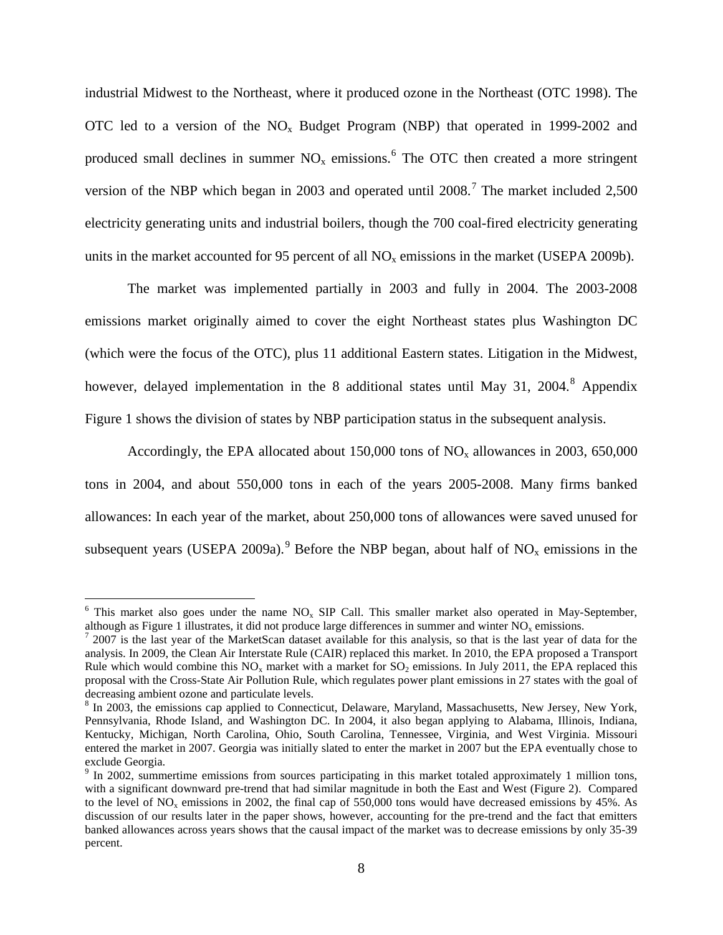industrial Midwest to the Northeast, where it produced ozone in the Northeast (OTC 1998). The OTC led to a version of the  $NO<sub>x</sub>$  Budget Program (NBP) that operated in 1999-2002 and produced small declines in summer  $NO<sub>x</sub>$  emissions.<sup>[6](#page-9-0)</sup> The OTC then created a more stringent version of the NBP which began in 2003 and operated until  $2008$ .<sup>[7](#page-9-1)</sup> The market included 2,500 electricity generating units and industrial boilers, though the 700 coal-fired electricity generating units in the market accounted for 95 percent of all  $NO<sub>x</sub>$  emissions in the market (USEPA 2009b).

The market was implemented partially in 2003 and fully in 2004. The 2003-2008 emissions market originally aimed to cover the eight Northeast states plus Washington DC (which were the focus of the OTC), plus 11 additional Eastern states. Litigation in the Midwest, however, delayed implementation in the [8](#page-9-2) additional states until May 31, 2004.<sup>8</sup> Appendix Figure 1 shows the division of states by NBP participation status in the subsequent analysis.

Accordingly, the EPA allocated about  $150,000$  tons of NO<sub>x</sub> allowances in 2003, 650,000 tons in 2004, and about 550,000 tons in each of the years 2005-2008. Many firms banked allowances: In each year of the market, about 250,000 tons of allowances were saved unused for subsequent years (USEPA 200[9](#page-9-3)a).<sup>9</sup> Before the NBP began, about half of  $NO<sub>x</sub>$  emissions in the

<span id="page-9-0"></span> $6$  This market also goes under the name NO<sub>x</sub> SIP Call. This smaller market also operated in May-September, although as Figure 1 illustrates, it did not produce large differences in summer and winter  $NO<sub>x</sub>$  emissions.

<span id="page-9-1"></span> $\frac{7}{2007}$  is the last year of the MarketScan dataset available for this analysis, so that is the last year of data for the analysis. In 2009, the Clean Air Interstate Rule (CAIR) replaced this market. In 2010, the EPA proposed a Transport Rule which would combine this  $NO<sub>x</sub>$  market with a market for  $SO<sub>2</sub>$  emissions. In July 2011, the EPA replaced this proposal with the Cross-State Air Pollution Rule, which regulates power plant emissions in 27 states with the goal of decreasing ambient ozone and particulate levels.

<span id="page-9-2"></span><sup>&</sup>lt;sup>8</sup> In 2003, the emissions cap applied to Connecticut, Delaware, Maryland, Massachusetts, New Jersey, New York, Pennsylvania, Rhode Island, and Washington DC. In 2004, it also began applying to Alabama, Illinois, Indiana, Kentucky, Michigan, North Carolina, Ohio, South Carolina, Tennessee, Virginia, and West Virginia. Missouri entered the market in 2007. Georgia was initially slated to enter the market in 2007 but the EPA eventually chose to exclude Georgia.

<span id="page-9-3"></span><sup>&</sup>lt;sup>9</sup> In 2002, summertime emissions from sources participating in this market totaled approximately 1 million tons, with a significant downward pre-trend that had similar magnitude in both the East and West (Figure 2). Compared to the level of  $NO<sub>x</sub>$  emissions in 2002, the final cap of 550,000 tons would have decreased emissions by 45%. As discussion of our results later in the paper shows, however, accounting for the pre-trend and the fact that emitters banked allowances across years shows that the causal impact of the market was to decrease emissions by only 35-39 percent.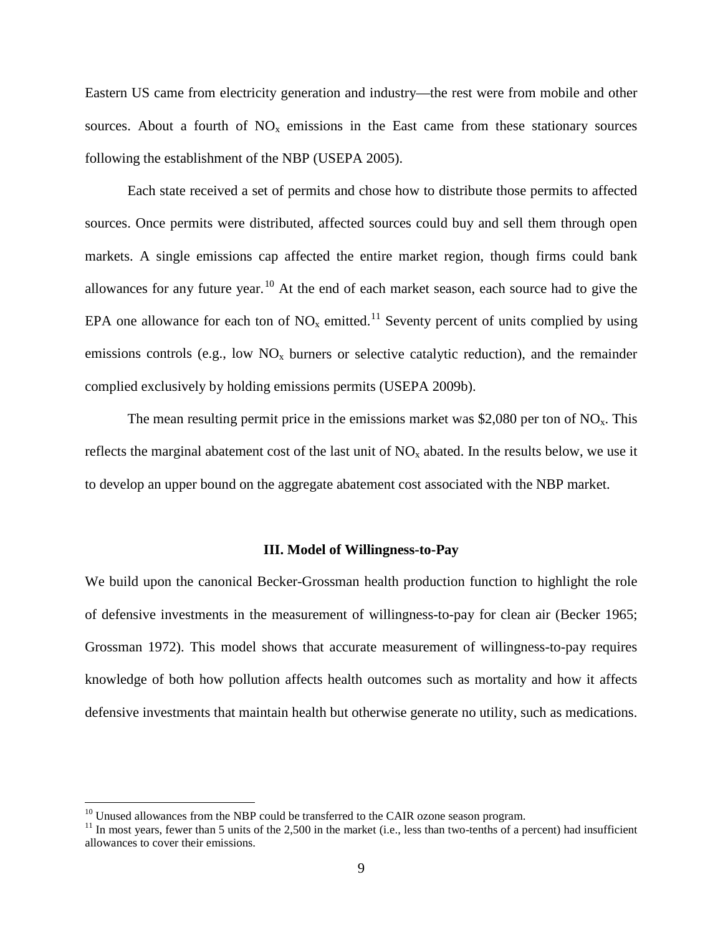Eastern US came from electricity generation and industry—the rest were from mobile and other sources. About a fourth of  $NO<sub>x</sub>$  emissions in the East came from these stationary sources following the establishment of the NBP (USEPA 2005).

Each state received a set of permits and chose how to distribute those permits to affected sources. Once permits were distributed, affected sources could buy and sell them through open markets. A single emissions cap affected the entire market region, though firms could bank allowances for any future year.<sup>[10](#page-10-0)</sup> At the end of each market season, each source had to give the EPA one allowance for each ton of  $NO_x$  emitted.<sup>[11](#page-10-1)</sup> Seventy percent of units complied by using emissions controls (e.g., low  $NO_x$  burners or selective catalytic reduction), and the remainder complied exclusively by holding emissions permits (USEPA 2009b).

The mean resulting permit price in the emissions market was \$2,080 per ton of  $NO<sub>x</sub>$ . This reflects the marginal abatement cost of the last unit of  $NO<sub>x</sub>$  abated. In the results below, we use it to develop an upper bound on the aggregate abatement cost associated with the NBP market.

#### **III. Model of Willingness-to-Pay**

We build upon the canonical Becker-Grossman health production function to highlight the role of defensive investments in the measurement of willingness-to-pay for clean air (Becker 1965; Grossman 1972). This model shows that accurate measurement of willingness-to-pay requires knowledge of both how pollution affects health outcomes such as mortality and how it affects defensive investments that maintain health but otherwise generate no utility, such as medications.

<span id="page-10-1"></span><span id="page-10-0"></span><sup>&</sup>lt;sup>10</sup> Unused allowances from the NBP could be transferred to the CAIR ozone season program.<br><sup>11</sup> In most years, fewer than 5 units of the 2,500 in the market (i.e., less than two-tenths of a percent) had insufficient allowances to cover their emissions.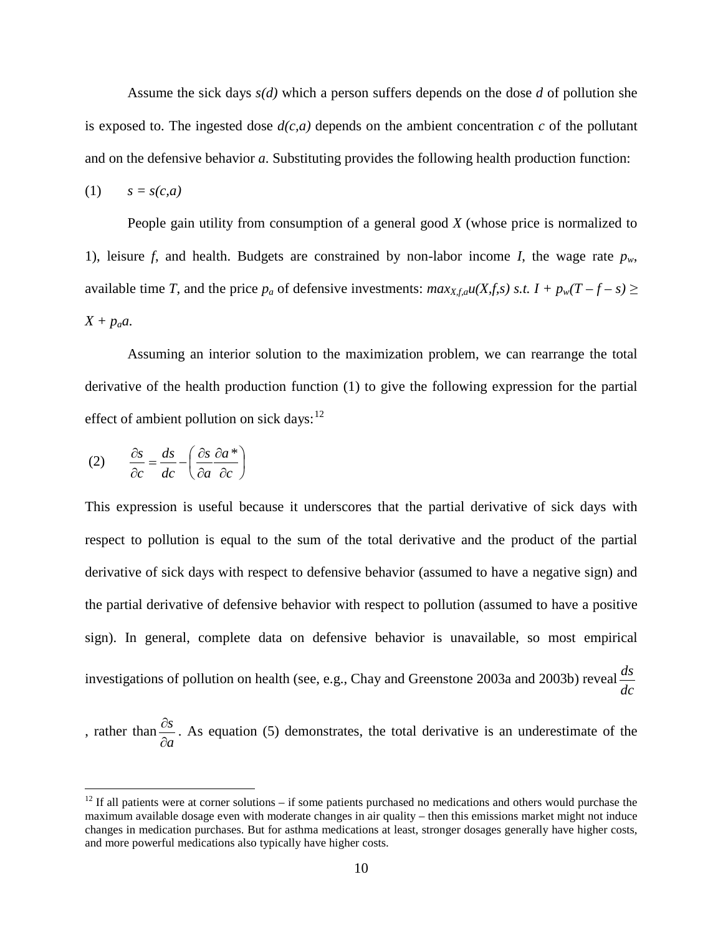Assume the sick days *s(d)* which a person suffers depends on the dose *d* of pollution she is exposed to. The ingested dose  $d(c, a)$  depends on the ambient concentration  $c$  of the pollutant and on the defensive behavior *a*. Substituting provides the following health production function:

$$
(1) \qquad s = s(c,a)
$$

People gain utility from consumption of a general good *X* (whose price is normalized to 1), leisure *f*, and health. Budgets are constrained by non-labor income *I*, the wage rate  $p_w$ , available time *T*, and the price  $p_a$  of defensive investments:  $max_{X,f,a}u(X,f,s)$  *s.t.*  $I + p_w(T - f - s) \ge$  $X + p_a a$ .

Assuming an interior solution to the maximization problem, we can rearrange the total derivative of the health production function (1) to give the following expression for the partial effect of ambient pollution on sick days:<sup>[12](#page-11-0)</sup>

$$
(2) \qquad \frac{\partial s}{\partial c} = \frac{ds}{dc} - \left(\frac{\partial s}{\partial a} \frac{\partial a}{\partial c}\right)
$$

This expression is useful because it underscores that the partial derivative of sick days with respect to pollution is equal to the sum of the total derivative and the product of the partial derivative of sick days with respect to defensive behavior (assumed to have a negative sign) and the partial derivative of defensive behavior with respect to pollution (assumed to have a positive sign). In general, complete data on defensive behavior is unavailable, so most empirical investigations of pollution on health (see, e.g., Chay and Greenstone 2003a and 2003b) reveal *dc ds*

, rather than  $\frac{0.6}{2}$ . As equation (5) demonstrates, the total derivative is an underestimate of the *a s* ∂ ∂

<span id="page-11-0"></span> $12$  If all patients were at corner solutions – if some patients purchased no medications and others would purchase the maximum available dosage even with moderate changes in air quality – then this emissions market might not induce changes in medication purchases. But for asthma medications at least, stronger dosages generally have higher costs, and more powerful medications also typically have higher costs.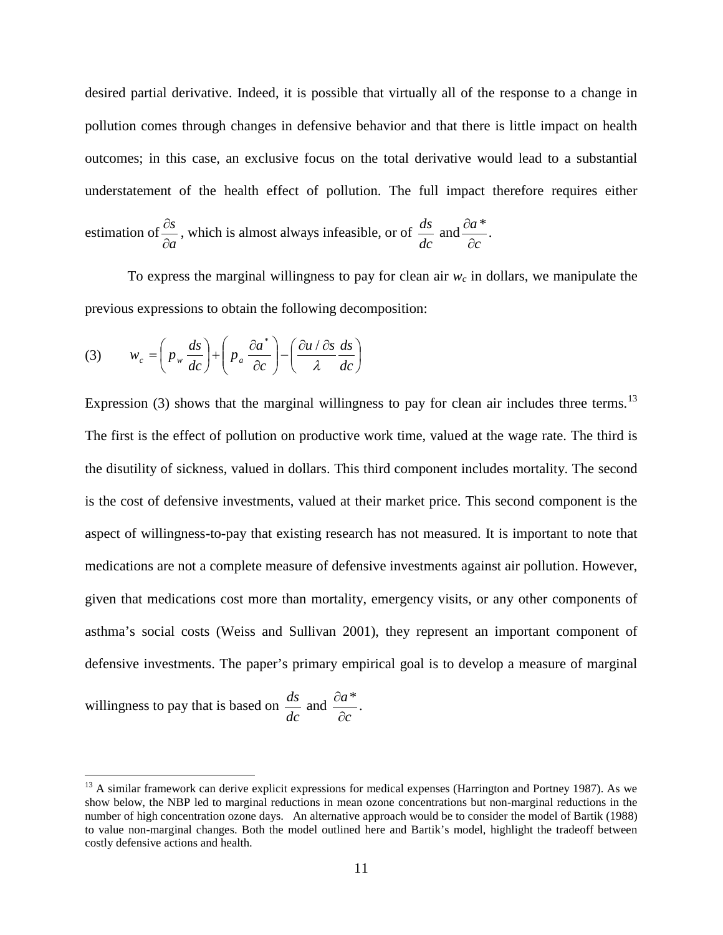desired partial derivative. Indeed, it is possible that virtually all of the response to a change in pollution comes through changes in defensive behavior and that there is little impact on health outcomes; in this case, an exclusive focus on the total derivative would lead to a substantial understatement of the health effect of pollution. The full impact therefore requires either

estimation of 
$$
\frac{\partial s}{\partial a}
$$
, which is almost always infeasible, or of  $\frac{ds}{dc}$  and  $\frac{\partial a}{\partial c}$ .

To express the marginal willingness to pay for clean air  $w_c$  in dollars, we manipulate the previous expressions to obtain the following decomposition:

(3) 
$$
w_c = \left(p_w \frac{ds}{dc}\right) + \left(p_a \frac{\partial a^*}{\partial c}\right) - \left(\frac{\partial u/\partial s}{\partial c} \frac{ds}{dc}\right)
$$

Expression (3) shows that the marginal willingness to pay for clean air includes three terms.<sup>[13](#page-12-0)</sup> The first is the effect of pollution on productive work time, valued at the wage rate. The third is the disutility of sickness, valued in dollars. This third component includes mortality. The second is the cost of defensive investments, valued at their market price. This second component is the aspect of willingness-to-pay that existing research has not measured. It is important to note that medications are not a complete measure of defensive investments against air pollution. However, given that medications cost more than mortality, emergency visits, or any other components of asthma's social costs (Weiss and Sullivan 2001), they represent an important component of defensive investments. The paper's primary empirical goal is to develop a measure of marginal

willingness to pay that is based on  $\frac{ds}{dt}$  and  $\frac{da}{dt}$ . *dc ds c a* ∂  $\partial a^*$ 

<span id="page-12-0"></span> $13$  A similar framework can derive explicit expressions for medical expenses (Harrington and Portney 1987). As we show below, the NBP led to marginal reductions in mean ozone concentrations but non-marginal reductions in the number of high concentration ozone days. An alternative approach would be to consider the model of Bartik (1988) to value non-marginal changes. Both the model outlined here and Bartik's model, highlight the tradeoff between costly defensive actions and health.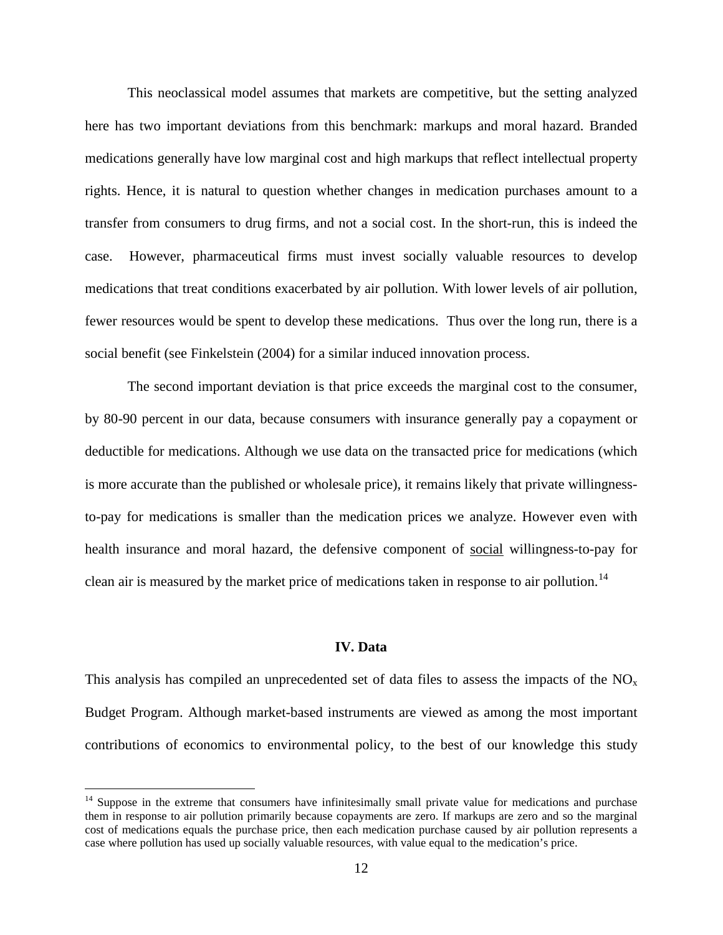This neoclassical model assumes that markets are competitive, but the setting analyzed here has two important deviations from this benchmark: markups and moral hazard. Branded medications generally have low marginal cost and high markups that reflect intellectual property rights. Hence, it is natural to question whether changes in medication purchases amount to a transfer from consumers to drug firms, and not a social cost. In the short-run, this is indeed the case. However, pharmaceutical firms must invest socially valuable resources to develop medications that treat conditions exacerbated by air pollution. With lower levels of air pollution, fewer resources would be spent to develop these medications. Thus over the long run, there is a social benefit (see Finkelstein (2004) for a similar induced innovation process.

The second important deviation is that price exceeds the marginal cost to the consumer, by 80-90 percent in our data, because consumers with insurance generally pay a copayment or deductible for medications. Although we use data on the transacted price for medications (which is more accurate than the published or wholesale price), it remains likely that private willingnessto-pay for medications is smaller than the medication prices we analyze. However even with health insurance and moral hazard, the defensive component of social willingness-to-pay for clean air is measured by the market price of medications taken in response to air pollution.<sup>[14](#page-13-0)</sup>

#### **IV. Data**

This analysis has compiled an unprecedented set of data files to assess the impacts of the  $NO<sub>x</sub>$ Budget Program. Although market-based instruments are viewed as among the most important contributions of economics to environmental policy, to the best of our knowledge this study

<span id="page-13-0"></span><sup>&</sup>lt;sup>14</sup> Suppose in the extreme that consumers have infinitesimally small private value for medications and purchase them in response to air pollution primarily because copayments are zero. If markups are zero and so the marginal cost of medications equals the purchase price, then each medication purchase caused by air pollution represents a case where pollution has used up socially valuable resources, with value equal to the medication's price.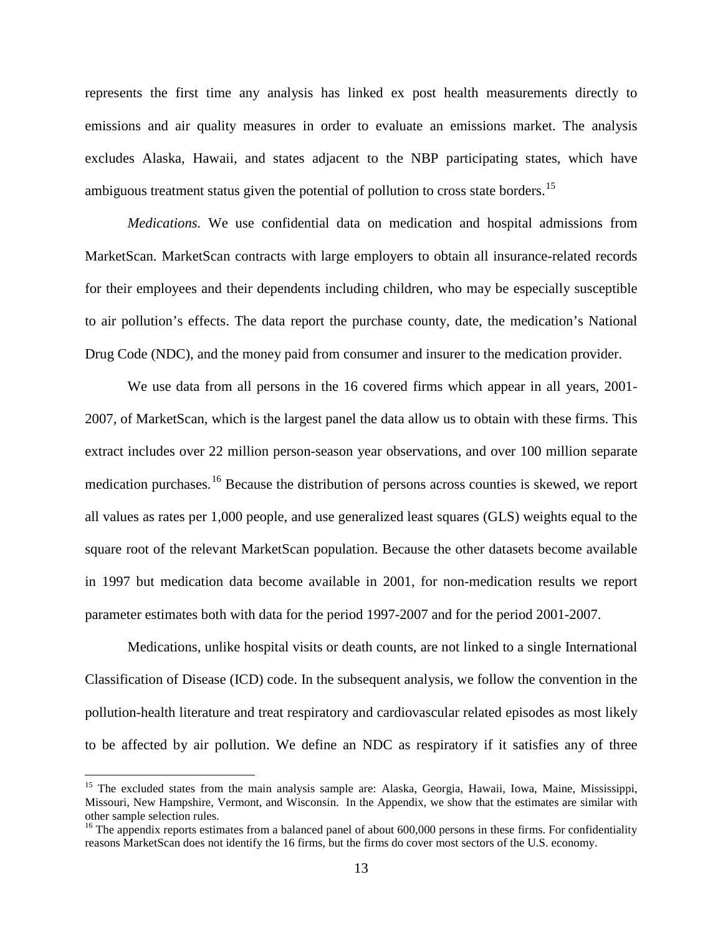represents the first time any analysis has linked ex post health measurements directly to emissions and air quality measures in order to evaluate an emissions market. The analysis excludes Alaska, Hawaii, and states adjacent to the NBP participating states, which have ambiguous treatment status given the potential of pollution to cross state borders.<sup>[15](#page-14-0)</sup>

*Medications.* We use confidential data on medication and hospital admissions from MarketScan. MarketScan contracts with large employers to obtain all insurance-related records for their employees and their dependents including children, who may be especially susceptible to air pollution's effects. The data report the purchase county, date, the medication's National Drug Code (NDC), and the money paid from consumer and insurer to the medication provider.

We use data from all persons in the 16 covered firms which appear in all years, 2001- 2007, of MarketScan, which is the largest panel the data allow us to obtain with these firms. This extract includes over 22 million person-season year observations, and over 100 million separate medication purchases.<sup>[16](#page-14-1)</sup> Because the distribution of persons across counties is skewed, we report all values as rates per 1,000 people, and use generalized least squares (GLS) weights equal to the square root of the relevant MarketScan population. Because the other datasets become available in 1997 but medication data become available in 2001, for non-medication results we report parameter estimates both with data for the period 1997-2007 and for the period 2001-2007.

Medications, unlike hospital visits or death counts, are not linked to a single International Classification of Disease (ICD) code. In the subsequent analysis, we follow the convention in the pollution-health literature and treat respiratory and cardiovascular related episodes as most likely to be affected by air pollution. We define an NDC as respiratory if it satisfies any of three

<span id="page-14-0"></span><sup>&</sup>lt;sup>15</sup> The excluded states from the main analysis sample are: Alaska, Georgia, Hawaii, Iowa, Maine, Mississippi, Missouri, New Hampshire, Vermont, and Wisconsin. In the Appendix, we show that the estimates are similar with other sample selection rules.

<span id="page-14-1"></span><sup>&</sup>lt;sup>16</sup> The appendix reports estimates from a balanced panel of about 600,000 persons in these firms. For confidentiality reasons MarketScan does not identify the 16 firms, but the firms do cover most sectors of the U.S. economy.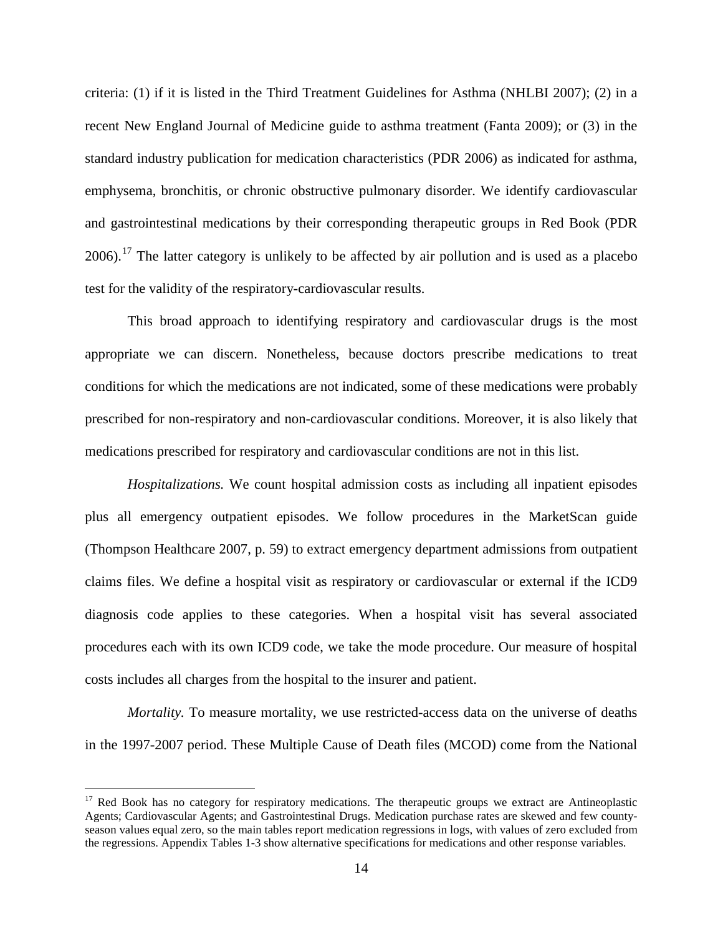criteria: (1) if it is listed in the Third Treatment Guidelines for Asthma (NHLBI 2007); (2) in a recent New England Journal of Medicine guide to asthma treatment (Fanta 2009); or (3) in the standard industry publication for medication characteristics (PDR 2006) as indicated for asthma, emphysema, bronchitis, or chronic obstructive pulmonary disorder. We identify cardiovascular and gastrointestinal medications by their corresponding therapeutic groups in Red Book (PDR 2006).<sup>[17](#page-15-0)</sup> The latter category is unlikely to be affected by air pollution and is used as a placebo test for the validity of the respiratory-cardiovascular results.

This broad approach to identifying respiratory and cardiovascular drugs is the most appropriate we can discern. Nonetheless, because doctors prescribe medications to treat conditions for which the medications are not indicated, some of these medications were probably prescribed for non-respiratory and non-cardiovascular conditions. Moreover, it is also likely that medications prescribed for respiratory and cardiovascular conditions are not in this list.

*Hospitalizations.* We count hospital admission costs as including all inpatient episodes plus all emergency outpatient episodes. We follow procedures in the MarketScan guide (Thompson Healthcare 2007, p. 59) to extract emergency department admissions from outpatient claims files. We define a hospital visit as respiratory or cardiovascular or external if the ICD9 diagnosis code applies to these categories. When a hospital visit has several associated procedures each with its own ICD9 code, we take the mode procedure. Our measure of hospital costs includes all charges from the hospital to the insurer and patient.

*Mortality.* To measure mortality, we use restricted-access data on the universe of deaths in the 1997-2007 period. These Multiple Cause of Death files (MCOD) come from the National

<span id="page-15-0"></span><sup>&</sup>lt;sup>17</sup> Red Book has no category for respiratory medications. The therapeutic groups we extract are Antineoplastic Agents; Cardiovascular Agents; and Gastrointestinal Drugs. Medication purchase rates are skewed and few countyseason values equal zero, so the main tables report medication regressions in logs, with values of zero excluded from the regressions. Appendix Tables 1-3 show alternative specifications for medications and other response variables.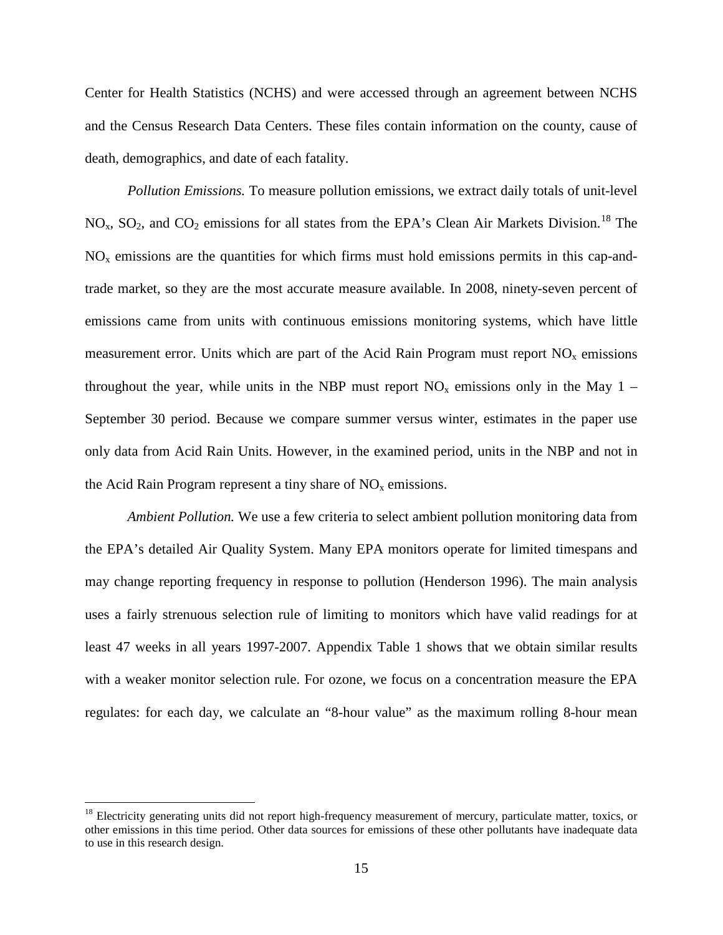Center for Health Statistics (NCHS) and were accessed through an agreement between NCHS and the Census Research Data Centers. These files contain information on the county, cause of death, demographics, and date of each fatality.

*Pollution Emissions.* To measure pollution emissions, we extract daily totals of unit-level  $NO<sub>x</sub>$ ,  $SO<sub>2</sub>$ , and  $CO<sub>2</sub>$  emissions for all states from the EPA's Clean Air Markets Division.<sup>[18](#page-16-0)</sup> The  $NO<sub>x</sub>$  emissions are the quantities for which firms must hold emissions permits in this cap-andtrade market, so they are the most accurate measure available. In 2008, ninety-seven percent of emissions came from units with continuous emissions monitoring systems, which have little measurement error. Units which are part of the Acid Rain Program must report  $NO<sub>x</sub>$  emissions throughout the year, while units in the NBP must report  $NO<sub>x</sub>$  emissions only in the May 1 – September 30 period. Because we compare summer versus winter, estimates in the paper use only data from Acid Rain Units. However, in the examined period, units in the NBP and not in the Acid Rain Program represent a tiny share of  $NO<sub>x</sub>$  emissions.

*Ambient Pollution.* We use a few criteria to select ambient pollution monitoring data from the EPA's detailed Air Quality System. Many EPA monitors operate for limited timespans and may change reporting frequency in response to pollution (Henderson 1996). The main analysis uses a fairly strenuous selection rule of limiting to monitors which have valid readings for at least 47 weeks in all years 1997-2007. Appendix Table 1 shows that we obtain similar results with a weaker monitor selection rule. For ozone, we focus on a concentration measure the EPA regulates: for each day, we calculate an "8-hour value" as the maximum rolling 8-hour mean

<span id="page-16-0"></span> $18$  Electricity generating units did not report high-frequency measurement of mercury, particulate matter, toxics, or other emissions in this time period. Other data sources for emissions of these other pollutants have inadequate data to use in this research design.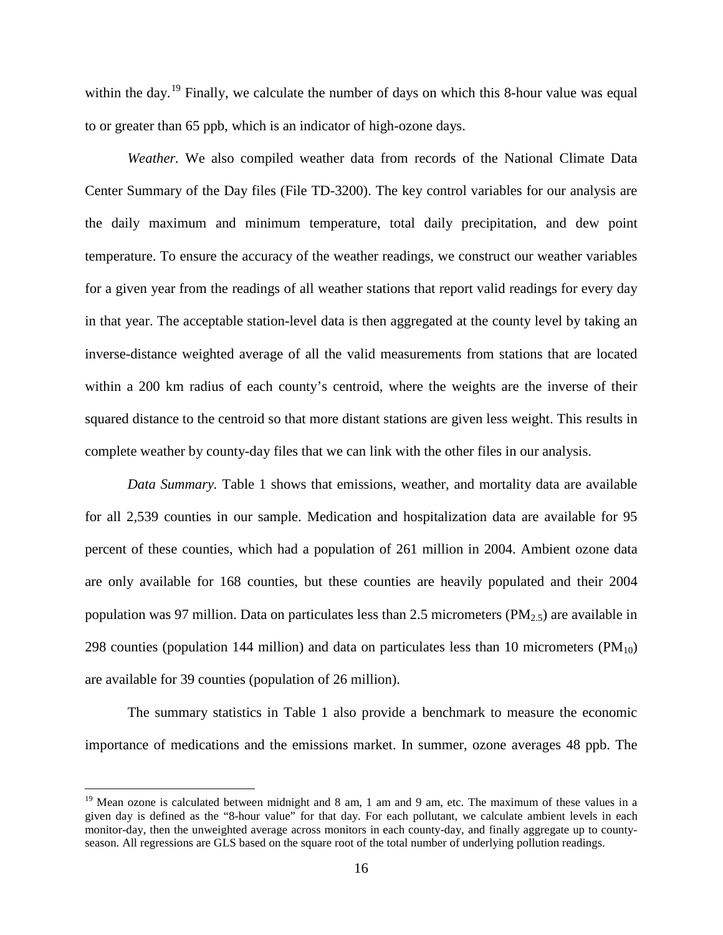within the day.<sup>[19](#page-17-0)</sup> Finally, we calculate the number of days on which this 8-hour value was equal to or greater than 65 ppb, which is an indicator of high-ozone days.

*Weather.* We also compiled weather data from records of the National Climate Data Center Summary of the Day files (File TD-3200). The key control variables for our analysis are the daily maximum and minimum temperature, total daily precipitation, and dew point temperature. To ensure the accuracy of the weather readings, we construct our weather variables for a given year from the readings of all weather stations that report valid readings for every day in that year. The acceptable station-level data is then aggregated at the county level by taking an inverse-distance weighted average of all the valid measurements from stations that are located within a 200 km radius of each county's centroid, where the weights are the inverse of their squared distance to the centroid so that more distant stations are given less weight. This results in complete weather by county-day files that we can link with the other files in our analysis.

*Data Summary.* Table 1 shows that emissions, weather, and mortality data are available for all 2,539 counties in our sample. Medication and hospitalization data are available for 95 percent of these counties, which had a population of 261 million in 2004. Ambient ozone data are only available for 168 counties, but these counties are heavily populated and their 2004 population was 97 million. Data on particulates less than 2.5 micrometers ( $PM_{2,5}$ ) are available in 298 counties (population 144 million) and data on particulates less than 10 micrometers ( $PM_{10}$ ) are available for 39 counties (population of 26 million).

The summary statistics in Table 1 also provide a benchmark to measure the economic importance of medications and the emissions market. In summer, ozone averages 48 ppb. The

<span id="page-17-0"></span> $19$  Mean ozone is calculated between midnight and 8 am, 1 am and 9 am, etc. The maximum of these values in a given day is defined as the "8-hour value" for that day. For each pollutant, we calculate ambient levels in each monitor-day, then the unweighted average across monitors in each county-day, and finally aggregate up to countyseason. All regressions are GLS based on the square root of the total number of underlying pollution readings.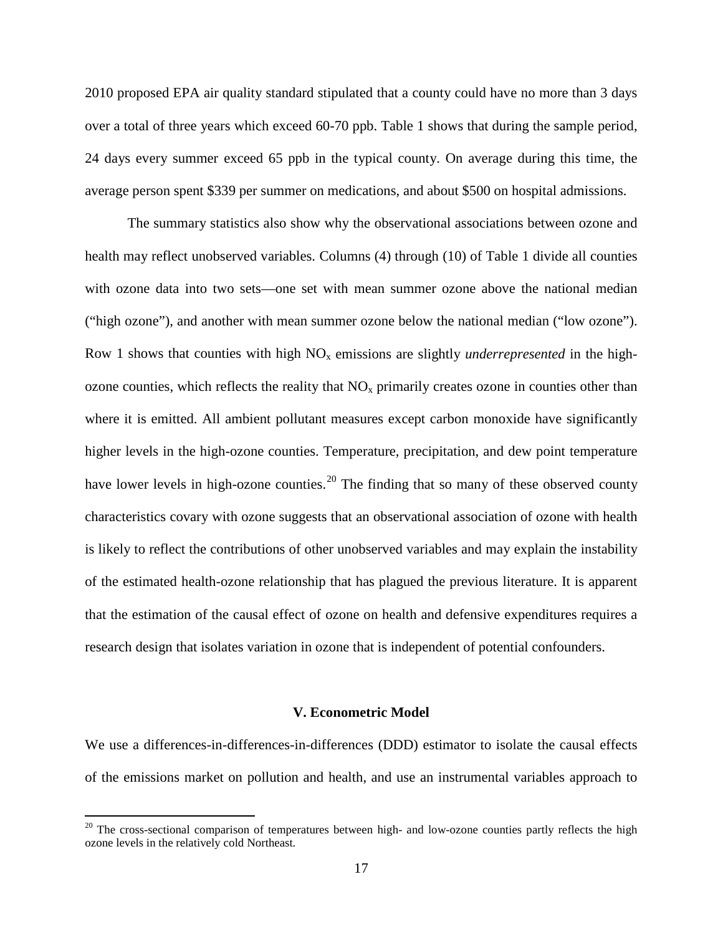2010 proposed EPA air quality standard stipulated that a county could have no more than 3 days over a total of three years which exceed 60-70 ppb. Table 1 shows that during the sample period, 24 days every summer exceed 65 ppb in the typical county. On average during this time, the average person spent \$339 per summer on medications, and about \$500 on hospital admissions.

The summary statistics also show why the observational associations between ozone and health may reflect unobserved variables. Columns (4) through (10) of Table 1 divide all counties with ozone data into two sets—one set with mean summer ozone above the national median ("high ozone"), and another with mean summer ozone below the national median ("low ozone"). Row 1 shows that counties with high  $NO<sub>x</sub>$  emissions are slightly *underrepresented* in the highozone counties, which reflects the reality that  $NO<sub>x</sub>$  primarily creates ozone in counties other than where it is emitted. All ambient pollutant measures except carbon monoxide have significantly higher levels in the high-ozone counties. Temperature, precipitation, and dew point temperature have lower levels in high-ozone counties.<sup>[20](#page-18-0)</sup> The finding that so many of these observed county characteristics covary with ozone suggests that an observational association of ozone with health is likely to reflect the contributions of other unobserved variables and may explain the instability of the estimated health-ozone relationship that has plagued the previous literature. It is apparent that the estimation of the causal effect of ozone on health and defensive expenditures requires a research design that isolates variation in ozone that is independent of potential confounders.

#### **V. Econometric Model**

We use a differences-in-differences-in-differences (DDD) estimator to isolate the causal effects of the emissions market on pollution and health, and use an instrumental variables approach to

<span id="page-18-0"></span> $20$  The cross-sectional comparison of temperatures between high- and low-ozone counties partly reflects the high ozone levels in the relatively cold Northeast.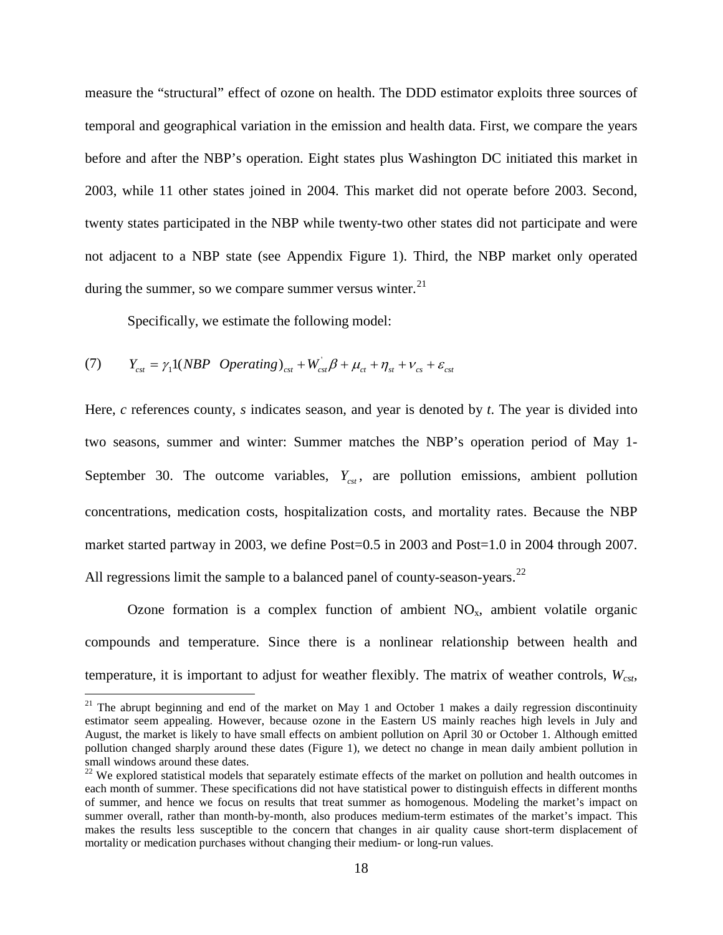measure the "structural" effect of ozone on health. The DDD estimator exploits three sources of temporal and geographical variation in the emission and health data. First, we compare the years before and after the NBP's operation. Eight states plus Washington DC initiated this market in 2003, while 11 other states joined in 2004. This market did not operate before 2003. Second, twenty states participated in the NBP while twenty-two other states did not participate and were not adjacent to a NBP state (see Appendix Figure 1). Third, the NBP market only operated during the summer, so we compare summer versus winter. $21$ 

Specifically, we estimate the following model:

(7) 
$$
Y_{\text{cst}} = \gamma_1 1(NBP \text{ Operating})_{\text{cst}} + W_{\text{cst}}^{\dagger} \beta + \mu_{\text{ct}} + \eta_{\text{st}} + \nu_{\text{cs}} + \varepsilon_{\text{cst}}
$$

Here, *c* references county, *s* indicates season, and year is denoted by *t*. The year is divided into two seasons, summer and winter: Summer matches the NBP's operation period of May 1- September 30. The outcome variables,  $Y_{\text{cst}}$ , are pollution emissions, ambient pollution concentrations, medication costs, hospitalization costs, and mortality rates. Because the NBP market started partway in 2003, we define Post=0.5 in 2003 and Post=1.0 in 2004 through 2007. All regressions limit the sample to a balanced panel of county-season-years.<sup>[22](#page-19-1)</sup>

Ozone formation is a complex function of ambient  $NO<sub>x</sub>$ , ambient volatile organic compounds and temperature. Since there is a nonlinear relationship between health and temperature, it is important to adjust for weather flexibly. The matrix of weather controls,  $W_{cst}$ ,

<span id="page-19-0"></span><sup>&</sup>lt;sup>21</sup> The abrupt beginning and end of the market on May 1 and October 1 makes a daily regression discontinuity estimator seem appealing. However, because ozone in the Eastern US mainly reaches high levels in July and August, the market is likely to have small effects on ambient pollution on April 30 or October 1. Although emitted pollution changed sharply around these dates (Figure 1), we detect no change in mean daily ambient pollution in small windows around these dates.

<span id="page-19-1"></span><sup>&</sup>lt;sup>22</sup> We explored statistical models that separately estimate effects of the market on pollution and health outcomes in each month of summer. These specifications did not have statistical power to distinguish effects in different months of summer, and hence we focus on results that treat summer as homogenous. Modeling the market's impact on summer overall, rather than month-by-month, also produces medium-term estimates of the market's impact. This makes the results less susceptible to the concern that changes in air quality cause short-term displacement of mortality or medication purchases without changing their medium- or long-run values.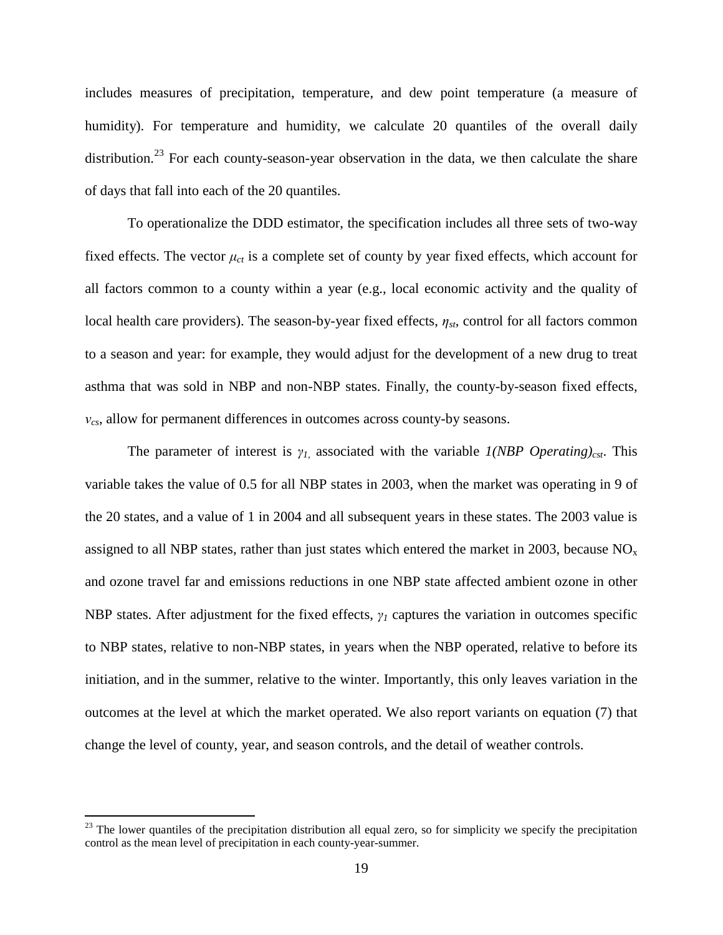includes measures of precipitation, temperature, and dew point temperature (a measure of humidity). For temperature and humidity, we calculate 20 quantiles of the overall daily distribution.<sup>[23](#page-20-0)</sup> For each county-season-year observation in the data, we then calculate the share of days that fall into each of the 20 quantiles.

To operationalize the DDD estimator, the specification includes all three sets of two-way fixed effects. The vector  $\mu_{ct}$  is a complete set of county by year fixed effects, which account for all factors common to a county within a year (e.g., local economic activity and the quality of local health care providers). The season-by-year fixed effects, *ηst*, control for all factors common to a season and year: for example, they would adjust for the development of a new drug to treat asthma that was sold in NBP and non-NBP states. Finally, the county-by-season fixed effects, *νcs*, allow for permanent differences in outcomes across county-by seasons.

The parameter of interest is  $\gamma_I$  associated with the variable  $I(NBP$  Operating)<sub>cst</sub>. This variable takes the value of 0.5 for all NBP states in 2003, when the market was operating in 9 of the 20 states, and a value of 1 in 2004 and all subsequent years in these states. The 2003 value is assigned to all NBP states, rather than just states which entered the market in 2003, because  $NO<sub>x</sub>$ and ozone travel far and emissions reductions in one NBP state affected ambient ozone in other NBP states. After adjustment for the fixed effects, *γ<sup>1</sup>* captures the variation in outcomes specific to NBP states, relative to non-NBP states, in years when the NBP operated, relative to before its initiation, and in the summer, relative to the winter. Importantly, this only leaves variation in the outcomes at the level at which the market operated. We also report variants on equation (7) that change the level of county, year, and season controls, and the detail of weather controls.

<span id="page-20-0"></span> $23$  The lower quantiles of the precipitation distribution all equal zero, so for simplicity we specify the precipitation control as the mean level of precipitation in each county-year-summer.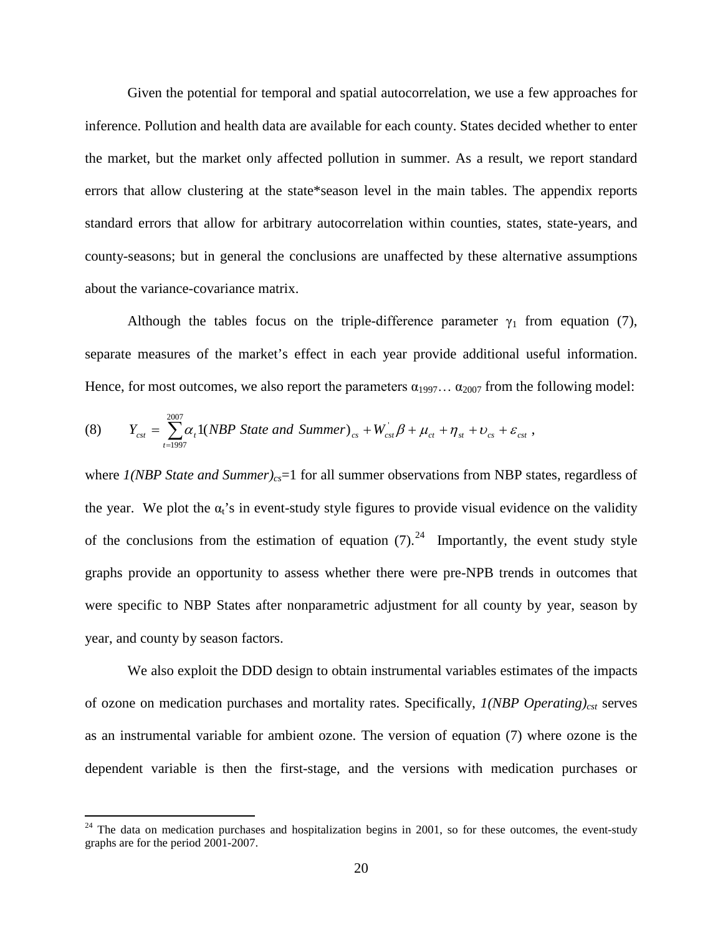Given the potential for temporal and spatial autocorrelation, we use a few approaches for inference. Pollution and health data are available for each county. States decided whether to enter the market, but the market only affected pollution in summer. As a result, we report standard errors that allow clustering at the state\*season level in the main tables. The appendix reports standard errors that allow for arbitrary autocorrelation within counties, states, state-years, and county-seasons; but in general the conclusions are unaffected by these alternative assumptions about the variance-covariance matrix.

Although the tables focus on the triple-difference parameter  $\gamma_1$  from equation (7), separate measures of the market's effect in each year provide additional useful information. Hence, for most outcomes, we also report the parameters  $\alpha_{1997} \dots \alpha_{2007}$  from the following model:

(8) 
$$
Y_{cst} = \sum_{t=1997}^{2007} \alpha_t 1(NBP State and Summer)_{cs} + W_{cst} \beta + \mu_{ct} + \eta_{st} + \nu_{cs} + \varepsilon_{cst},
$$

where *1(NBP State and Summer)<sub>cs</sub>*=1 for all summer observations from NBP states, regardless of the year. We plot the  $\alpha_i$ 's in event-study style figures to provide visual evidence on the validity of the conclusions from the estimation of equation  $(7)$ .<sup>[24](#page-21-0)</sup> Importantly, the event study style graphs provide an opportunity to assess whether there were pre-NPB trends in outcomes that were specific to NBP States after nonparametric adjustment for all county by year, season by year, and county by season factors.

We also exploit the DDD design to obtain instrumental variables estimates of the impacts of ozone on medication purchases and mortality rates. Specifically, *1(NBP Operating)<sub>cst</sub>* serves as an instrumental variable for ambient ozone. The version of equation (7) where ozone is the dependent variable is then the first-stage, and the versions with medication purchases or

<span id="page-21-0"></span> $24$  The data on medication purchases and hospitalization begins in 2001, so for these outcomes, the event-study graphs are for the period 2001-2007.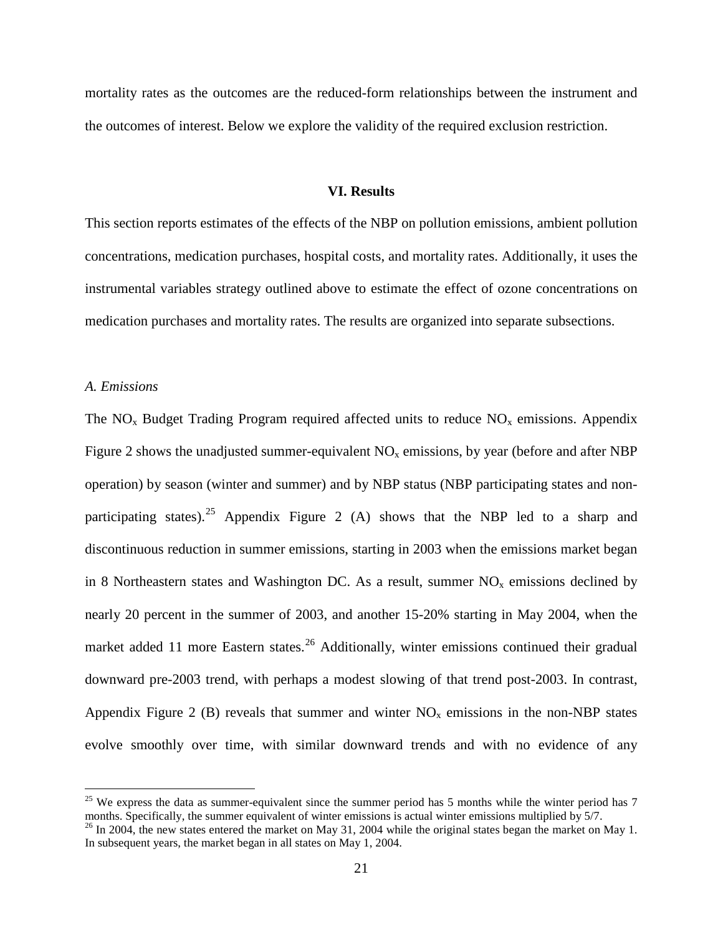mortality rates as the outcomes are the reduced-form relationships between the instrument and the outcomes of interest. Below we explore the validity of the required exclusion restriction.

#### **VI. Results**

This section reports estimates of the effects of the NBP on pollution emissions, ambient pollution concentrations, medication purchases, hospital costs, and mortality rates. Additionally, it uses the instrumental variables strategy outlined above to estimate the effect of ozone concentrations on medication purchases and mortality rates. The results are organized into separate subsections.

#### *A. Emissions*

The  $NO<sub>x</sub>$  Budget Trading Program required affected units to reduce  $NO<sub>x</sub>$  emissions. Appendix Figure 2 shows the unadjusted summer-equivalent  $NO<sub>x</sub>$  emissions, by year (before and after NBP operation) by season (winter and summer) and by NBP status (NBP participating states and non-participating states).<sup>[25](#page-22-0)</sup> Appendix Figure 2 (A) shows that the NBP led to a sharp and discontinuous reduction in summer emissions, starting in 2003 when the emissions market began in 8 Northeastern states and Washington DC. As a result, summer  $NO<sub>x</sub>$  emissions declined by nearly 20 percent in the summer of 2003, and another 15-20% starting in May 2004, when the market added 11 more Eastern states.<sup>[26](#page-22-1)</sup> Additionally, winter emissions continued their gradual downward pre-2003 trend, with perhaps a modest slowing of that trend post-2003. In contrast, Appendix Figure 2 (B) reveals that summer and winter  $NO<sub>x</sub>$  emissions in the non-NBP states evolve smoothly over time, with similar downward trends and with no evidence of any

<span id="page-22-0"></span> $25$  We express the data as summer-equivalent since the summer period has 5 months while the winter period has 7 months. Specifically, the summer equivalent of winter emissions is actual winter emissions multiplied by 5/7.

<span id="page-22-1"></span> $^{26}$  In 2004, the new states entered the market on May 31, 2004 while the original states began the market on May 1. In subsequent years, the market began in all states on May 1, 2004.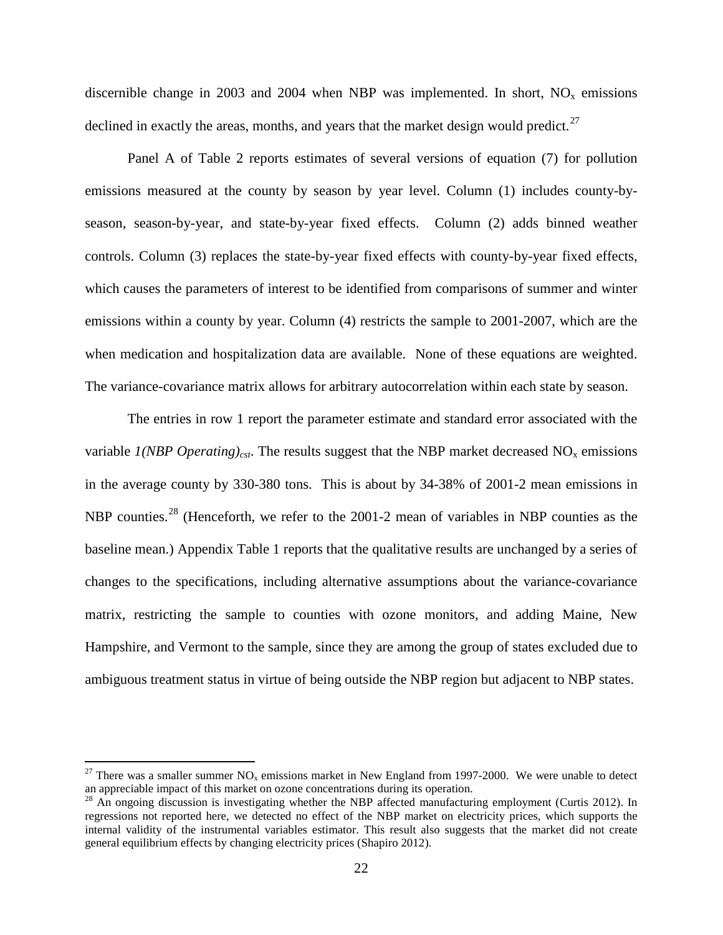discernible change in 2003 and 2004 when NBP was implemented. In short,  $NO<sub>x</sub>$  emissions declined in exactly the areas, months, and years that the market design would predict.<sup>[27](#page-23-0)</sup>

Panel A of Table 2 reports estimates of several versions of equation (7) for pollution emissions measured at the county by season by year level. Column (1) includes county-byseason, season-by-year, and state-by-year fixed effects. Column (2) adds binned weather controls. Column (3) replaces the state-by-year fixed effects with county-by-year fixed effects, which causes the parameters of interest to be identified from comparisons of summer and winter emissions within a county by year. Column (4) restricts the sample to 2001-2007, which are the when medication and hospitalization data are available. None of these equations are weighted. The variance-covariance matrix allows for arbitrary autocorrelation within each state by season.

The entries in row 1 report the parameter estimate and standard error associated with the variable *1(NBP Operating)<sub>cst</sub>*. The results suggest that the NBP market decreased NO<sub>x</sub> emissions in the average county by 330-380 tons. This is about by 34-38% of 2001-2 mean emissions in NBP counties.<sup>[28](#page-23-1)</sup> (Henceforth, we refer to the 2001-2 mean of variables in NBP counties as the baseline mean.) Appendix Table 1 reports that the qualitative results are unchanged by a series of changes to the specifications, including alternative assumptions about the variance-covariance matrix, restricting the sample to counties with ozone monitors, and adding Maine, New Hampshire, and Vermont to the sample, since they are among the group of states excluded due to ambiguous treatment status in virtue of being outside the NBP region but adjacent to NBP states.

<span id="page-23-0"></span><sup>&</sup>lt;sup>27</sup> There was a smaller summer NO<sub>x</sub> emissions market in New England from 1997-2000. We were unable to detect an appreciable impact of this market on ozone concentrations during its operation.

<span id="page-23-1"></span> $^{28}$  An ongoing discussion is investigating whether the NBP affected manufacturing employment (Curtis 2012). In regressions not reported here, we detected no effect of the NBP market on electricity prices, which supports the internal validity of the instrumental variables estimator. This result also suggests that the market did not create general equilibrium effects by changing electricity prices (Shapiro 2012).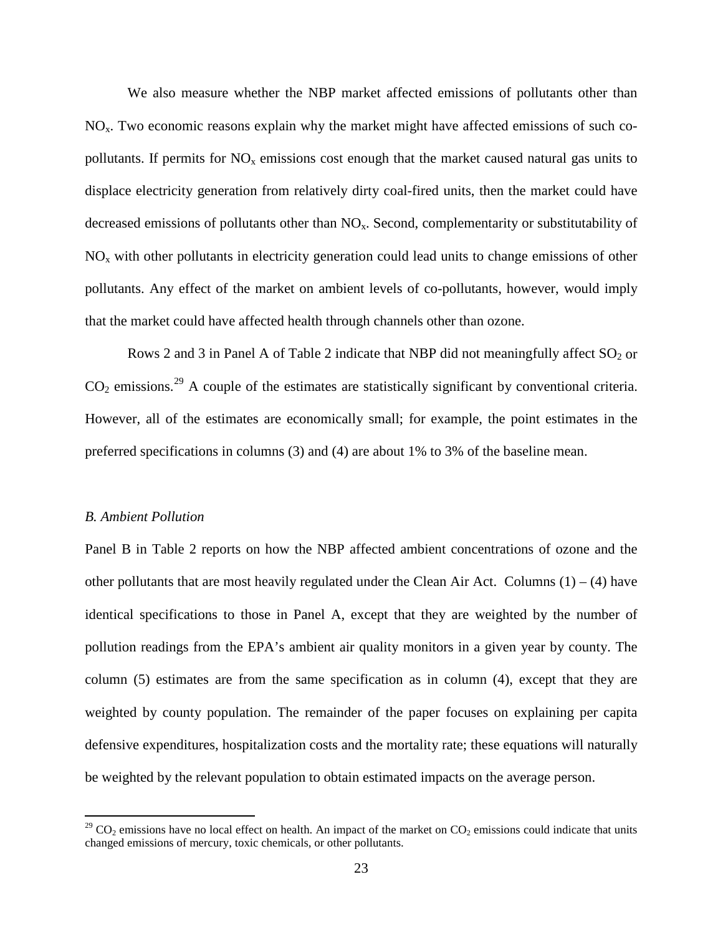We also measure whether the NBP market affected emissions of pollutants other than  $NO<sub>x</sub>$ . Two economic reasons explain why the market might have affected emissions of such copollutants. If permits for  $NO<sub>x</sub>$  emissions cost enough that the market caused natural gas units to displace electricity generation from relatively dirty coal-fired units, then the market could have decreased emissions of pollutants other than NO<sub>x</sub>. Second, complementarity or substitutability of  $NO<sub>x</sub>$  with other pollutants in electricity generation could lead units to change emissions of other pollutants. Any effect of the market on ambient levels of co-pollutants, however, would imply that the market could have affected health through channels other than ozone.

Rows 2 and 3 in Panel A of Table 2 indicate that NBP did not meaningfully affect  $SO_2$  or  $CO<sub>2</sub>$  emissions.<sup>[29](#page-24-0)</sup> A couple of the estimates are statistically significant by conventional criteria. However, all of the estimates are economically small; for example, the point estimates in the preferred specifications in columns (3) and (4) are about 1% to 3% of the baseline mean.

#### *B. Ambient Pollution*

Panel B in Table 2 reports on how the NBP affected ambient concentrations of ozone and the other pollutants that are most heavily regulated under the Clean Air Act. Columns  $(1) - (4)$  have identical specifications to those in Panel A, except that they are weighted by the number of pollution readings from the EPA's ambient air quality monitors in a given year by county. The column (5) estimates are from the same specification as in column (4), except that they are weighted by county population. The remainder of the paper focuses on explaining per capita defensive expenditures, hospitalization costs and the mortality rate; these equations will naturally be weighted by the relevant population to obtain estimated impacts on the average person.

<span id="page-24-0"></span><sup>&</sup>lt;sup>29</sup> CO<sub>2</sub> emissions have no local effect on health. An impact of the market on  $CO_2$  emissions could indicate that units changed emissions of mercury, toxic chemicals, or other pollutants.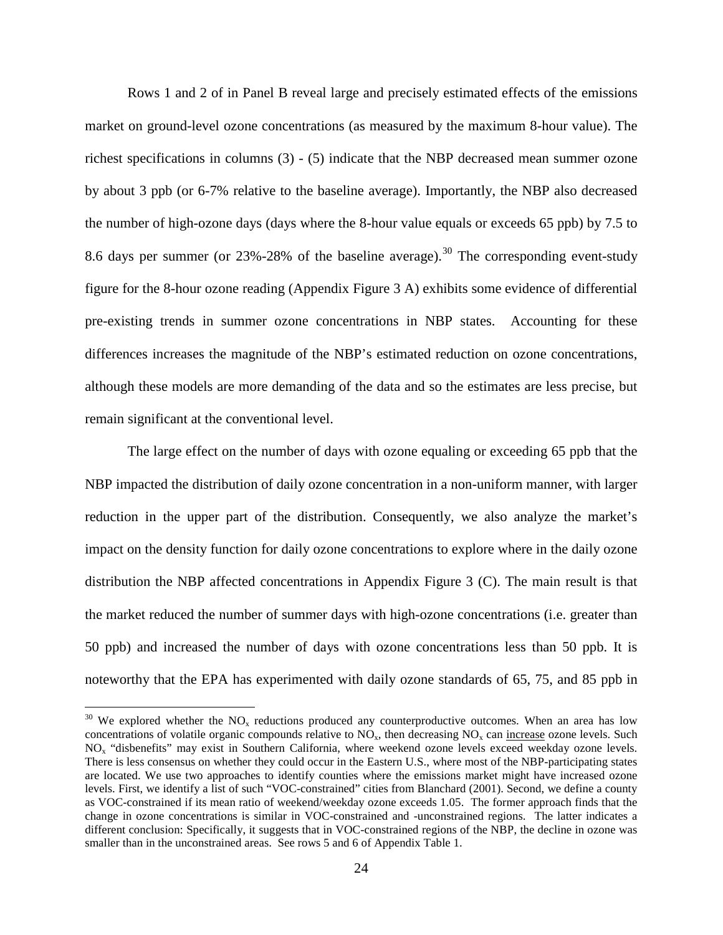Rows 1 and 2 of in Panel B reveal large and precisely estimated effects of the emissions market on ground-level ozone concentrations (as measured by the maximum 8-hour value). The richest specifications in columns (3) - (5) indicate that the NBP decreased mean summer ozone by about 3 ppb (or 6-7% relative to the baseline average). Importantly, the NBP also decreased the number of high-ozone days (days where the 8-hour value equals or exceeds 65 ppb) by 7.5 to 8.6 days per summer (or  $23\% - 28\%$  of the baseline average).<sup>[30](#page-25-0)</sup> The corresponding event-study figure for the 8-hour ozone reading (Appendix Figure 3 A) exhibits some evidence of differential pre-existing trends in summer ozone concentrations in NBP states. Accounting for these differences increases the magnitude of the NBP's estimated reduction on ozone concentrations, although these models are more demanding of the data and so the estimates are less precise, but remain significant at the conventional level.

The large effect on the number of days with ozone equaling or exceeding 65 ppb that the NBP impacted the distribution of daily ozone concentration in a non-uniform manner, with larger reduction in the upper part of the distribution. Consequently, we also analyze the market's impact on the density function for daily ozone concentrations to explore where in the daily ozone distribution the NBP affected concentrations in Appendix Figure 3 (C). The main result is that the market reduced the number of summer days with high-ozone concentrations (i.e. greater than 50 ppb) and increased the number of days with ozone concentrations less than 50 ppb. It is noteworthy that the EPA has experimented with daily ozone standards of 65, 75, and 85 ppb in

<span id="page-25-0"></span> $30$  We explored whether the NO<sub>x</sub> reductions produced any counterproductive outcomes. When an area has low concentrations of volatile organic compounds relative to  $NO_x$ , then decreasing  $NO_x$  can increase ozone levels. Such NOx "disbenefits" may exist in Southern California, where weekend ozone levels exceed weekday ozone levels. There is less consensus on whether they could occur in the Eastern U.S., where most of the NBP-participating states are located. We use two approaches to identify counties where the emissions market might have increased ozone levels. First, we identify a list of such "VOC-constrained" cities from Blanchard (2001). Second, we define a county as VOC-constrained if its mean ratio of weekend/weekday ozone exceeds 1.05. The former approach finds that the change in ozone concentrations is similar in VOC-constrained and -unconstrained regions. The latter indicates a different conclusion: Specifically, it suggests that in VOC-constrained regions of the NBP, the decline in ozone was smaller than in the unconstrained areas. See rows 5 and 6 of Appendix Table 1.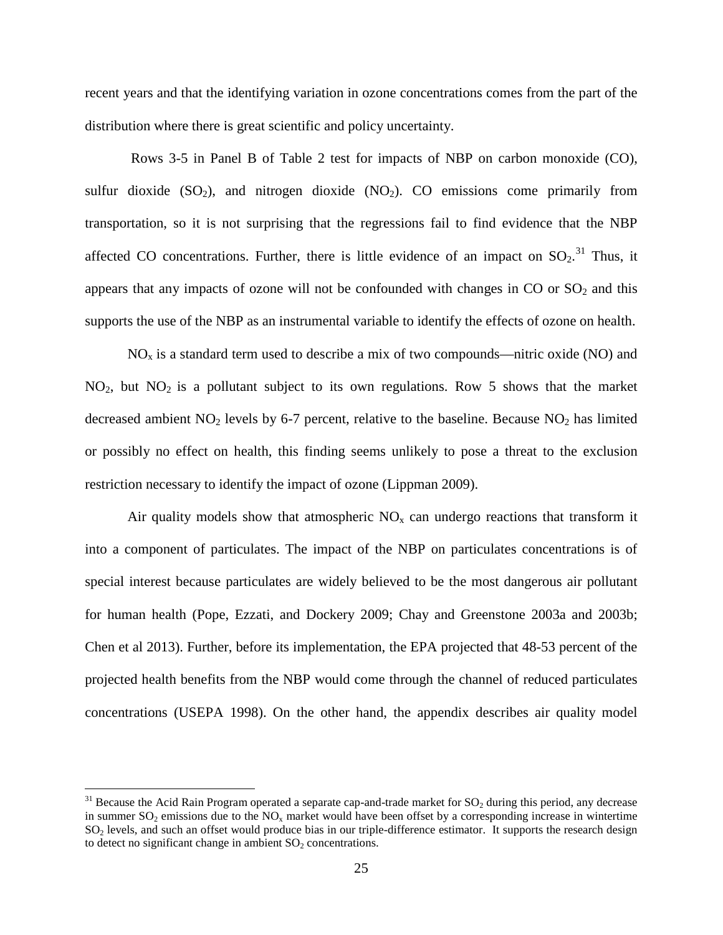recent years and that the identifying variation in ozone concentrations comes from the part of the distribution where there is great scientific and policy uncertainty.

Rows 3-5 in Panel B of Table 2 test for impacts of NBP on carbon monoxide (CO), sulfur dioxide  $(SO_2)$ , and nitrogen dioxide  $(NO_2)$ . CO emissions come primarily from transportation, so it is not surprising that the regressions fail to find evidence that the NBP affected CO concentrations. Further, there is little evidence of an impact on  $SO_2$ .<sup>[31](#page-26-0)</sup> Thus, it appears that any impacts of ozone will not be confounded with changes in  $CO$  or  $SO<sub>2</sub>$  and this supports the use of the NBP as an instrumental variable to identify the effects of ozone on health.

 $NO<sub>x</sub>$  is a standard term used to describe a mix of two compounds—nitric oxide (NO) and  $NO<sub>2</sub>$ , but  $NO<sub>2</sub>$  is a pollutant subject to its own regulations. Row 5 shows that the market decreased ambient  $NO<sub>2</sub>$  levels by 6-7 percent, relative to the baseline. Because  $NO<sub>2</sub>$  has limited or possibly no effect on health, this finding seems unlikely to pose a threat to the exclusion restriction necessary to identify the impact of ozone (Lippman 2009).

Air quality models show that atmospheric  $NO<sub>x</sub>$  can undergo reactions that transform it into a component of particulates. The impact of the NBP on particulates concentrations is of special interest because particulates are widely believed to be the most dangerous air pollutant for human health (Pope, Ezzati, and Dockery 2009; Chay and Greenstone 2003a and 2003b; Chen et al 2013). Further, before its implementation, the EPA projected that 48-53 percent of the projected health benefits from the NBP would come through the channel of reduced particulates concentrations (USEPA 1998). On the other hand, the appendix describes air quality model

<span id="page-26-0"></span> $31$  Because the Acid Rain Program operated a separate cap-and-trade market for  $SO_2$  during this period, any decrease in summer  $SO_2$  emissions due to the  $NO_x$  market would have been offset by a corresponding increase in wintertime SO<sub>2</sub> levels, and such an offset would produce bias in our triple-difference estimator. It supports the research design to detect no significant change in ambient  $SO<sub>2</sub>$  concentrations.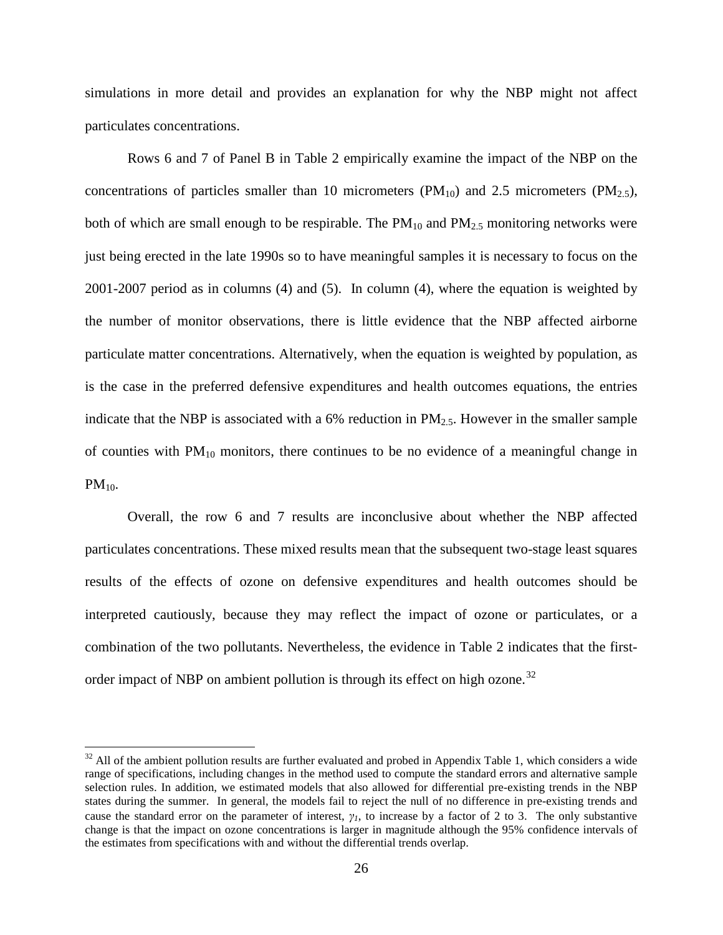simulations in more detail and provides an explanation for why the NBP might not affect particulates concentrations.

Rows 6 and 7 of Panel B in Table 2 empirically examine the impact of the NBP on the concentrations of particles smaller than 10 micrometers ( $PM_{10}$ ) and 2.5 micrometers ( $PM_{2,5}$ ), both of which are small enough to be respirable. The  $PM_{10}$  and  $PM_{2.5}$  monitoring networks were just being erected in the late 1990s so to have meaningful samples it is necessary to focus on the 2001-2007 period as in columns (4) and (5). In column (4), where the equation is weighted by the number of monitor observations, there is little evidence that the NBP affected airborne particulate matter concentrations. Alternatively, when the equation is weighted by population, as is the case in the preferred defensive expenditures and health outcomes equations, the entries indicate that the NBP is associated with a 6% reduction in  $PM_{2.5}$ . However in the smaller sample of counties with  $PM_{10}$  monitors, there continues to be no evidence of a meaningful change in  $PM_{10}$ .

Overall, the row 6 and 7 results are inconclusive about whether the NBP affected particulates concentrations. These mixed results mean that the subsequent two-stage least squares results of the effects of ozone on defensive expenditures and health outcomes should be interpreted cautiously, because they may reflect the impact of ozone or particulates, or a combination of the two pollutants. Nevertheless, the evidence in Table 2 indicates that the first-order impact of NBP on ambient pollution is through its effect on high ozone.<sup>[32](#page-27-0)</sup>

<span id="page-27-0"></span> $32$  All of the ambient pollution results are further evaluated and probed in Appendix Table 1, which considers a wide range of specifications, including changes in the method used to compute the standard errors and alternative sample selection rules. In addition, we estimated models that also allowed for differential pre-existing trends in the NBP states during the summer. In general, the models fail to reject the null of no difference in pre-existing trends and cause the standard error on the parameter of interest, *γ1*, to increase by a factor of 2 to 3. The only substantive change is that the impact on ozone concentrations is larger in magnitude although the 95% confidence intervals of the estimates from specifications with and without the differential trends overlap.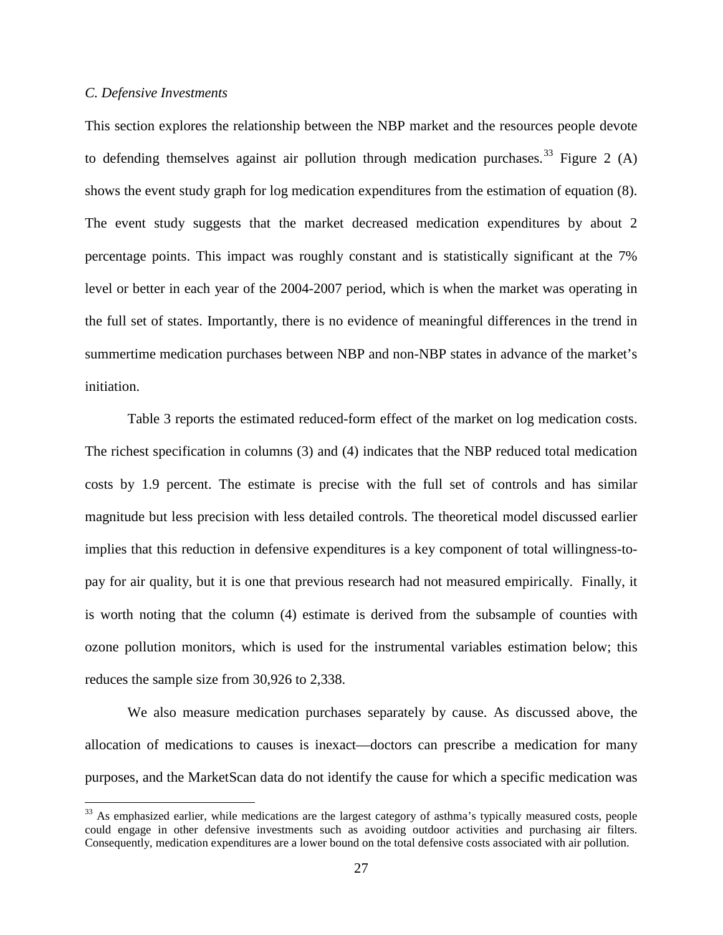#### *C. Defensive Investments*

This section explores the relationship between the NBP market and the resources people devote to defending themselves against air pollution through medication purchases.<sup>[33](#page-28-0)</sup> Figure 2 (A) shows the event study graph for log medication expenditures from the estimation of equation (8). The event study suggests that the market decreased medication expenditures by about 2 percentage points. This impact was roughly constant and is statistically significant at the 7% level or better in each year of the 2004-2007 period, which is when the market was operating in the full set of states. Importantly, there is no evidence of meaningful differences in the trend in summertime medication purchases between NBP and non-NBP states in advance of the market's initiation.

Table 3 reports the estimated reduced-form effect of the market on log medication costs. The richest specification in columns (3) and (4) indicates that the NBP reduced total medication costs by 1.9 percent. The estimate is precise with the full set of controls and has similar magnitude but less precision with less detailed controls. The theoretical model discussed earlier implies that this reduction in defensive expenditures is a key component of total willingness-topay for air quality, but it is one that previous research had not measured empirically. Finally, it is worth noting that the column (4) estimate is derived from the subsample of counties with ozone pollution monitors, which is used for the instrumental variables estimation below; this reduces the sample size from 30,926 to 2,338.

We also measure medication purchases separately by cause. As discussed above, the allocation of medications to causes is inexact—doctors can prescribe a medication for many purposes, and the MarketScan data do not identify the cause for which a specific medication was

<span id="page-28-0"></span><sup>&</sup>lt;sup>33</sup> As emphasized earlier, while medications are the largest category of asthma's typically measured costs, people could engage in other defensive investments such as avoiding outdoor activities and purchasing air filters. Consequently, medication expenditures are a lower bound on the total defensive costs associated with air pollution.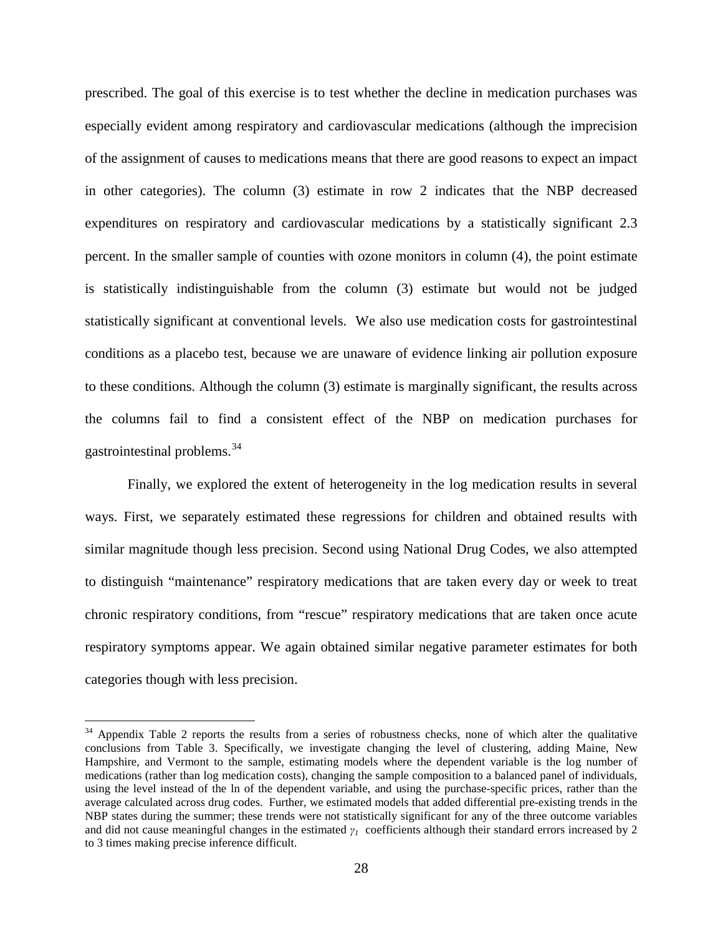prescribed. The goal of this exercise is to test whether the decline in medication purchases was especially evident among respiratory and cardiovascular medications (although the imprecision of the assignment of causes to medications means that there are good reasons to expect an impact in other categories). The column (3) estimate in row 2 indicates that the NBP decreased expenditures on respiratory and cardiovascular medications by a statistically significant 2.3 percent. In the smaller sample of counties with ozone monitors in column (4), the point estimate is statistically indistinguishable from the column (3) estimate but would not be judged statistically significant at conventional levels. We also use medication costs for gastrointestinal conditions as a placebo test, because we are unaware of evidence linking air pollution exposure to these conditions. Although the column (3) estimate is marginally significant, the results across the columns fail to find a consistent effect of the NBP on medication purchases for gastrointestinal problems.[34](#page-29-0)

Finally, we explored the extent of heterogeneity in the log medication results in several ways. First, we separately estimated these regressions for children and obtained results with similar magnitude though less precision. Second using National Drug Codes, we also attempted to distinguish "maintenance" respiratory medications that are taken every day or week to treat chronic respiratory conditions, from "rescue" respiratory medications that are taken once acute respiratory symptoms appear. We again obtained similar negative parameter estimates for both categories though with less precision.

<span id="page-29-0"></span> $34$  Appendix Table 2 reports the results from a series of robustness checks, none of which alter the qualitative conclusions from Table 3. Specifically, we investigate changing the level of clustering, adding Maine, New Hampshire, and Vermont to the sample, estimating models where the dependent variable is the log number of medications (rather than log medication costs), changing the sample composition to a balanced panel of individuals, using the level instead of the ln of the dependent variable, and using the purchase-specific prices, rather than the average calculated across drug codes. Further, we estimated models that added differential pre-existing trends in the NBP states during the summer; these trends were not statistically significant for any of the three outcome variables and did not cause meaningful changes in the estimated *γ1* coefficients although their standard errors increased by 2 to 3 times making precise inference difficult.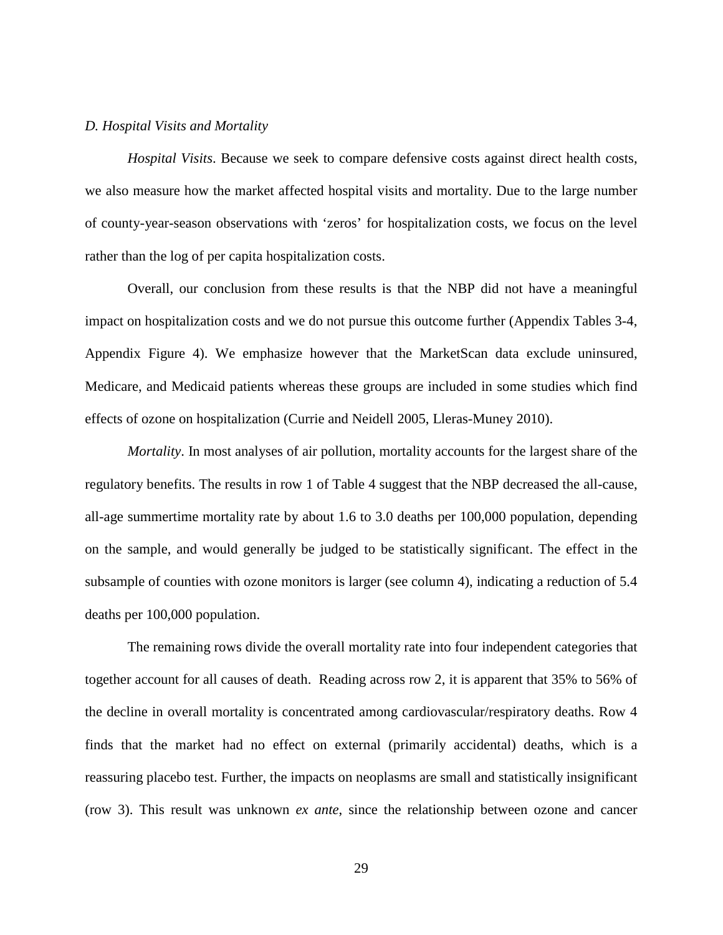#### *D. Hospital Visits and Mortality*

*Hospital Visits*. Because we seek to compare defensive costs against direct health costs, we also measure how the market affected hospital visits and mortality. Due to the large number of county-year-season observations with 'zeros' for hospitalization costs, we focus on the level rather than the log of per capita hospitalization costs.

Overall, our conclusion from these results is that the NBP did not have a meaningful impact on hospitalization costs and we do not pursue this outcome further (Appendix Tables 3-4, Appendix Figure 4). We emphasize however that the MarketScan data exclude uninsured, Medicare, and Medicaid patients whereas these groups are included in some studies which find effects of ozone on hospitalization (Currie and Neidell 2005, Lleras-Muney 2010).

*Mortality*. In most analyses of air pollution, mortality accounts for the largest share of the regulatory benefits. The results in row 1 of Table 4 suggest that the NBP decreased the all-cause, all-age summertime mortality rate by about 1.6 to 3.0 deaths per 100,000 population, depending on the sample, and would generally be judged to be statistically significant. The effect in the subsample of counties with ozone monitors is larger (see column 4), indicating a reduction of 5.4 deaths per 100,000 population.

The remaining rows divide the overall mortality rate into four independent categories that together account for all causes of death. Reading across row 2, it is apparent that 35% to 56% of the decline in overall mortality is concentrated among cardiovascular/respiratory deaths. Row 4 finds that the market had no effect on external (primarily accidental) deaths, which is a reassuring placebo test. Further, the impacts on neoplasms are small and statistically insignificant (row 3). This result was unknown *ex ante*, since the relationship between ozone and cancer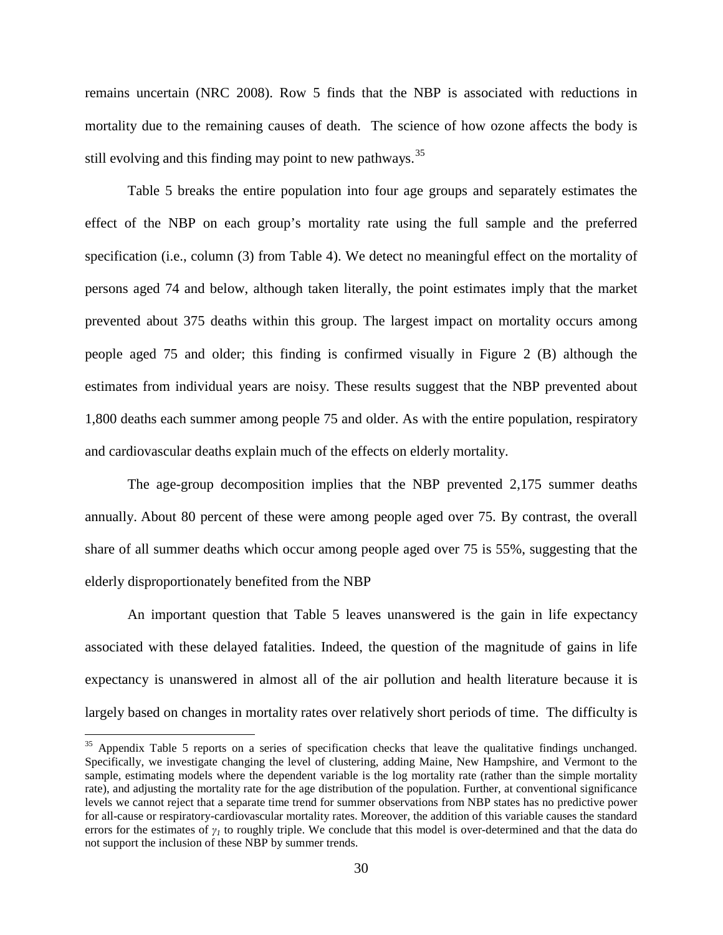remains uncertain (NRC 2008). Row 5 finds that the NBP is associated with reductions in mortality due to the remaining causes of death. The science of how ozone affects the body is still evolving and this finding may point to new pathways.<sup>[35](#page-31-0)</sup>

Table 5 breaks the entire population into four age groups and separately estimates the effect of the NBP on each group's mortality rate using the full sample and the preferred specification (i.e., column (3) from Table 4). We detect no meaningful effect on the mortality of persons aged 74 and below, although taken literally, the point estimates imply that the market prevented about 375 deaths within this group. The largest impact on mortality occurs among people aged 75 and older; this finding is confirmed visually in Figure 2 (B) although the estimates from individual years are noisy. These results suggest that the NBP prevented about 1,800 deaths each summer among people 75 and older. As with the entire population, respiratory and cardiovascular deaths explain much of the effects on elderly mortality.

The age-group decomposition implies that the NBP prevented 2,175 summer deaths annually. About 80 percent of these were among people aged over 75. By contrast, the overall share of all summer deaths which occur among people aged over 75 is 55%, suggesting that the elderly disproportionately benefited from the NBP

An important question that Table 5 leaves unanswered is the gain in life expectancy associated with these delayed fatalities. Indeed, the question of the magnitude of gains in life expectancy is unanswered in almost all of the air pollution and health literature because it is largely based on changes in mortality rates over relatively short periods of time. The difficulty is

<span id="page-31-0"></span><sup>&</sup>lt;sup>35</sup> Appendix Table 5 reports on a series of specification checks that leave the qualitative findings unchanged. Specifically, we investigate changing the level of clustering, adding Maine, New Hampshire, and Vermont to the sample, estimating models where the dependent variable is the log mortality rate (rather than the simple mortality rate), and adjusting the mortality rate for the age distribution of the population. Further, at conventional significance levels we cannot reject that a separate time trend for summer observations from NBP states has no predictive power for all-cause or respiratory-cardiovascular mortality rates. Moreover, the addition of this variable causes the standard errors for the estimates of *γ<sup>1</sup>* to roughly triple. We conclude that this model is over-determined and that the data do not support the inclusion of these NBP by summer trends.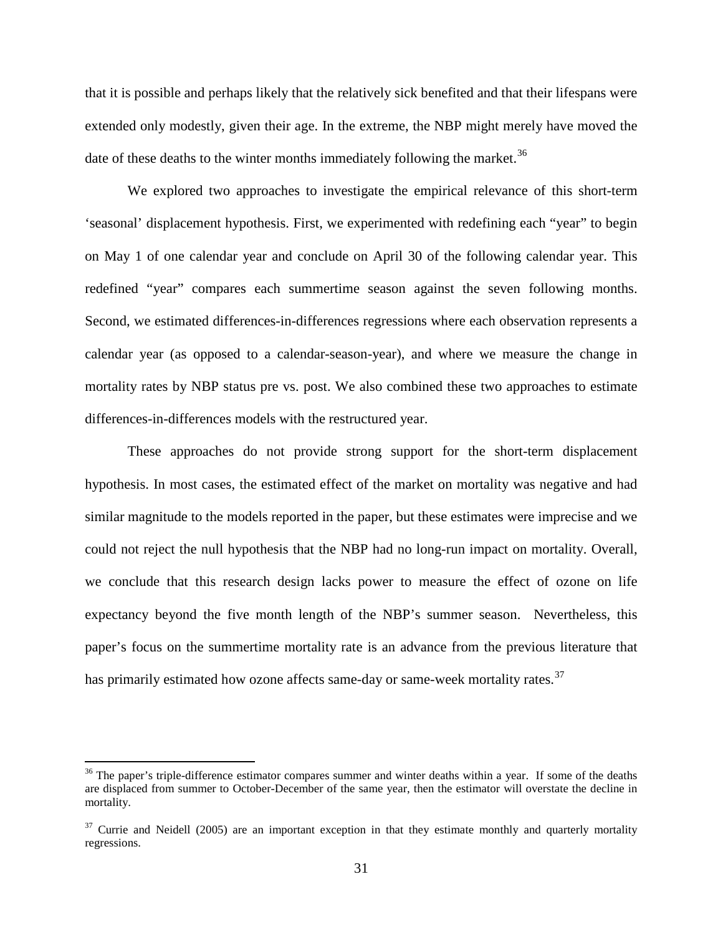that it is possible and perhaps likely that the relatively sick benefited and that their lifespans were extended only modestly, given their age. In the extreme, the NBP might merely have moved the date of these deaths to the winter months immediately following the market.<sup>[36](#page-32-0)</sup>

We explored two approaches to investigate the empirical relevance of this short-term 'seasonal' displacement hypothesis. First, we experimented with redefining each "year" to begin on May 1 of one calendar year and conclude on April 30 of the following calendar year. This redefined "year" compares each summertime season against the seven following months. Second, we estimated differences-in-differences regressions where each observation represents a calendar year (as opposed to a calendar-season-year), and where we measure the change in mortality rates by NBP status pre vs. post. We also combined these two approaches to estimate differences-in-differences models with the restructured year.

These approaches do not provide strong support for the short-term displacement hypothesis. In most cases, the estimated effect of the market on mortality was negative and had similar magnitude to the models reported in the paper, but these estimates were imprecise and we could not reject the null hypothesis that the NBP had no long-run impact on mortality. Overall, we conclude that this research design lacks power to measure the effect of ozone on life expectancy beyond the five month length of the NBP's summer season. Nevertheless, this paper's focus on the summertime mortality rate is an advance from the previous literature that has primarily estimated how ozone affects same-day or same-week mortality rates.<sup>[37](#page-32-1)</sup>

<span id="page-32-0"></span><sup>&</sup>lt;sup>36</sup> The paper's triple-difference estimator compares summer and winter deaths within a year. If some of the deaths are displaced from summer to October-December of the same year, then the estimator will overstate the decline in mortality.

<span id="page-32-1"></span> $37$  Currie and Neidell (2005) are an important exception in that they estimate monthly and quarterly mortality regressions.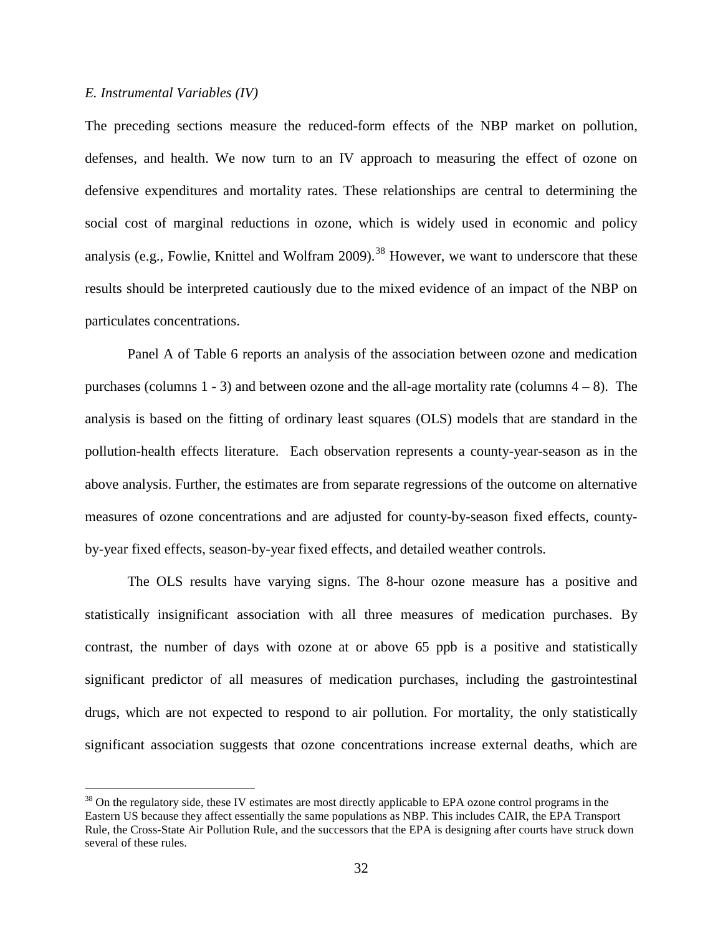#### *E. Instrumental Variables (IV)*

The preceding sections measure the reduced-form effects of the NBP market on pollution, defenses, and health. We now turn to an IV approach to measuring the effect of ozone on defensive expenditures and mortality rates. These relationships are central to determining the social cost of marginal reductions in ozone, which is widely used in economic and policy analysis (e.g., Fowlie, Knittel and Wolfram 2009).<sup>[38](#page-33-0)</sup> However, we want to underscore that these results should be interpreted cautiously due to the mixed evidence of an impact of the NBP on particulates concentrations.

Panel A of Table 6 reports an analysis of the association between ozone and medication purchases (columns  $1 - 3$ ) and between ozone and the all-age mortality rate (columns  $4 - 8$ ). The analysis is based on the fitting of ordinary least squares (OLS) models that are standard in the pollution-health effects literature. Each observation represents a county-year-season as in the above analysis. Further, the estimates are from separate regressions of the outcome on alternative measures of ozone concentrations and are adjusted for county-by-season fixed effects, countyby-year fixed effects, season-by-year fixed effects, and detailed weather controls.

The OLS results have varying signs. The 8-hour ozone measure has a positive and statistically insignificant association with all three measures of medication purchases. By contrast, the number of days with ozone at or above 65 ppb is a positive and statistically significant predictor of all measures of medication purchases, including the gastrointestinal drugs, which are not expected to respond to air pollution. For mortality, the only statistically significant association suggests that ozone concentrations increase external deaths, which are

<span id="page-33-0"></span><sup>&</sup>lt;sup>38</sup> On the regulatory side, these IV estimates are most directly applicable to EPA ozone control programs in the Eastern US because they affect essentially the same populations as NBP. This includes CAIR, the EPA Transport Rule, the Cross-State Air Pollution Rule, and the successors that the EPA is designing after courts have struck down several of these rules.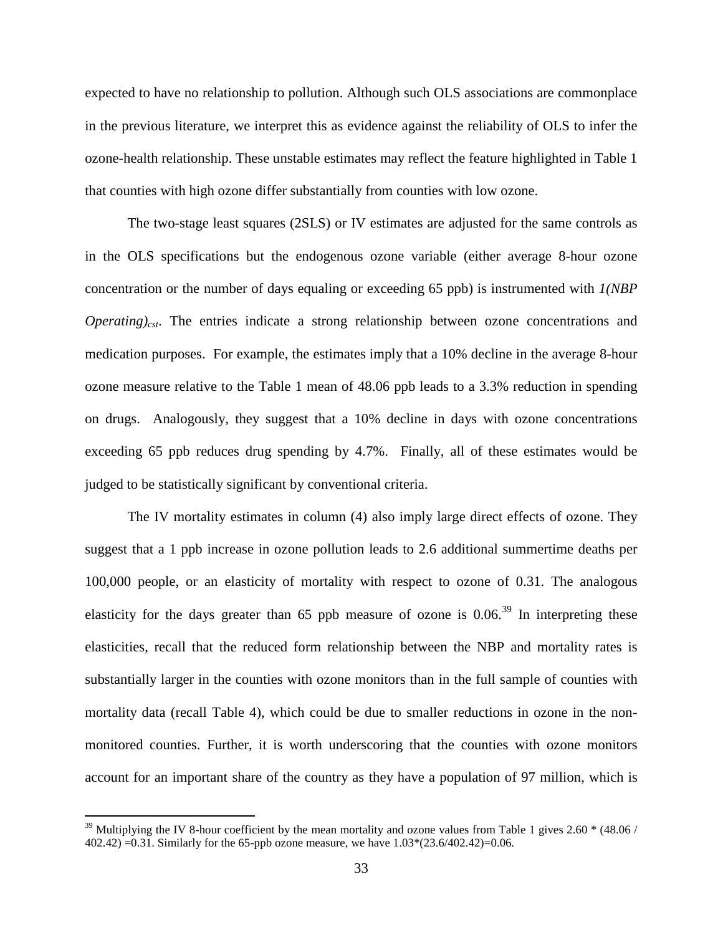expected to have no relationship to pollution. Although such OLS associations are commonplace in the previous literature, we interpret this as evidence against the reliability of OLS to infer the ozone-health relationship. These unstable estimates may reflect the feature highlighted in Table 1 that counties with high ozone differ substantially from counties with low ozone.

The two-stage least squares (2SLS) or IV estimates are adjusted for the same controls as in the OLS specifications but the endogenous ozone variable (either average 8-hour ozone concentration or the number of days equaling or exceeding 65 ppb) is instrumented with *1(NBP Operating*)<sub>cst</sub>. The entries indicate a strong relationship between ozone concentrations and medication purposes. For example, the estimates imply that a 10% decline in the average 8-hour ozone measure relative to the Table 1 mean of 48.06 ppb leads to a 3.3% reduction in spending on drugs. Analogously, they suggest that a 10% decline in days with ozone concentrations exceeding 65 ppb reduces drug spending by 4.7%. Finally, all of these estimates would be judged to be statistically significant by conventional criteria.

The IV mortality estimates in column (4) also imply large direct effects of ozone. They suggest that a 1 ppb increase in ozone pollution leads to 2.6 additional summertime deaths per 100,000 people, or an elasticity of mortality with respect to ozone of 0.31. The analogous elasticity for the days greater than 65 ppb measure of ozone is  $0.06^{39}$  $0.06^{39}$  $0.06^{39}$  In interpreting these elasticities, recall that the reduced form relationship between the NBP and mortality rates is substantially larger in the counties with ozone monitors than in the full sample of counties with mortality data (recall Table 4), which could be due to smaller reductions in ozone in the nonmonitored counties. Further, it is worth underscoring that the counties with ozone monitors account for an important share of the country as they have a population of 97 million, which is

<span id="page-34-0"></span> $39$  Multiplying the IV 8-hour coefficient by the mean mortality and ozone values from Table 1 gives 2.60  $*$  (48.06 / 402.42) =0.31. Similarly for the 65-ppb ozone measure, we have 1.03\*(23.6/402.42)=0.06.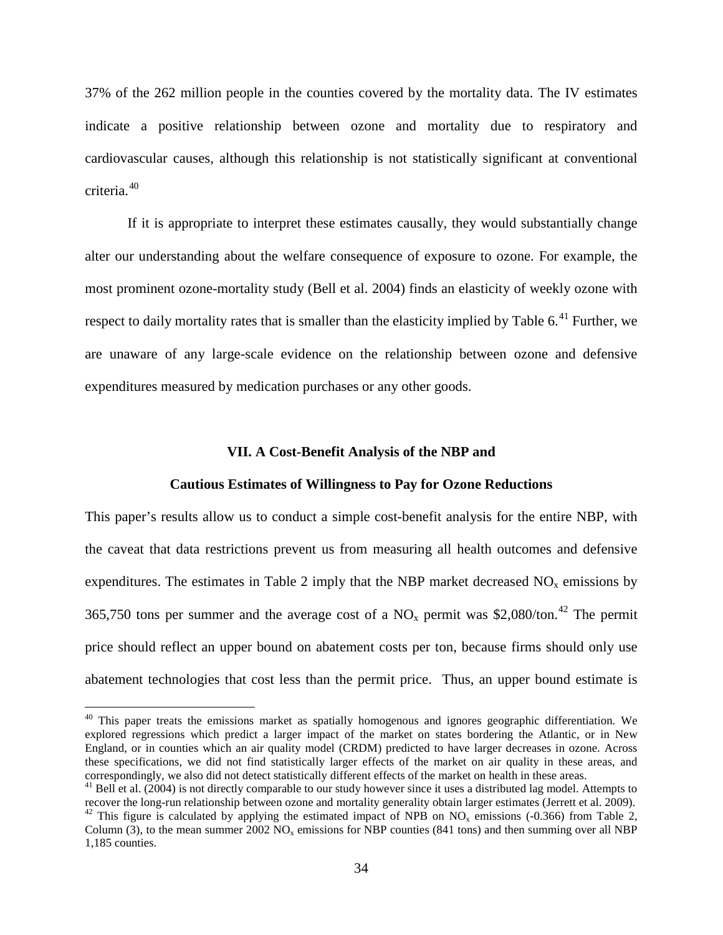37% of the 262 million people in the counties covered by the mortality data. The IV estimates indicate a positive relationship between ozone and mortality due to respiratory and cardiovascular causes, although this relationship is not statistically significant at conventional criteria.[40](#page-35-0)

If it is appropriate to interpret these estimates causally, they would substantially change alter our understanding about the welfare consequence of exposure to ozone. For example, the most prominent ozone-mortality study (Bell et al. 2004) finds an elasticity of weekly ozone with respect to daily mortality rates that is smaller than the elasticity implied by Table 6.<sup>[41](#page-35-1)</sup> Further, we are unaware of any large-scale evidence on the relationship between ozone and defensive expenditures measured by medication purchases or any other goods.

#### **VII. A Cost-Benefit Analysis of the NBP and**

#### **Cautious Estimates of Willingness to Pay for Ozone Reductions**

This paper's results allow us to conduct a simple cost-benefit analysis for the entire NBP, with the caveat that data restrictions prevent us from measuring all health outcomes and defensive expenditures. The estimates in Table 2 imply that the NBP market decreased  $NO<sub>x</sub>$  emissions by 365,750 tons per summer and the average cost of a  $NO_x$  permit was \$2,080/ton.<sup>[42](#page-35-2)</sup> The permit price should reflect an upper bound on abatement costs per ton, because firms should only use abatement technologies that cost less than the permit price. Thus, an upper bound estimate is

<span id="page-35-0"></span><sup>&</sup>lt;sup>40</sup> This paper treats the emissions market as spatially homogenous and ignores geographic differentiation. We explored regressions which predict a larger impact of the market on states bordering the Atlantic, or in New England, or in counties which an air quality model (CRDM) predicted to have larger decreases in ozone. Across these specifications, we did not find statistically larger effects of the market on air quality in these areas, and correspondingly, we also did not detect statistically different effects of the market on health in these areas.

<span id="page-35-1"></span> $41$  Bell et al. (2004) is not directly comparable to our study however since it uses a distributed lag model. Attempts to recover the long-run relationship between ozone and mortality generality obtain larger estimates (Jerrett et al. 2009).<br><sup>42</sup> This figure is calculated by applying the estimated impact of NPB on NO<sub>x</sub> emissions (-0.366) fr

<span id="page-35-2"></span>Column (3), to the mean summer 2002 NO<sub>y</sub> emissions for NBP counties (841 tons) and then summing over all NBP 1,185 counties.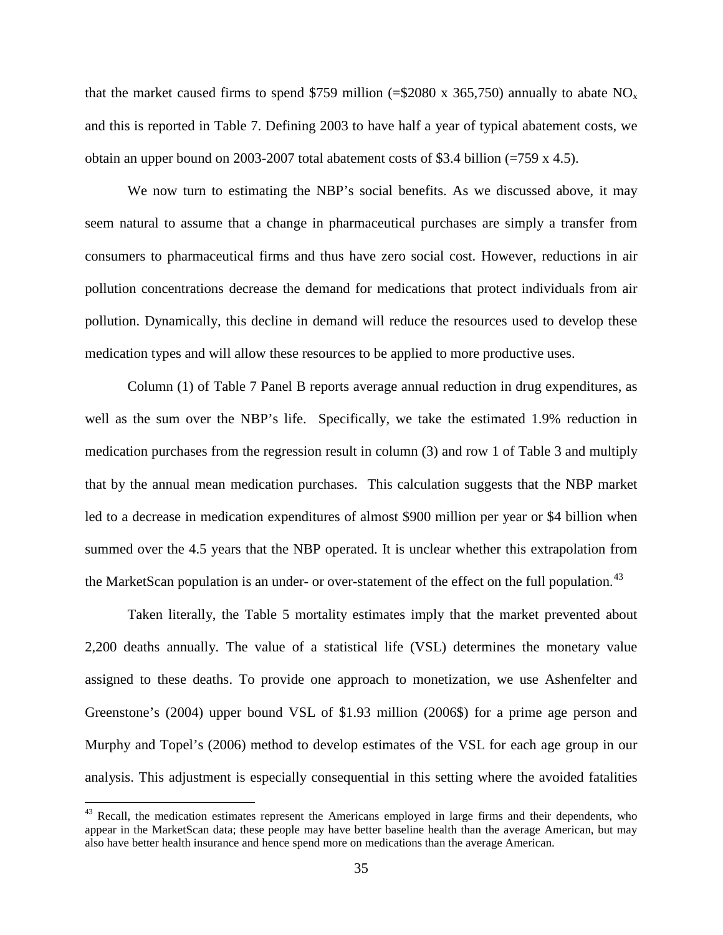that the market caused firms to spend \$759 million (=\$2080 x 365,750) annually to abate  $NO<sub>x</sub>$ and this is reported in Table 7. Defining 2003 to have half a year of typical abatement costs, we obtain an upper bound on 2003-2007 total abatement costs of \$3.4 billion (=759 x 4.5).

We now turn to estimating the NBP's social benefits. As we discussed above, it may seem natural to assume that a change in pharmaceutical purchases are simply a transfer from consumers to pharmaceutical firms and thus have zero social cost. However, reductions in air pollution concentrations decrease the demand for medications that protect individuals from air pollution. Dynamically, this decline in demand will reduce the resources used to develop these medication types and will allow these resources to be applied to more productive uses.

Column (1) of Table 7 Panel B reports average annual reduction in drug expenditures, as well as the sum over the NBP's life. Specifically, we take the estimated 1.9% reduction in medication purchases from the regression result in column (3) and row 1 of Table 3 and multiply that by the annual mean medication purchases. This calculation suggests that the NBP market led to a decrease in medication expenditures of almost \$900 million per year or \$4 billion when summed over the 4.5 years that the NBP operated. It is unclear whether this extrapolation from the MarketScan population is an under- or over-statement of the effect on the full population.<sup>[43](#page-36-0)</sup>

Taken literally, the Table 5 mortality estimates imply that the market prevented about 2,200 deaths annually. The value of a statistical life (VSL) determines the monetary value assigned to these deaths. To provide one approach to monetization, we use Ashenfelter and Greenstone's (2004) upper bound VSL of \$1.93 million (2006\$) for a prime age person and Murphy and Topel's (2006) method to develop estimates of the VSL for each age group in our analysis. This adjustment is especially consequential in this setting where the avoided fatalities

<span id="page-36-0"></span><sup>&</sup>lt;sup>43</sup> Recall, the medication estimates represent the Americans employed in large firms and their dependents, who appear in the MarketScan data; these people may have better baseline health than the average American, but may also have better health insurance and hence spend more on medications than the average American.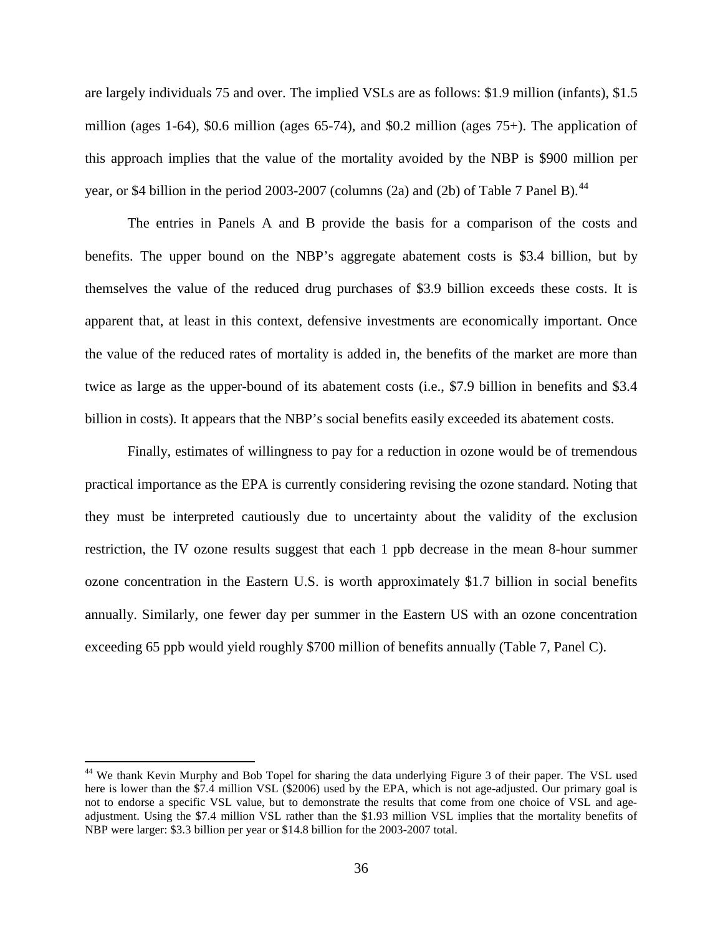are largely individuals 75 and over. The implied VSLs are as follows: \$1.9 million (infants), \$1.5 million (ages 1-64), \$0.6 million (ages 65-74), and \$0.2 million (ages  $75+$ ). The application of this approach implies that the value of the mortality avoided by the NBP is \$900 million per year, or \$4 billion in the period 2003-2007 (columns (2a) and (2b) of Table 7 Panel B).<sup>[44](#page-37-0)</sup>

The entries in Panels A and B provide the basis for a comparison of the costs and benefits. The upper bound on the NBP's aggregate abatement costs is \$3.4 billion, but by themselves the value of the reduced drug purchases of \$3.9 billion exceeds these costs. It is apparent that, at least in this context, defensive investments are economically important. Once the value of the reduced rates of mortality is added in, the benefits of the market are more than twice as large as the upper-bound of its abatement costs (i.e., \$7.9 billion in benefits and \$3.4 billion in costs). It appears that the NBP's social benefits easily exceeded its abatement costs.

Finally, estimates of willingness to pay for a reduction in ozone would be of tremendous practical importance as the EPA is currently considering revising the ozone standard. Noting that they must be interpreted cautiously due to uncertainty about the validity of the exclusion restriction, the IV ozone results suggest that each 1 ppb decrease in the mean 8-hour summer ozone concentration in the Eastern U.S. is worth approximately \$1.7 billion in social benefits annually. Similarly, one fewer day per summer in the Eastern US with an ozone concentration exceeding 65 ppb would yield roughly \$700 million of benefits annually (Table 7, Panel C).

<span id="page-37-0"></span><sup>&</sup>lt;sup>44</sup> We thank Kevin Murphy and Bob Topel for sharing the data underlying Figure 3 of their paper. The VSL used here is lower than the \$7.4 million VSL (\$2006) used by the EPA, which is not age-adjusted. Our primary goal is not to endorse a specific VSL value, but to demonstrate the results that come from one choice of VSL and ageadjustment. Using the \$7.4 million VSL rather than the \$1.93 million VSL implies that the mortality benefits of NBP were larger: \$3.3 billion per year or \$14.8 billion for the 2003-2007 total.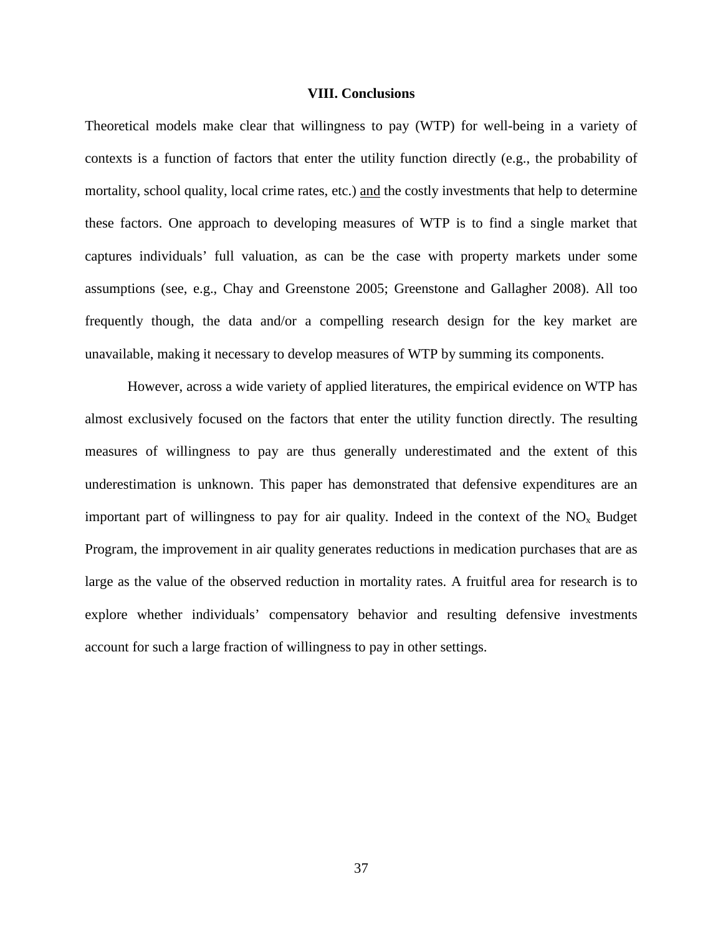#### **VIII. Conclusions**

Theoretical models make clear that willingness to pay (WTP) for well-being in a variety of contexts is a function of factors that enter the utility function directly (e.g., the probability of mortality, school quality, local crime rates, etc.) and the costly investments that help to determine these factors. One approach to developing measures of WTP is to find a single market that captures individuals' full valuation, as can be the case with property markets under some assumptions (see, e.g., Chay and Greenstone 2005; Greenstone and Gallagher 2008). All too frequently though, the data and/or a compelling research design for the key market are unavailable, making it necessary to develop measures of WTP by summing its components.

However, across a wide variety of applied literatures, the empirical evidence on WTP has almost exclusively focused on the factors that enter the utility function directly. The resulting measures of willingness to pay are thus generally underestimated and the extent of this underestimation is unknown. This paper has demonstrated that defensive expenditures are an important part of willingness to pay for air quality. Indeed in the context of the  $NO<sub>x</sub>$  Budget Program, the improvement in air quality generates reductions in medication purchases that are as large as the value of the observed reduction in mortality rates. A fruitful area for research is to explore whether individuals' compensatory behavior and resulting defensive investments account for such a large fraction of willingness to pay in other settings.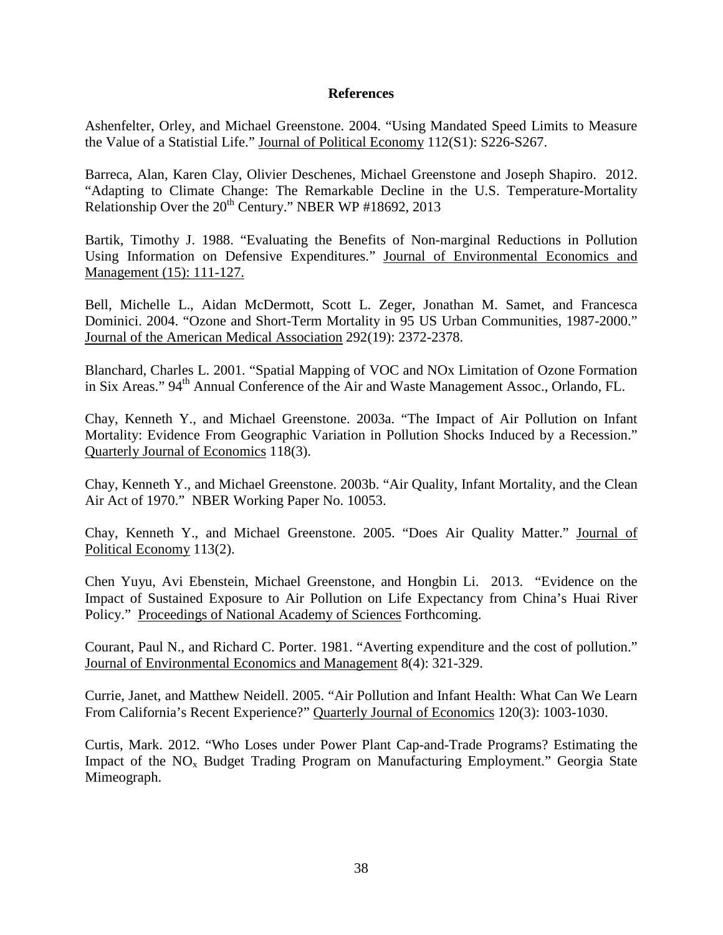#### **References**

Ashenfelter, Orley, and Michael Greenstone. 2004. "Using Mandated Speed Limits to Measure the Value of a Statistial Life." Journal of Political Economy 112(S1): S226-S267.

Barreca, Alan, Karen Clay, Olivier Deschenes, Michael Greenstone and Joseph Shapiro. 2012. "Adapting to Climate Change: The Remarkable Decline in the U.S. Temperature-Mortality Relationship Over the 20<sup>th</sup> Century." NBER WP #18692, 2013

Bartik, Timothy J. 1988. "Evaluating the Benefits of Non-marginal Reductions in Pollution Using Information on Defensive Expenditures." Journal of Environmental Economics and Management (15): 111-127.

Bell, Michelle L., Aidan McDermott, Scott L. Zeger, Jonathan M. Samet, and Francesca Dominici. 2004. "Ozone and Short-Term Mortality in 95 US Urban Communities, 1987-2000." Journal of the American Medical Association 292(19): 2372-2378.

Blanchard, Charles L. 2001. "Spatial Mapping of VOC and NOx Limitation of Ozone Formation in Six Areas." 94<sup>th</sup> Annual Conference of the Air and Waste Management Assoc., Orlando, FL.

Chay, Kenneth Y., and Michael Greenstone. 2003a. "The Impact of Air Pollution on Infant Mortality: Evidence From Geographic Variation in Pollution Shocks Induced by a Recession." Quarterly Journal of Economics 118(3).

Chay, Kenneth Y., and Michael Greenstone. 2003b. "Air Quality, Infant Mortality, and the Clean Air Act of 1970." NBER Working Paper No. 10053.

Chay, Kenneth Y., and Michael Greenstone. 2005. "Does Air Quality Matter." Journal of Political Economy 113(2).

Chen Yuyu, Avi Ebenstein, Michael Greenstone, and Hongbin Li. 2013. "Evidence on the Impact of Sustained Exposure to Air Pollution on Life Expectancy from China's Huai River Policy." Proceedings of National Academy of Sciences Forthcoming.

Courant, Paul N., and Richard C. Porter. 1981. "Averting expenditure and the cost of pollution." Journal of Environmental Economics and Management 8(4): 321-329.

Currie, Janet, and Matthew Neidell. 2005. "Air Pollution and Infant Health: What Can We Learn From California's Recent Experience?" Quarterly Journal of Economics 120(3): 1003-1030.

Curtis, Mark. 2012. "Who Loses under Power Plant Cap-and-Trade Programs? Estimating the Impact of the  $NO<sub>x</sub>$  Budget Trading Program on Manufacturing Employment." Georgia State Mimeograph.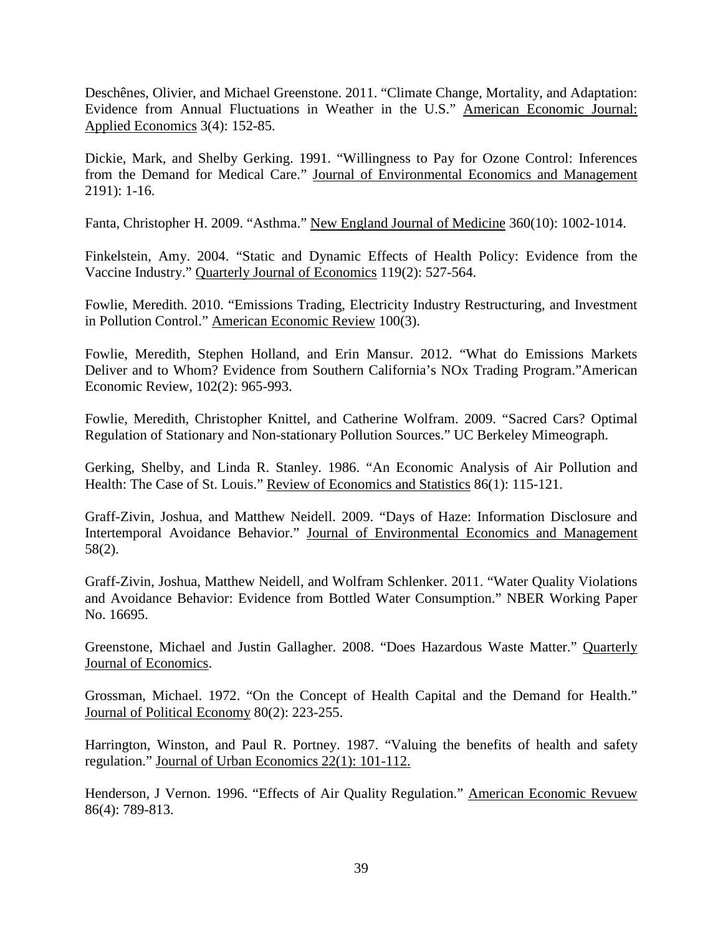Deschênes, Olivier, and Michael Greenstone. 2011. "Climate Change, Mortality, and Adaptation: Evidence from Annual Fluctuations in Weather in the U.S." American Economic Journal: Applied Economics 3(4): 152-85.

Dickie, Mark, and Shelby Gerking. 1991. "Willingness to Pay for Ozone Control: Inferences from the Demand for Medical Care." Journal of Environmental Economics and Management 2191): 1-16.

Fanta, Christopher H. 2009. "Asthma." New England Journal of Medicine 360(10): 1002-1014.

Finkelstein, Amy. 2004. "Static and Dynamic Effects of Health Policy: Evidence from the Vaccine Industry." Quarterly Journal of Economics 119(2): 527-564.

Fowlie, Meredith. 2010. "Emissions Trading, Electricity Industry Restructuring, and Investment in Pollution Control." American Economic Review 100(3).

Fowlie, Meredith, Stephen Holland, and Erin Mansur. 2012. "What do Emissions Markets Deliver and to Whom? Evidence from Southern California's NOx Trading Program."American Economic Review, 102(2): 965-993.

Fowlie, Meredith, Christopher Knittel, and Catherine Wolfram. 2009. "Sacred Cars? Optimal Regulation of Stationary and Non-stationary Pollution Sources." UC Berkeley Mimeograph.

Gerking, Shelby, and Linda R. Stanley. 1986. "An Economic Analysis of Air Pollution and Health: The Case of St. Louis." Review of Economics and Statistics 86(1): 115-121.

Graff-Zivin, Joshua, and Matthew Neidell. 2009. "Days of Haze: Information Disclosure and Intertemporal Avoidance Behavior." Journal of Environmental Economics and Management 58(2).

Graff-Zivin, Joshua, Matthew Neidell, and Wolfram Schlenker. 2011. "Water Quality Violations and Avoidance Behavior: Evidence from Bottled Water Consumption." NBER Working Paper No. 16695.

Greenstone, Michael and Justin Gallagher. 2008. "Does Hazardous Waste Matter." Quarterly Journal of Economics.

Grossman, Michael. 1972. "On the Concept of Health Capital and the Demand for Health." Journal of Political Economy 80(2): 223-255.

Harrington, Winston, and Paul R. Portney. 1987. "Valuing the benefits of health and safety regulation." Journal of Urban Economics 22(1): 101-112.

Henderson, J Vernon. 1996. "Effects of Air Quality Regulation." American Economic Revuew 86(4): 789-813.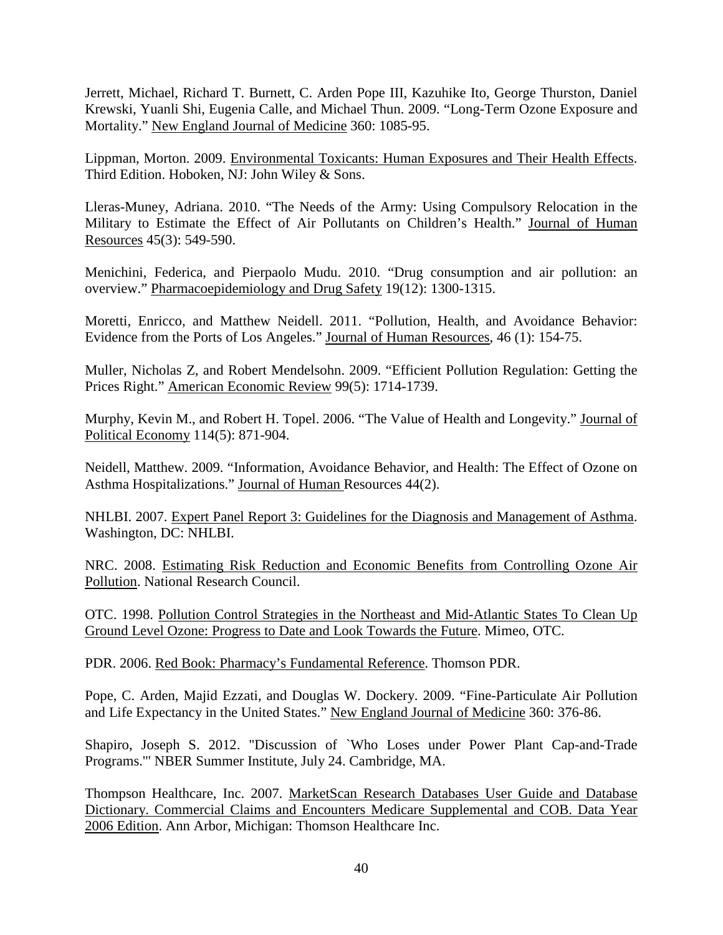Jerrett, Michael, Richard T. Burnett, C. Arden Pope III, Kazuhike Ito, George Thurston, Daniel Krewski, Yuanli Shi, Eugenia Calle, and Michael Thun. 2009. "Long-Term Ozone Exposure and Mortality." New England Journal of Medicine 360: 1085-95.

Lippman, Morton. 2009. Environmental Toxicants: Human Exposures and Their Health Effects. Third Edition. Hoboken, NJ: John Wiley & Sons.

Lleras-Muney, Adriana. 2010. "The Needs of the Army: Using Compulsory Relocation in the Military to Estimate the Effect of Air Pollutants on Children's Health." Journal of Human Resources 45(3): 549-590.

Menichini, Federica, and Pierpaolo Mudu. 2010. "Drug consumption and air pollution: an overview." Pharmacoepidemiology and Drug Safety 19(12): 1300-1315.

Moretti, Enricco, and Matthew Neidell. 2011. "Pollution, Health, and Avoidance Behavior: Evidence from the Ports of Los Angeles." Journal of Human Resources, 46 (1): 154-75.

Muller, Nicholas Z, and Robert Mendelsohn. 2009. "Efficient Pollution Regulation: Getting the Prices Right." American Economic Review 99(5): 1714-1739.

Murphy, Kevin M., and Robert H. Topel. 2006. "The Value of Health and Longevity." Journal of Political Economy 114(5): 871-904.

Neidell, Matthew. 2009. "Information, Avoidance Behavior, and Health: The Effect of Ozone on Asthma Hospitalizations." Journal of Human Resources 44(2).

NHLBI. 2007. Expert Panel Report 3: Guidelines for the Diagnosis and Management of Asthma. Washington, DC: NHLBI.

NRC. 2008. Estimating Risk Reduction and Economic Benefits from Controlling Ozone Air Pollution. National Research Council.

OTC. 1998. Pollution Control Strategies in the Northeast and Mid-Atlantic States To Clean Up Ground Level Ozone: Progress to Date and Look Towards the Future. Mimeo, OTC.

PDR. 2006. Red Book: Pharmacy's Fundamental Reference. Thomson PDR.

Pope, C. Arden, Majid Ezzati, and Douglas W. Dockery. 2009. "Fine-Particulate Air Pollution and Life Expectancy in the United States." New England Journal of Medicine 360: 376-86.

Shapiro, Joseph S. 2012. "Discussion of `Who Loses under Power Plant Cap-and-Trade Programs.'" NBER Summer Institute, July 24. Cambridge, MA.

Thompson Healthcare, Inc. 2007. MarketScan Research Databases User Guide and Database Dictionary. Commercial Claims and Encounters Medicare Supplemental and COB. Data Year 2006 Edition. Ann Arbor, Michigan: Thomson Healthcare Inc.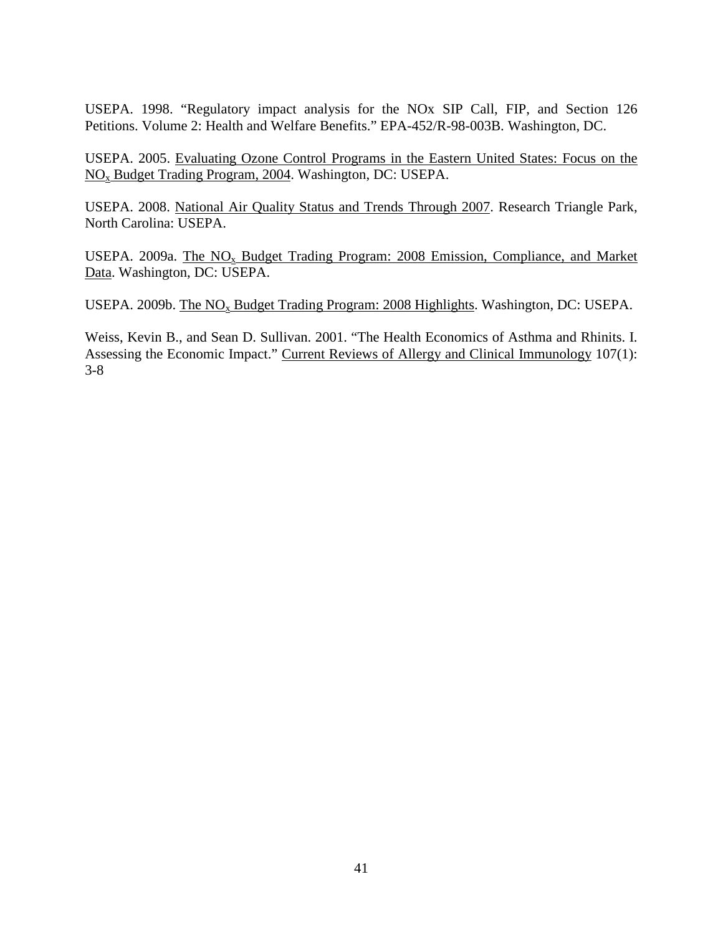USEPA. 1998. "Regulatory impact analysis for the NOx SIP Call, FIP, and Section 126 Petitions. Volume 2: Health and Welfare Benefits." EPA-452/R-98-003B. Washington, DC.

USEPA. 2005. Evaluating Ozone Control Programs in the Eastern United States: Focus on the NOx Budget Trading Program, 2004. Washington, DC: USEPA.

USEPA. 2008. National Air Quality Status and Trends Through 2007. Research Triangle Park, North Carolina: USEPA.

USEPA. 2009a. The  $NO<sub>x</sub>$  Budget Trading Program: 2008 Emission, Compliance, and Market Data. Washington, DC: USEPA.

USEPA. 2009b. The NO<sub>x</sub> Budget Trading Program: 2008 Highlights. Washington, DC: USEPA.

Weiss, Kevin B., and Sean D. Sullivan. 2001. "The Health Economics of Asthma and Rhinits. I. Assessing the Economic Impact." Current Reviews of Allergy and Clinical Immunology 107(1): 3-8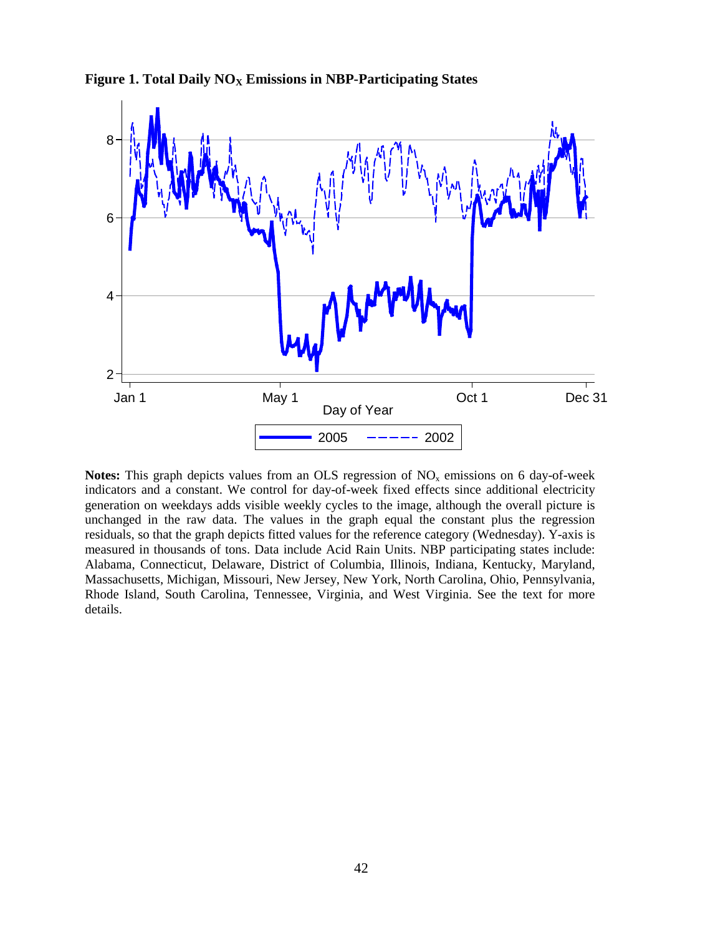**Figure 1. Total Daily NO<sub>X</sub> Emissions in NBP-Participating States** 



**Notes:** This graph depicts values from an OLS regression of  $NO<sub>x</sub>$  emissions on 6 day-of-week indicators and a constant. We control for day-of-week fixed effects since additional electricity generation on weekdays adds visible weekly cycles to the image, although the overall picture is unchanged in the raw data. The values in the graph equal the constant plus the regression residuals, so that the graph depicts fitted values for the reference category (Wednesday). Y-axis is measured in thousands of tons. Data include Acid Rain Units. NBP participating states include: Alabama, Connecticut, Delaware, District of Columbia, Illinois, Indiana, Kentucky, Maryland, Massachusetts, Michigan, Missouri, New Jersey, New York, North Carolina, Ohio, Pennsylvania, Rhode Island, South Carolina, Tennessee, Virginia, and West Virginia. See the text for more details.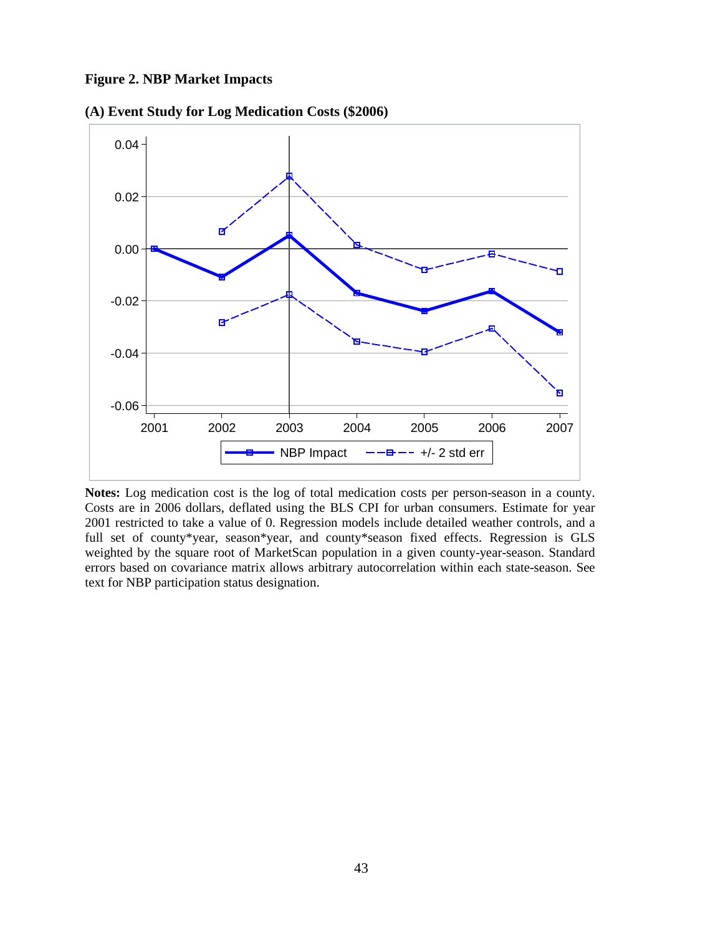**Figure 2. NBP Market Impacts**



**(A) Event Study for Log Medication Costs (\$2006)**

**Notes:** Log medication cost is the log of total medication costs per person-season in a county. Costs are in 2006 dollars, deflated using the BLS CPI for urban consumers. Estimate for year 2001 restricted to take a value of 0. Regression models include detailed weather controls, and a full set of county\*year, season\*year, and county\*season fixed effects. Regression is GLS weighted by the square root of MarketScan population in a given county-year-season. Standard errors based on covariance matrix allows arbitrary autocorrelation within each state-season. See text for NBP participation status designation.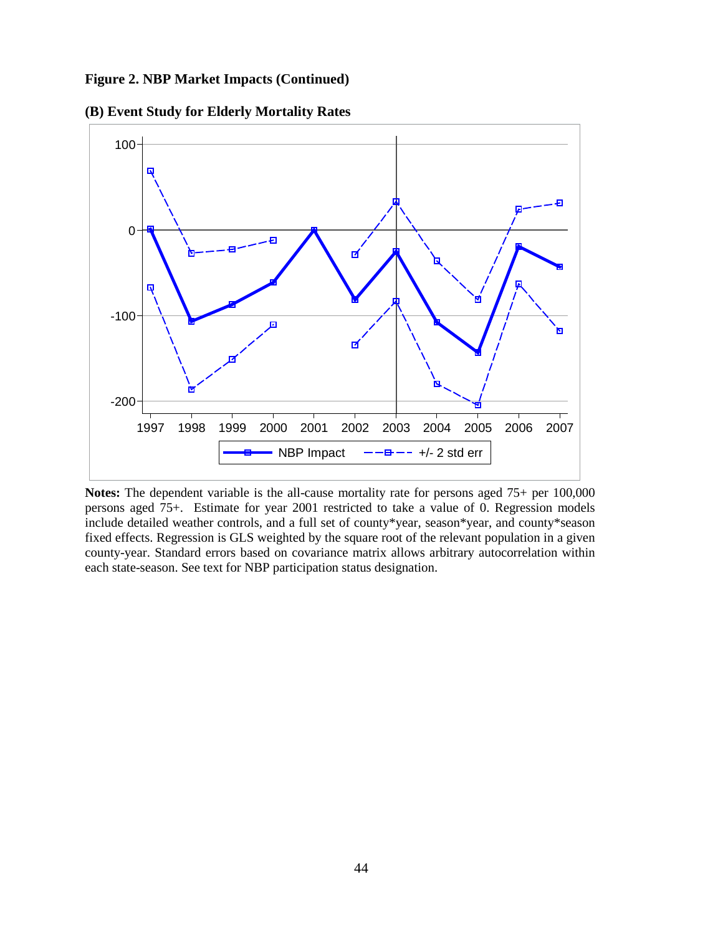**Figure 2. NBP Market Impacts (Continued)** 



**(B) Event Study for Elderly Mortality Rates**

Notes: The dependent variable is the all-cause mortality rate for persons aged  $75+$  per  $100,000$ persons aged 75+. Estimate for year 2001 restricted to take a value of 0. Regression models include detailed weather controls, and a full set of county\*year, season\*year, and county\*season fixed effects. Regression is GLS weighted by the square root of the relevant population in a given county-year. Standard errors based on covariance matrix allows arbitrary autocorrelation within each state-season. See text for NBP participation status designation.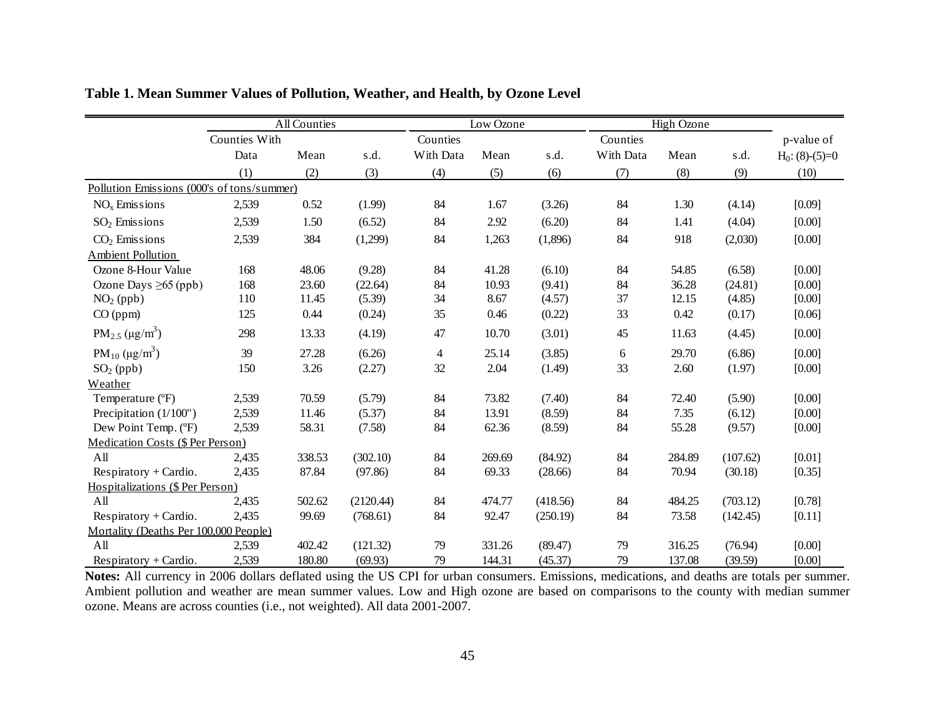|                                             | <b>All Counties</b> |        |           | Low Ozone |        |          | <b>High Ozone</b> |        |          |                   |
|---------------------------------------------|---------------------|--------|-----------|-----------|--------|----------|-------------------|--------|----------|-------------------|
|                                             | Counties With       |        |           | Counties  |        |          | Counties          |        |          | p-value of        |
|                                             | Data                | Mean   | s.d.      | With Data | Mean   | s.d.     | With Data         | Mean   | s.d.     | $H_0$ : (8)-(5)=0 |
|                                             | (1)                 | (2)    | (3)       | (4)       | (5)    | (6)      | (7)               | (8)    | (9)      | (10)              |
| Pollution Emissions (000's of tons/summer)  |                     |        |           |           |        |          |                   |        |          |                   |
| $NOx$ Emissions                             | 2,539               | 0.52   | (1.99)    | 84        | 1.67   | (3.26)   | 84                | 1.30   | (4.14)   | [0.09]            |
| $SO2$ Emissions                             | 2,539               | 1.50   | (6.52)    | 84        | 2.92   | (6.20)   | 84                | 1.41   | (4.04)   | [0.00]            |
| $CO2$ Emissions                             | 2,539               | 384    | (1,299)   | 84        | 1,263  | (1,896)  | 84                | 918    | (2,030)  | [0.00]            |
| <b>Ambient Pollution</b>                    |                     |        |           |           |        |          |                   |        |          |                   |
| Ozone 8-Hour Value                          | 168                 | 48.06  | (9.28)    | 84        | 41.28  | (6.10)   | 84                | 54.85  | (6.58)   | [0.00]            |
| Ozone Days $\geq 65$ (ppb)                  | 168                 | 23.60  | (22.64)   | 84        | 10.93  | (9.41)   | 84                | 36.28  | (24.81)  | [0.00]            |
| $NO2$ (ppb)                                 | 110                 | 11.45  | (5.39)    | 34        | 8.67   | (4.57)   | 37                | 12.15  | (4.85)   | [0.00]            |
| CO (ppm)                                    | 125                 | 0.44   | (0.24)    | 35        | 0.46   | (0.22)   | 33                | 0.42   | (0.17)   | [0.06]            |
| $PM_{2.5} (\mu g/m^3)$                      | 298                 | 13.33  | (4.19)    | 47        | 10.70  | (3.01)   | 45                | 11.63  | (4.45)   | [0.00]            |
| PM <sub>10</sub> ( $\mu$ g/m <sup>3</sup> ) | 39                  | 27.28  | (6.26)    | 4         | 25.14  | (3.85)   | 6                 | 29.70  | (6.86)   | [0.00]            |
| $SO2$ (ppb)                                 | 150                 | 3.26   | (2.27)    | 32        | 2.04   | (1.49)   | 33                | 2.60   | (1.97)   | [0.00]            |
| Weather                                     |                     |        |           |           |        |          |                   |        |          |                   |
| Temperature (°F)                            | 2,539               | 70.59  | (5.79)    | 84        | 73.82  | (7.40)   | 84                | 72.40  | (5.90)   | [0.00]            |
| Precipitation (1/100")                      | 2,539               | 11.46  | (5.37)    | 84        | 13.91  | (8.59)   | 84                | 7.35   | (6.12)   | [0.00]            |
| Dew Point Temp. (°F)                        | 2,539               | 58.31  | (7.58)    | 84        | 62.36  | (8.59)   | 84                | 55.28  | (9.57)   | [0.00]            |
| Medication Costs (\$ Per Person)            |                     |        |           |           |        |          |                   |        |          |                   |
| All                                         | 2,435               | 338.53 | (302.10)  | 84        | 269.69 | (84.92)  | 84                | 284.89 | (107.62) | [0.01]            |
| Respiratory + Cardio.                       | 2,435               | 87.84  | (97.86)   | 84        | 69.33  | (28.66)  | 84                | 70.94  | (30.18)  | [0.35]            |
| Hospitalizations (\$ Per Person)            |                     |        |           |           |        |          |                   |        |          |                   |
| All                                         | 2,435               | 502.62 | (2120.44) | 84        | 474.77 | (418.56) | 84                | 484.25 | (703.12) | [0.78]            |
| $Respiratory + Cardio.$                     | 2,435               | 99.69  | (768.61)  | 84        | 92.47  | (250.19) | 84                | 73.58  | (142.45) | [0.11]            |
| Mortality (Deaths Per 100,000 People)       |                     |        |           |           |        |          |                   |        |          |                   |
| All                                         | 2,539               | 402.42 | (121.32)  | 79        | 331.26 | (89.47)  | 79                | 316.25 | (76.94)  | [0.00]            |
| $Respiratory + Cardio.$                     | 2,539               | 180.80 | (69.93)   | 79        | 144.31 | (45.37)  | 79                | 137.08 | (39.59)  | [0.00]            |

**Table 1. Mean Summer Values of Pollution, Weather, and Health, by Ozone Level**

**Notes:** All currency in 2006 dollars deflated using the US CPI for urban consumers. Emissions, medications, and deaths are totals per summer. Ambient pollution and weather are mean summer values. Low and High ozone are based on comparisons to the county with median summer ozone. Means are across counties (i.e., not weighted). All data 2001-2007.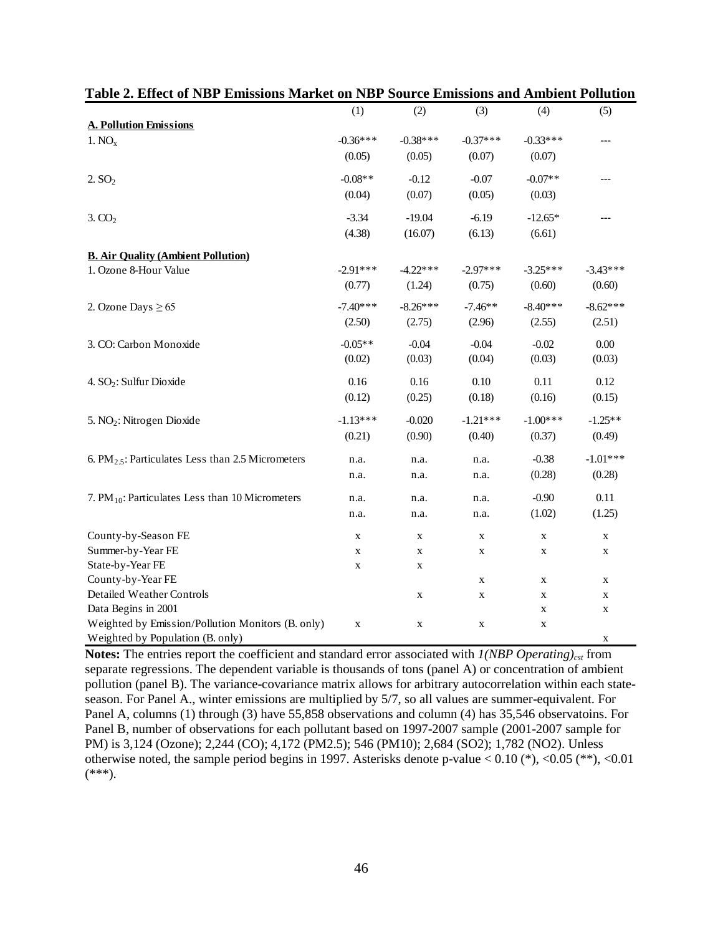|                                                         | (1)         | (2)         | (3)         | (4)         | (5)         |
|---------------------------------------------------------|-------------|-------------|-------------|-------------|-------------|
| <b>A. Pollution Emissions</b>                           |             |             |             |             |             |
| 1. NO <sub>x</sub>                                      | $-0.36***$  | $-0.38***$  | $-0.37***$  | $-0.33***$  |             |
|                                                         | (0.05)      | (0.05)      | (0.07)      | (0.07)      |             |
| 2.5O <sub>2</sub>                                       | $-0.08**$   | $-0.12$     | $-0.07$     | $-0.07**$   |             |
|                                                         | (0.04)      | (0.07)      | (0.05)      | (0.03)      |             |
| 3.CO <sub>2</sub>                                       | $-3.34$     | $-19.04$    | $-6.19$     | $-12.65*$   |             |
|                                                         | (4.38)      | (16.07)     | (6.13)      | (6.61)      |             |
| <b>B. Air Quality (Ambient Pollution)</b>               |             |             |             |             |             |
| 1. Ozone 8-Hour Value                                   | $-2.91***$  | $-4.22***$  | $-2.97***$  | $-3.25***$  | $-3.43***$  |
|                                                         | (0.77)      | (1.24)      | (0.75)      | (0.60)      | (0.60)      |
| 2. Ozone Days $\geq 65$                                 | $-7.40***$  | $-8.26***$  | $-7.46**$   | $-8.40***$  | $-8.62***$  |
|                                                         | (2.50)      | (2.75)      | (2.96)      | (2.55)      | (2.51)      |
| 3. CO: Carbon Monoxide                                  | $-0.05**$   | $-0.04$     | $-0.04$     | $-0.02$     | $0.00\,$    |
|                                                         | (0.02)      | (0.03)      | (0.04)      | (0.03)      | (0.03)      |
| 4. SO <sub>2</sub> : Sulfur Dioxide                     | 0.16        | 0.16        | 0.10        | 0.11        | 0.12        |
|                                                         | (0.12)      | (0.25)      | (0.18)      | (0.16)      | (0.15)      |
| 5. NO <sub>2</sub> : Nitrogen Dioxide                   | $-1.13***$  | $-0.020$    | $-1.21***$  | $-1.00***$  | $-1.25**$   |
|                                                         | (0.21)      | (0.90)      | (0.40)      | (0.37)      | (0.49)      |
| 6. PM $_{2.5}$ : Particulates Less than 2.5 Micrometers | n.a.        | n.a.        | n.a.        | $-0.38$     | $-1.01***$  |
|                                                         | n.a.        | n.a.        | n.a.        | (0.28)      | (0.28)      |
| 7. $PM_{10}$ : Particulates Less than 10 Micrometers    | n.a.        | n.a.        | n.a.        | $-0.90$     | 0.11        |
|                                                         | n.a.        | n.a.        | n.a.        | (1.02)      | (1.25)      |
| County-by-Season FE                                     | X           | $\mathbf X$ | $\mathbf X$ | $\mathbf X$ | X           |
| Summer-by-Year FE                                       | X           | X           | X           | $\mathbf X$ | X           |
| State-by-Year FE                                        | $\mathbf X$ | $\mathbf X$ |             |             |             |
| County-by-Year FE                                       |             |             | $\mathbf X$ | $\mathbf X$ | $\mathbf X$ |
| <b>Detailed Weather Controls</b>                        |             | $\mathbf X$ | $\mathbf X$ | $\mathbf X$ | $\mathbf X$ |
| Data Begins in 2001                                     |             |             |             | $\mathbf X$ | $\mathbf X$ |
| Weighted by Emission/Pollution Monitors (B. only)       | $\mathbf X$ | $\mathbf X$ | $\mathbf X$ | $\mathbf X$ |             |
| Weighted by Population (B. only)                        |             |             |             |             | X           |

Notes: The entries report the coefficient and standard error associated with *1(NBP Operating)<sub>cst</sub>* from separate regressions. The dependent variable is thousands of tons (panel A) or concentration of ambient pollution (panel B). The variance-covariance matrix allows for arbitrary autocorrelation within each stateseason. For Panel A., winter emissions are multiplied by 5/7, so all values are summer-equivalent. For Panel A, columns (1) through (3) have 55,858 observations and column (4) has 35,546 observatoins. For Panel B, number of observations for each pollutant based on 1997-2007 sample (2001-2007 sample for PM) is 3,124 (Ozone); 2,244 (CO); 4,172 (PM2.5); 546 (PM10); 2,684 (SO2); 1,782 (NO2). Unless otherwise noted, the sample period begins in 1997. Asterisks denote p-value < 0.10 (\*), <0.05 (\*\*), <0.01  $(***).$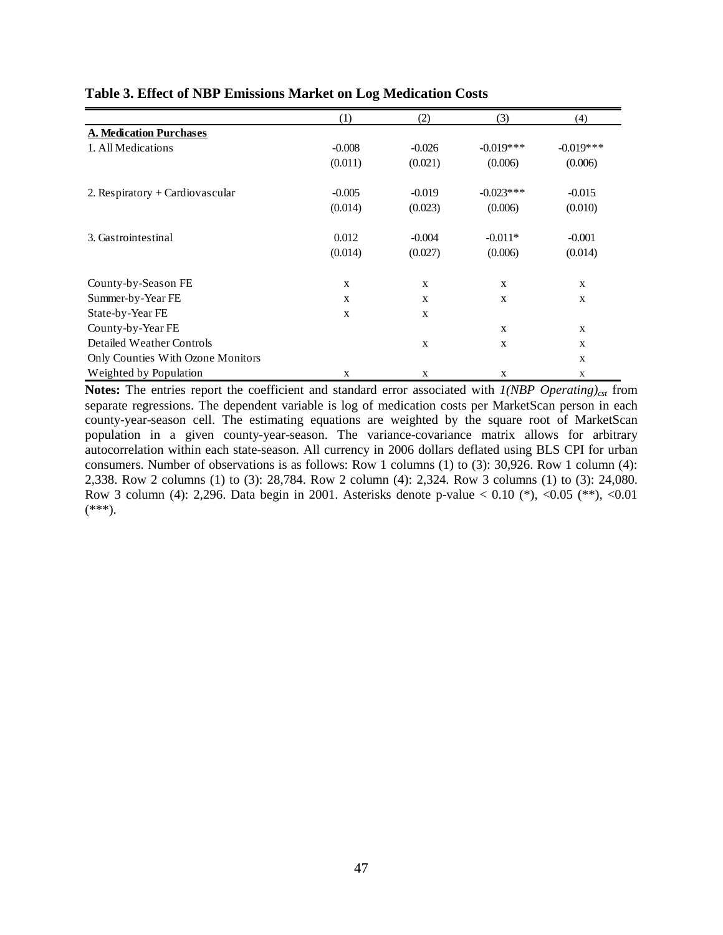|                                   | (1)      | (2)         | (3)          | (4)          |
|-----------------------------------|----------|-------------|--------------|--------------|
| <b>A. Medication Purchases</b>    |          |             |              |              |
| 1. All Medications                | $-0.008$ | $-0.026$    | $-0.019***$  | $-0.019***$  |
|                                   | (0.011)  | (0.021)     | (0.006)      | (0.006)      |
| 2. Respiratory + Cardiovascular   | $-0.005$ | $-0.019$    | $-0.023***$  | $-0.015$     |
|                                   | (0.014)  | (0.023)     | (0.006)      | (0.010)      |
| 3. Gastrointestinal               | 0.012    | $-0.004$    | $-0.011*$    | $-0.001$     |
|                                   | (0.014)  | (0.027)     | (0.006)      | (0.014)      |
| County-by-Season FE               | X        | X           | $\mathbf{X}$ | $\mathbf{X}$ |
| Summer-by-Year FE                 | X        | $\mathbf X$ | $\mathbf X$  | $\mathbf X$  |
| State-by-Year FE                  | X        | $\mathbf X$ |              |              |
| County-by-Year FE                 |          |             | $\mathbf{X}$ | $\mathbf{X}$ |
| Detailed Weather Controls         |          | X           | $\mathbf{X}$ | $\mathbf{X}$ |
| Only Counties With Ozone Monitors |          |             |              | X            |
| Weighted by Population            | X        | X           | $\mathbf X$  | $\mathbf{X}$ |

#### **Table 3. Effect of NBP Emissions Market on Log Medication Costs**

**Notes:** The entries report the coefficient and standard error associated with  $I(NBP$  Operating)<sub>cst</sub> from separate regressions. The dependent variable is log of medication costs per MarketScan person in each county-year-season cell. The estimating equations are weighted by the square root of MarketScan population in a given county-year-season. The variance-covariance matrix allows for arbitrary autocorrelation within each state-season. All currency in 2006 dollars deflated using BLS CPI for urban consumers. Number of observations is as follows: Row 1 columns (1) to (3): 30,926. Row 1 column (4): 2,338. Row 2 columns (1) to (3): 28,784. Row 2 column (4): 2,324. Row 3 columns (1) to (3): 24,080. Row 3 column (4): 2,296. Data begin in 2001. Asterisks denote p-value  $< 0.10$  (\*),  $<0.05$  (\*\*),  $<0.01$  $(***).$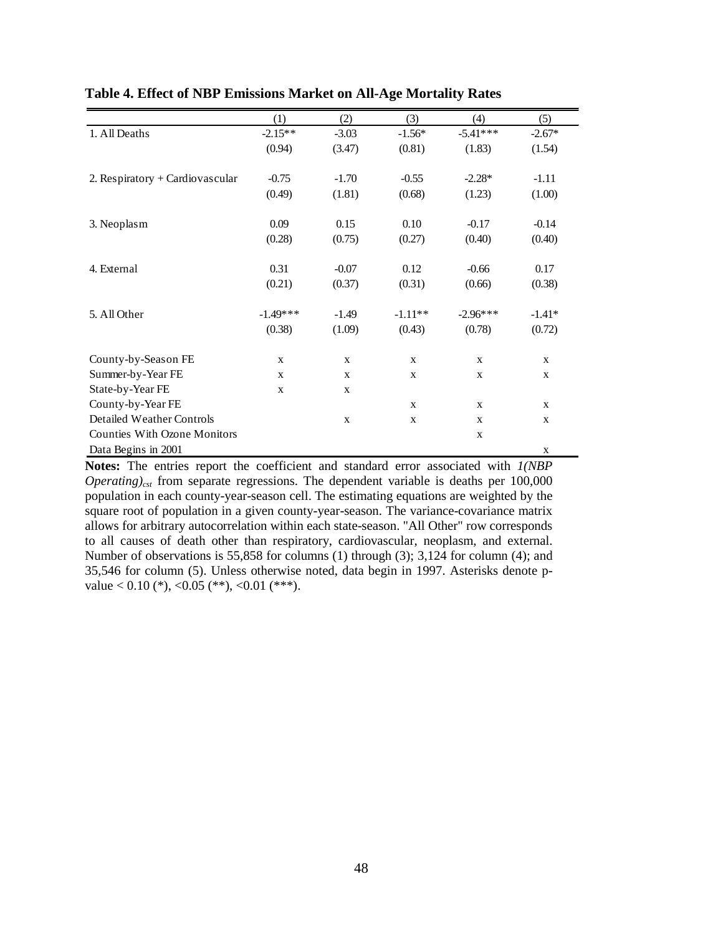|                                     | (1)          | (2)          | (3)          | (4)          | (5)          |
|-------------------------------------|--------------|--------------|--------------|--------------|--------------|
| 1. All Deaths                       | $-2.15**$    | $-3.03$      | $-1.56*$     | $-5.41***$   | $-2.67*$     |
|                                     | (0.94)       | (3.47)       | (0.81)       | (1.83)       | (1.54)       |
|                                     |              |              |              |              |              |
| 2. Respiratory + Cardiovascular     | $-0.75$      | $-1.70$      | $-0.55$      | $-2.28*$     | $-1.11$      |
|                                     | (0.49)       | (1.81)       | (0.68)       | (1.23)       | (1.00)       |
|                                     |              |              |              |              |              |
| 3. Neoplasm                         | 0.09         | 0.15         | 0.10         | $-0.17$      | $-0.14$      |
|                                     | (0.28)       | (0.75)       | (0.27)       | (0.40)       | (0.40)       |
|                                     |              |              |              |              |              |
| 4. External                         | 0.31         | $-0.07$      | 0.12         | $-0.66$      | 0.17         |
|                                     | (0.21)       | (0.37)       | (0.31)       | (0.66)       | (0.38)       |
|                                     |              |              |              |              |              |
| 5. All Other                        | $-1.49***$   | $-1.49$      | $-1.11**$    | $-2.96***$   | $-1.41*$     |
|                                     | (0.38)       | (1.09)       | (0.43)       | (0.78)       | (0.72)       |
|                                     |              |              |              |              |              |
| County-by-Season FE                 | $\mathbf X$  | $\mathbf X$  | $\mathbf X$  | $\mathbf x$  | $\mathbf X$  |
| Summer-by-Year FE                   | $\mathbf{X}$ | $\mathbf x$  | $\mathbf{X}$ | $\mathbf{X}$ | $\mathbf{X}$ |
| State-by-Year FE                    | $\mathbf{X}$ | $\mathbf{X}$ |              |              |              |
| County-by-Year FE                   |              |              | $\mathbf x$  | $\mathbf x$  | $\mathbf{X}$ |
| Detailed Weather Controls           |              | $\mathbf X$  | $\mathbf X$  | $\mathbf{X}$ | $\mathbf X$  |
| <b>Counties With Ozone Monitors</b> |              |              |              | $\mathbf{X}$ |              |
| Data Begins in 2001                 |              |              |              |              | $\mathbf X$  |

#### **Table 4. Effect of NBP Emissions Market on All-Age Mortality Rates**

**Notes:** The entries report the coefficient and standard error associated with *1(NBP Operating*)<sub>cst</sub> from separate regressions. The dependent variable is deaths per  $100,000$ population in each county-year-season cell. The estimating equations are weighted by the square root of population in a given county-year-season. The variance-covariance matrix allows for arbitrary autocorrelation within each state-season. "All Other" row corresponds to all causes of death other than respiratory, cardiovascular, neoplasm, and external. Number of observations is 55,858 for columns (1) through (3); 3,124 for column (4); and 35,546 for column (5). Unless otherwise noted, data begin in 1997. Asterisks denote pvalue  $< 0.10$  (\*),  $< 0.05$  (\*\*),  $< 0.01$  (\*\*\*).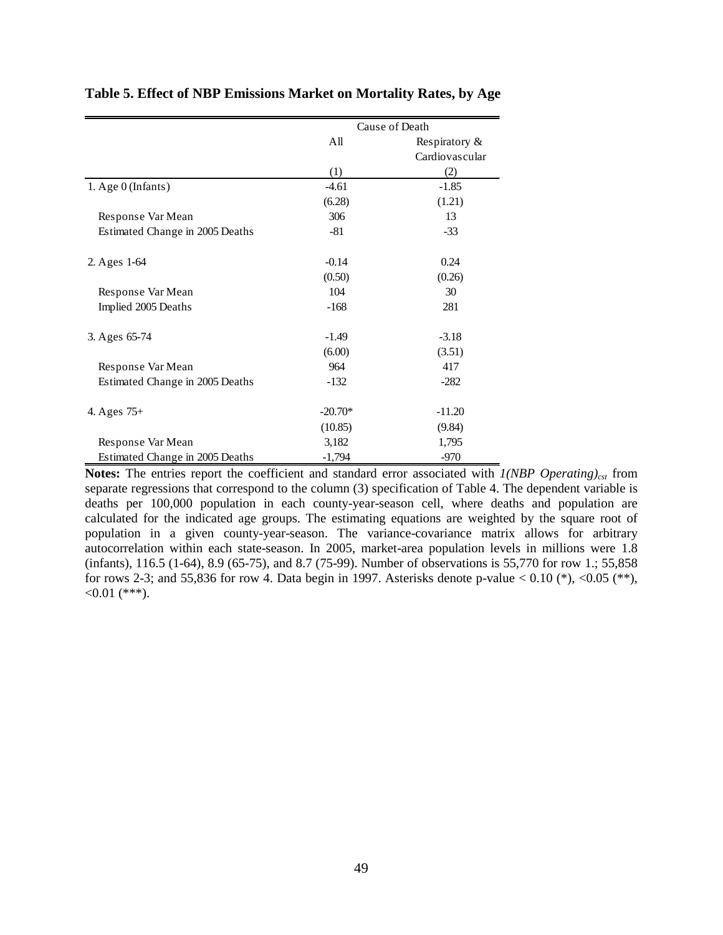|                                 |           | Cause of Death |
|---------------------------------|-----------|----------------|
|                                 | All       | Respiratory &  |
|                                 |           | Cardiovascular |
|                                 | (1)       | (2)            |
| 1. Age 0 (Infants)              | $-4.61$   | $-1.85$        |
|                                 | (6.28)    | (1.21)         |
| Response Var Mean               | 306       | 13             |
| Estimated Change in 2005 Deaths | $-81$     | $-33$          |
| 2. Ages 1-64                    | $-0.14$   | 0.24           |
|                                 | (0.50)    | (0.26)         |
| Response Var Mean               | 104       | 30             |
| Implied 2005 Deaths             | $-168$    | 281            |
| 3. Ages 65-74                   | $-1.49$   | $-3.18$        |
|                                 | (6.00)    | (3.51)         |
| Response Var Mean               | 964       | 417            |
| Estimated Change in 2005 Deaths | $-132$    | $-282$         |
| 4. Ages $75+$                   | $-20.70*$ | $-11.20$       |
|                                 | (10.85)   | (9.84)         |
| Response Var Mean               | 3,182     | 1,795          |
| Estimated Change in 2005 Deaths | $-1,794$  | $-970$         |

#### **Table 5. Effect of NBP Emissions Market on Mortality Rates, by Age**

**Notes:** The entries report the coefficient and standard error associated with  $1(NBP$  Operating)<sub>cst</sub> from separate regressions that correspond to the column (3) specification of Table 4. The dependent variable is deaths per 100,000 population in each county-year-season cell, where deaths and population are calculated for the indicated age groups. The estimating equations are weighted by the square root of population in a given county-year-season. The variance-covariance matrix allows for arbitrary autocorrelation within each state-season. In 2005, market-area population levels in millions were 1.8 (infants), 116.5 (1-64), 8.9 (65-75), and 8.7 (75-99). Number of observations is 55,770 for row 1.; 55,858 for rows 2-3; and 55,836 for row 4. Data begin in 1997. Asterisks denote p-value  $< 0.10$  (\*),  $<0.05$  (\*\*),  $<0.01$  (\*\*\*).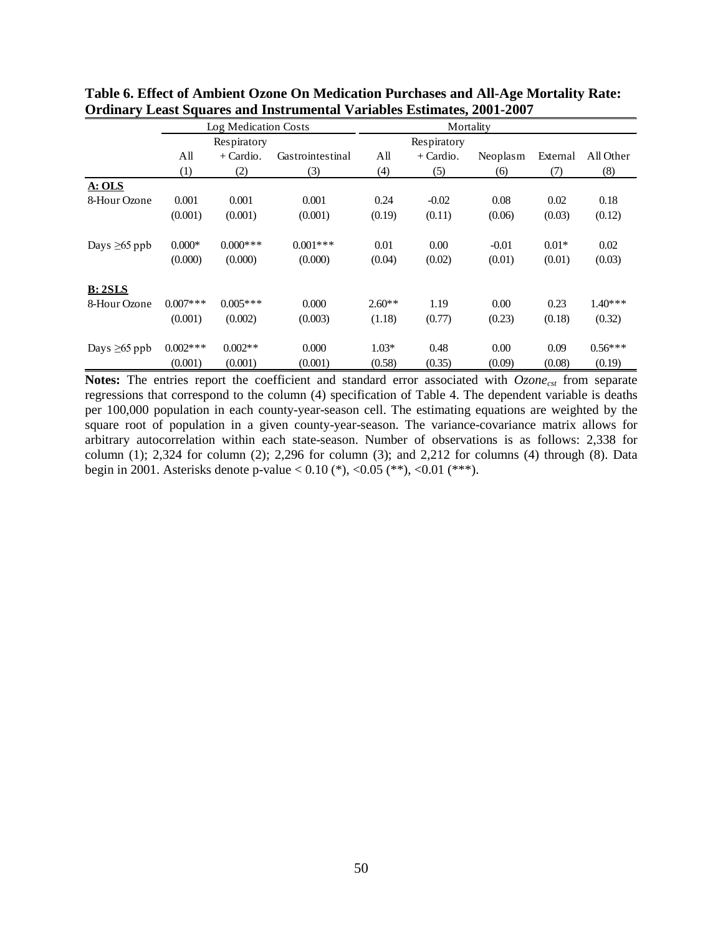|                    |             | Log Medication Costs |                  | Mortality |             |          |          |           |
|--------------------|-------------|----------------------|------------------|-----------|-------------|----------|----------|-----------|
|                    |             | Respiratory          |                  |           | Respiratory |          |          |           |
|                    | All         | $+$ Cardio.          | Gastrointestinal | All       | $+$ Cardio. | Neoplasm | External | All Other |
|                    | (1)         | (2)                  | (3)              | (4)       | (5)         | (6)      | (7)      | (8)       |
| A: OLS             |             |                      |                  |           |             |          |          |           |
| 8-Hour Ozone       | 0.001       | 0.001                | 0.001            | 0.24      | $-0.02$     | 0.08     | 0.02     | 0.18      |
|                    | (0.001)     | (0.001)              | (0.001)          | (0.19)    | (0.11)      | (0.06)   | (0.03)   | (0.12)    |
| Days $\geq 65$ ppb | $0.000*$    | $0.000$ ***          | $0.001***$       | 0.01      | 0.00        | $-0.01$  | $0.01*$  | 0.02      |
|                    | (0.000)     | (0.000)              | (0.000)          | (0.04)    | (0.02)      | (0.01)   | (0.01)   | (0.03)    |
| B: 2SLS            |             |                      |                  |           |             |          |          |           |
| 8-Hour Ozone       | $0.007$ *** | $0.005***$           | 0.000            | $2.60**$  | 1.19        | 0.00     | 0.23     | $1.40***$ |
|                    | (0.001)     | (0.002)              | (0.003)          | (1.18)    | (0.77)      | (0.23)   | (0.18)   | (0.32)    |
| Days $\geq 65$ ppb | $0.002$ *** | $0.002**$            | 0.000            | $1.03*$   | 0.48        | 0.00     | 0.09     | $0.56***$ |
|                    | (0.001)     | (0.001)              | (0.001)          | (0.58)    | (0.35)      | (0.09)   | (0.08)   | (0.19)    |

**Table 6. Effect of Ambient Ozone On Medication Purchases and All-Age Mortality Rate: Ordinary Least Squares and Instrumental Variables Estimates, 2001-2007**

Notes: The entries report the coefficient and standard error associated with *Ozone<sub>cst</sub>* from separate regressions that correspond to the column (4) specification of Table 4. The dependent variable is deaths per 100,000 population in each county-year-season cell. The estimating equations are weighted by the square root of population in a given county-year-season. The variance-covariance matrix allows for arbitrary autocorrelation within each state-season. Number of observations is as follows: 2,338 for column  $(1)$ ; 2,324 for column  $(2)$ ; 2,296 for column  $(3)$ ; and 2,212 for columns  $(4)$  through  $(8)$ . Data begin in 2001. Asterisks denote p-value  $< 0.10$  (\*),  $< 0.05$  (\*\*),  $< 0.01$  (\*\*\*).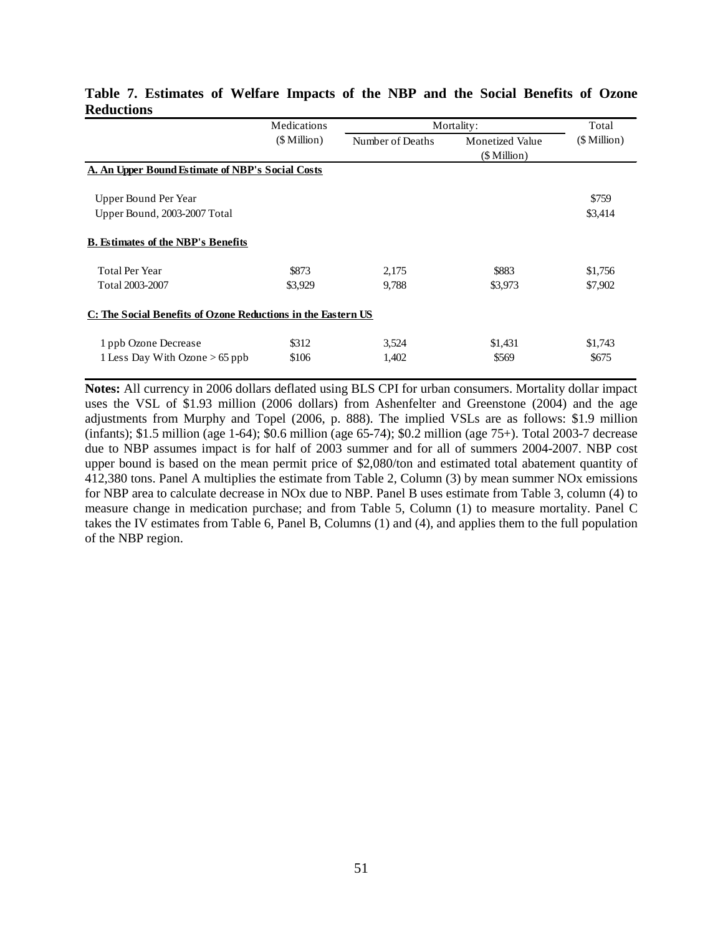|                                                              | Medications      |                  | Mortality:             | Total        |  |  |  |  |
|--------------------------------------------------------------|------------------|------------------|------------------------|--------------|--|--|--|--|
|                                                              | $($$ Million $)$ | Number of Deaths | <b>Monetized Value</b> | (\$ Million) |  |  |  |  |
|                                                              |                  |                  | (\$ Million)           |              |  |  |  |  |
| A. An Upper Bound Estimate of NBP's Social Costs             |                  |                  |                        |              |  |  |  |  |
|                                                              |                  |                  |                        |              |  |  |  |  |
| Upper Bound Per Year                                         |                  |                  |                        | \$759        |  |  |  |  |
| Upper Bound, 2003-2007 Total                                 |                  |                  |                        | \$3,414      |  |  |  |  |
| <b>B.</b> Estimates of the NBP's Benefits                    |                  |                  |                        |              |  |  |  |  |
| <b>Total Per Year</b>                                        | \$873            | 2,175            | \$883                  | \$1,756      |  |  |  |  |
| Total 2003-2007                                              | \$3,929          | 9,788            | \$3,973                | \$7,902      |  |  |  |  |
| C: The Social Benefits of Ozone Reductions in the Eastern US |                  |                  |                        |              |  |  |  |  |
| 1 ppb Ozone Decrease                                         | \$312            | 3,524            | \$1,431                | \$1,743      |  |  |  |  |
| 1 Less Day With Ozone $> 65$ ppb                             | \$106            | 1,402            | \$569                  | \$675        |  |  |  |  |

#### **Table 7. Estimates of Welfare Impacts of the NBP and the Social Benefits of Ozone Reductions**

**Notes:** All currency in 2006 dollars deflated using BLS CPI for urban consumers. Mortality dollar impact uses the VSL of \$1.93 million (2006 dollars) from Ashenfelter and Greenstone (2004) and the age adjustments from Murphy and Topel (2006, p. 888). The implied VSLs are as follows: \$1.9 million (infants); \$1.5 million (age 1-64); \$0.6 million (age 65-74); \$0.2 million (age 75+). Total 2003-7 decrease due to NBP assumes impact is for half of 2003 summer and for all of summers 2004-2007. NBP cost upper bound is based on the mean permit price of \$2,080/ton and estimated total abatement quantity of 412,380 tons. Panel A multiplies the estimate from Table 2, Column (3) by mean summer NOx emissions for NBP area to calculate decrease in NOx due to NBP. Panel B uses estimate from Table 3, column (4) to measure change in medication purchase; and from Table 5, Column (1) to measure mortality. Panel C takes the IV estimates from Table 6, Panel B, Columns (1) and (4), and applies them to the full population of the NBP region.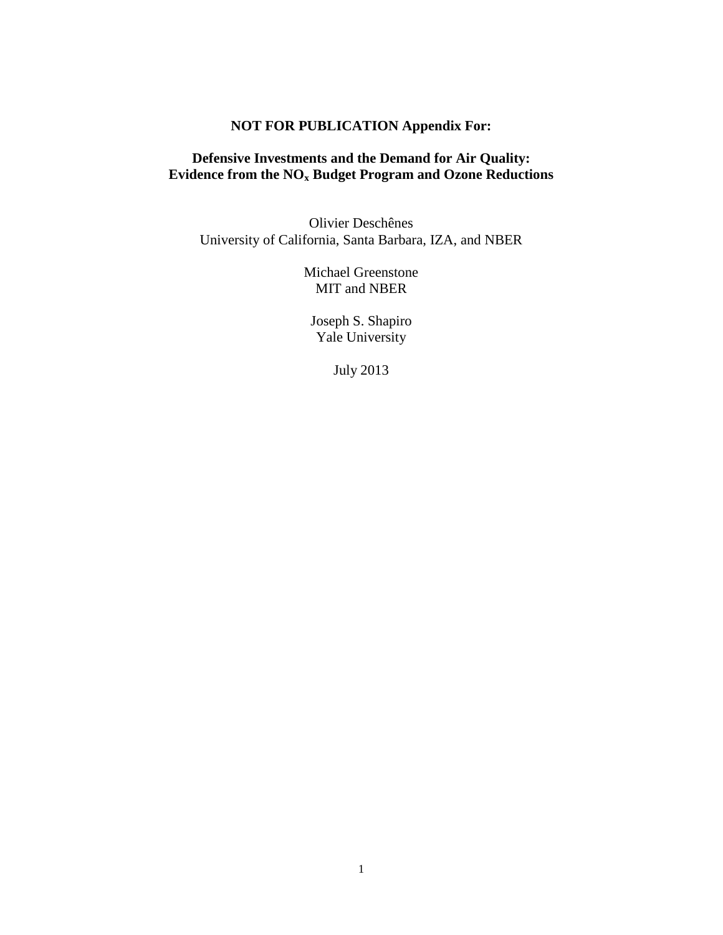# **NOT FOR PUBLICATION Appendix For:**

# **Defensive Investments and the Demand for Air Quality: Evidence from the NOx Budget Program and Ozone Reductions**

Olivier Deschênes University of California, Santa Barbara, IZA, and NBER

> Michael Greenstone MIT and NBER

Joseph S. Shapiro Yale University

July 2013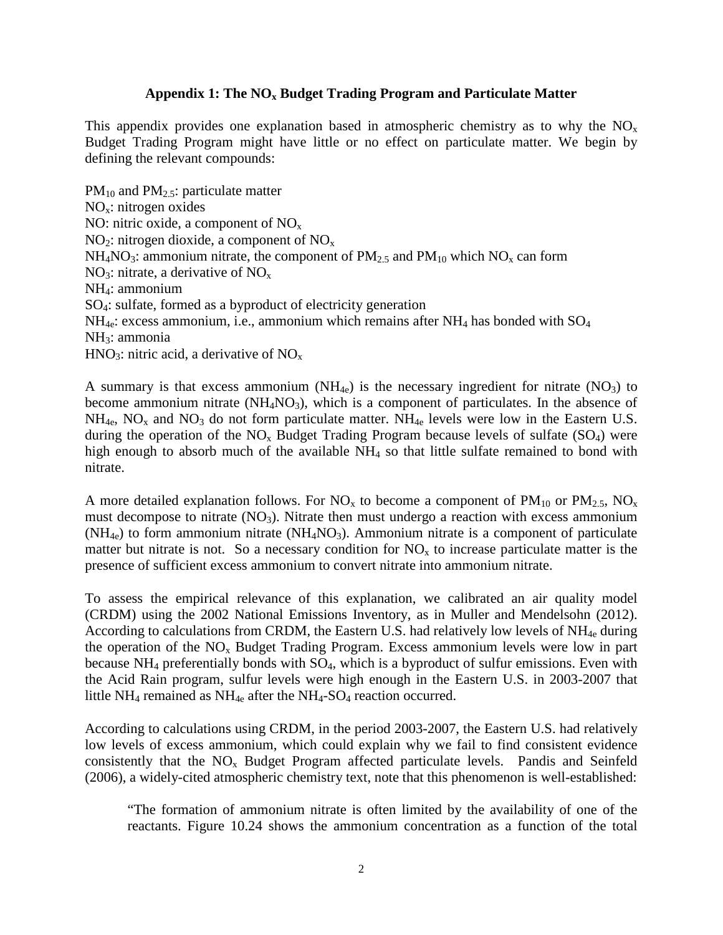#### Appendix 1: The NO<sub>x</sub> Budget Trading Program and Particulate Matter

This appendix provides one explanation based in atmospheric chemistry as to why the  $NO<sub>x</sub>$ Budget Trading Program might have little or no effect on particulate matter. We begin by defining the relevant compounds:

 $PM_{10}$  and  $PM_{2.5}$ : particulate matter  $NO<sub>x</sub>:$  nitrogen oxides NO: nitric oxide, a component of  $NO<sub>x</sub>$  $NO<sub>2</sub>$ : nitrogen dioxide, a component of  $NO<sub>x</sub>$  $NH_4NO_3$ : ammonium nitrate, the component of  $PM_{2.5}$  and  $PM_{10}$  which  $NO_x$  can form NO<sub>3</sub>: nitrate, a derivative of  $NO<sub>x</sub>$ NH4: ammonium SO4: sulfate, formed as a byproduct of electricity generation  $NH_{4e}$ : excess ammonium, i.e., ammonium which remains after  $NH_4$  has bonded with  $SO_4$ NH3: ammonia HNO<sub>3</sub>: nitric acid, a derivative of  $NO<sub>x</sub>$ 

A summary is that excess ammonium  $(NH_{4e})$  is the necessary ingredient for nitrate  $(NO_3)$  to become ammonium nitrate  $(NH_4NO_3)$ , which is a component of particulates. In the absence of  $NH_{4e}$ , NO<sub>x</sub> and NO<sub>3</sub> do not form particulate matter. NH<sub>4e</sub> levels were low in the Eastern U.S. during the operation of the  $NO<sub>x</sub>$  Budget Trading Program because levels of sulfate ( $SO<sub>4</sub>$ ) were high enough to absorb much of the available  $NH<sub>4</sub>$  so that little sulfate remained to bond with nitrate.

A more detailed explanation follows. For  $NO_x$  to become a component of  $PM_{10}$  or  $PM_{2.5}$ ,  $NO_x$ must decompose to nitrate  $(NO<sub>3</sub>)$ . Nitrate then must undergo a reaction with excess ammonium  $(NH_{4e})$  to form ammonium nitrate  $(NH_4NO_3)$ . Ammonium nitrate is a component of particulate matter but nitrate is not. So a necessary condition for  $NO<sub>x</sub>$  to increase particulate matter is the presence of sufficient excess ammonium to convert nitrate into ammonium nitrate.

To assess the empirical relevance of this explanation, we calibrated an air quality model (CRDM) using the 2002 National Emissions Inventory, as in Muller and Mendelsohn (2012). According to calculations from CRDM, the Eastern U.S. had relatively low levels of  $NH_{4e}$  during the operation of the  $NO<sub>x</sub>$  Budget Trading Program. Excess ammonium levels were low in part because  $NH_4$  preferentially bonds with  $SO_4$ , which is a byproduct of sulfur emissions. Even with the Acid Rain program, sulfur levels were high enough in the Eastern U.S. in 2003-2007 that little NH<sub>4</sub> remained as NH<sub>4e</sub> after the NH<sub>4</sub>-SO<sub>4</sub> reaction occurred.

According to calculations using CRDM, in the period 2003-2007, the Eastern U.S. had relatively low levels of excess ammonium, which could explain why we fail to find consistent evidence consistently that the  $NO<sub>x</sub>$  Budget Program affected particulate levels. Pandis and Seinfeld (2006), a widely-cited atmospheric chemistry text, note that this phenomenon is well-established:

"The formation of ammonium nitrate is often limited by the availability of one of the reactants. Figure 10.24 shows the ammonium concentration as a function of the total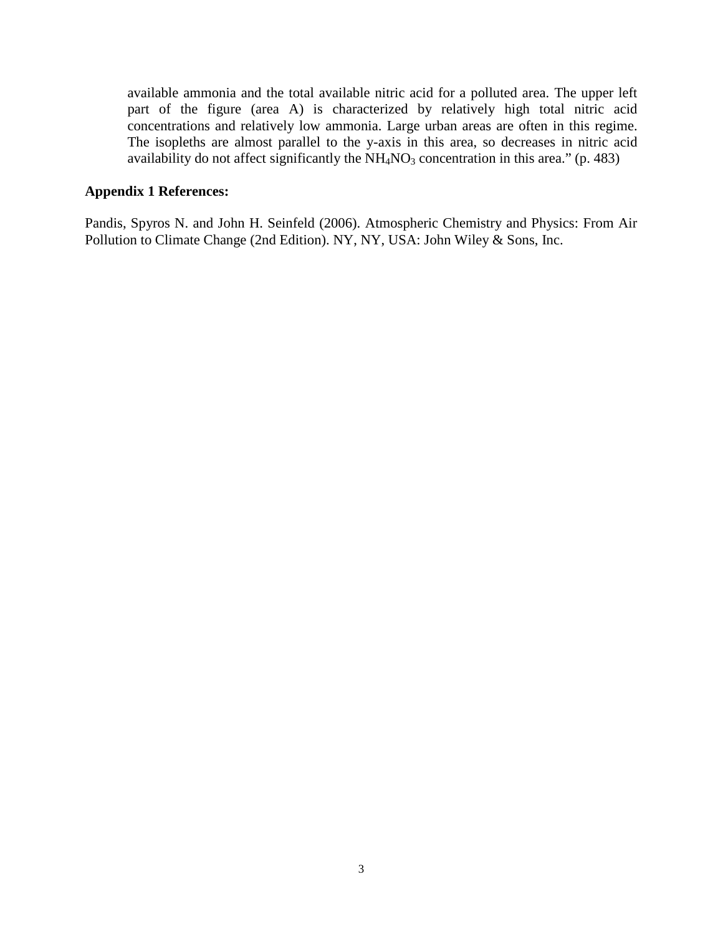available ammonia and the total available nitric acid for a polluted area. The upper left part of the figure (area A) is characterized by relatively high total nitric acid concentrations and relatively low ammonia. Large urban areas are often in this regime. The isopleths are almost parallel to the y-axis in this area, so decreases in nitric acid availability do not affect significantly the  $NH<sub>4</sub>NO<sub>3</sub>$  concentration in this area." (p. 483)

#### **Appendix 1 References:**

Pandis, Spyros N. and John H. Seinfeld (2006). Atmospheric Chemistry and Physics: From Air Pollution to Climate Change (2nd Edition). NY, NY, USA: John Wiley & Sons, Inc.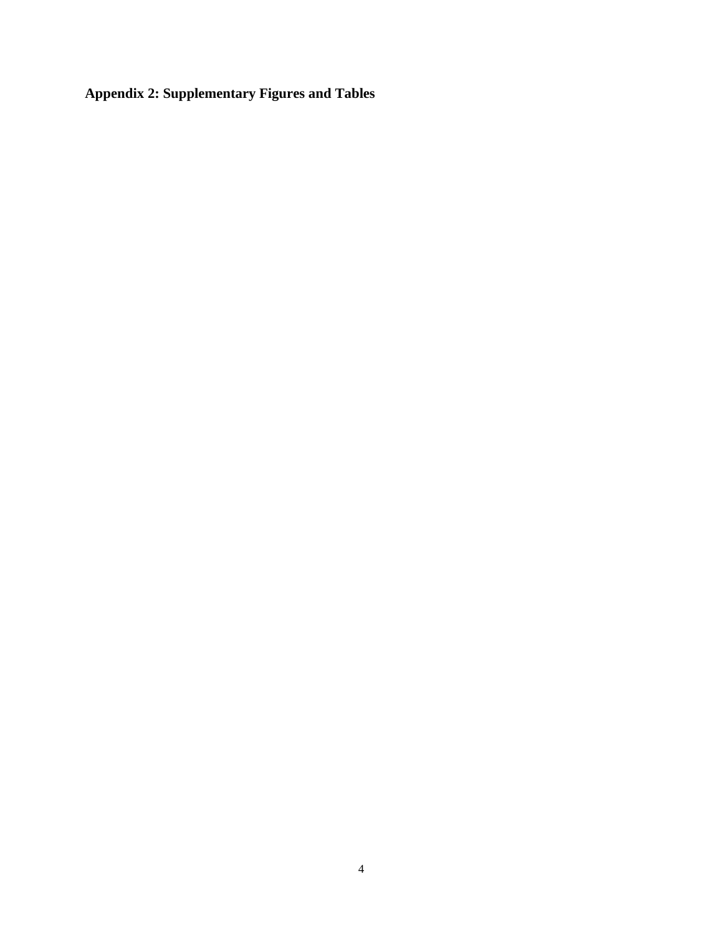**Appendix 2: Supplementary Figures and Tables**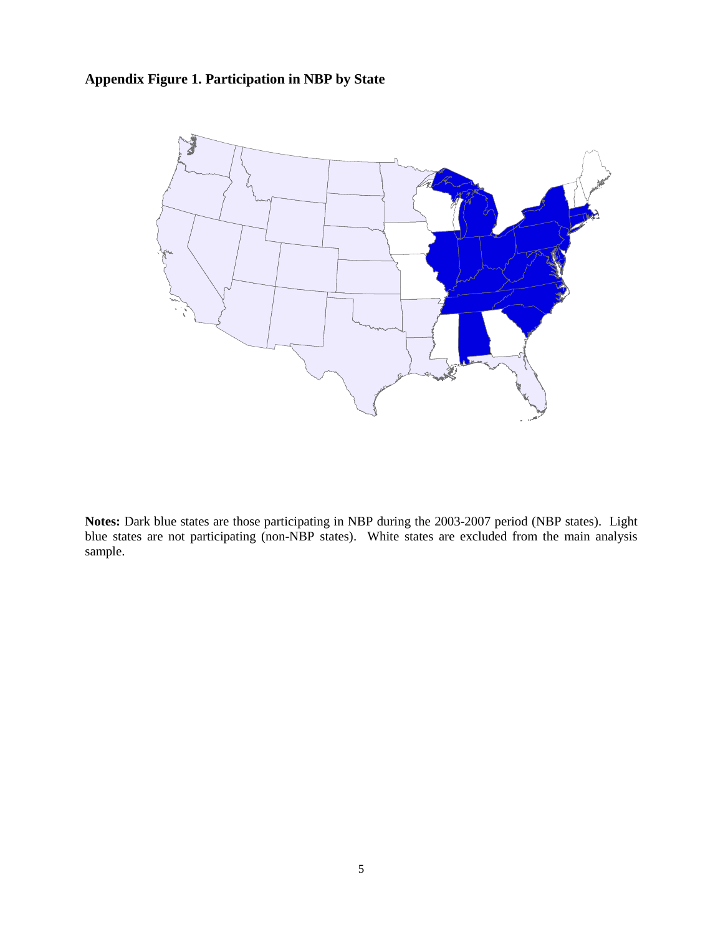# **Appendix Figure 1. Participation in NBP by State**



**Notes:** Dark blue states are those participating in NBP during the 2003-2007 period (NBP states). Light blue states are not participating (non-NBP states). White states are excluded from the main analysis sample.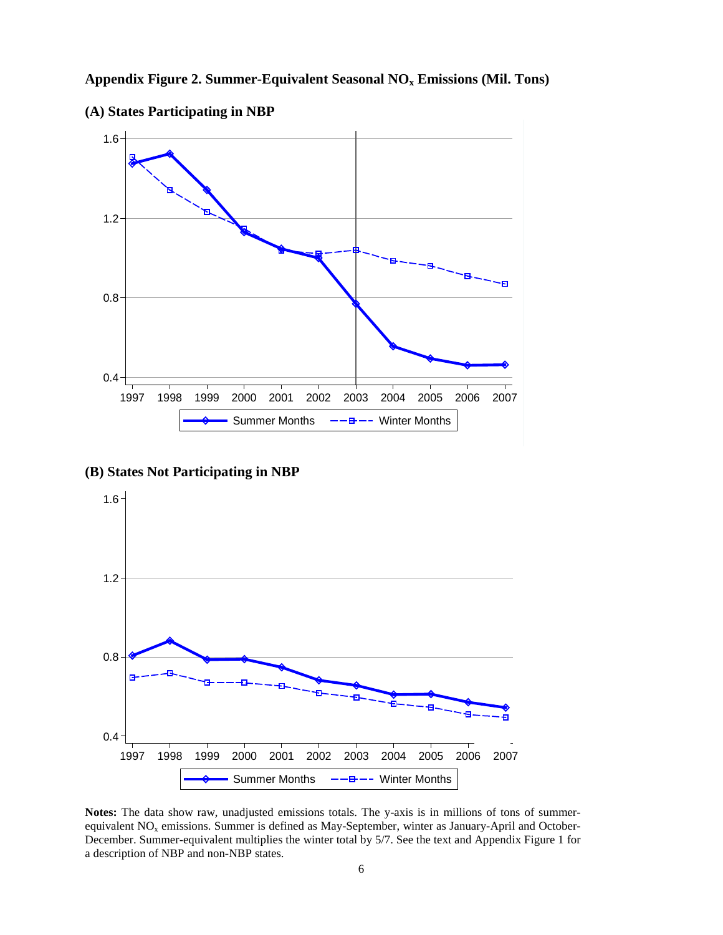



**(A) States Participating in NBP**

**(B) States Not Participating in NBP**



**Notes:** The data show raw, unadjusted emissions totals. The y-axis is in millions of tons of summerequivalent NO<sub>x</sub> emissions. Summer is defined as May-September, winter as January-April and October-December. Summer-equivalent multiplies the winter total by 5/7. See the text and Appendix Figure 1 for a description of NBP and non-NBP states.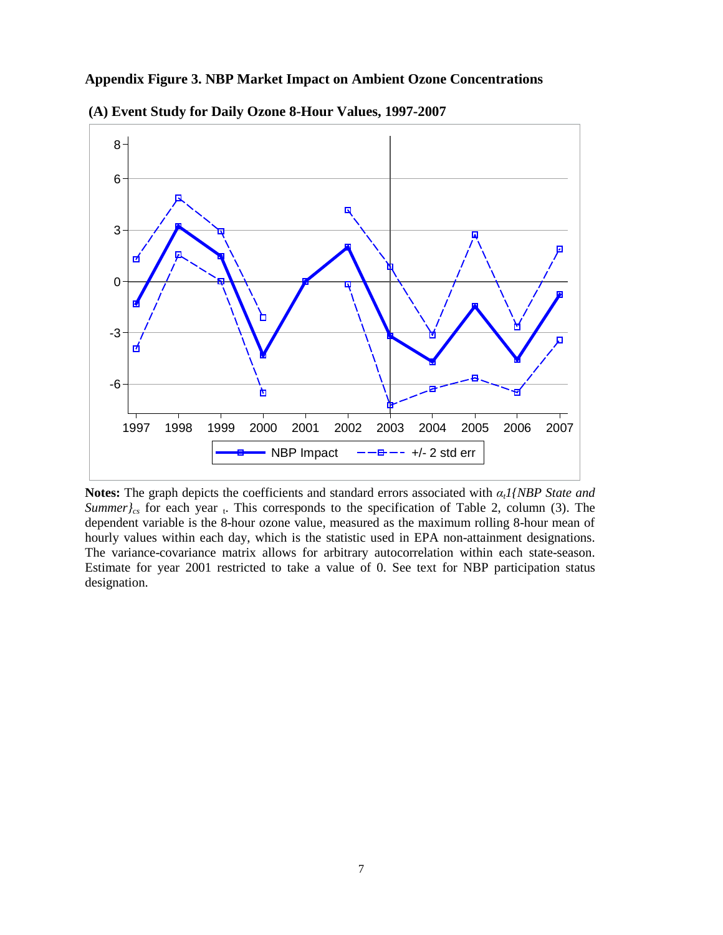#### **Appendix Figure 3. NBP Market Impact on Ambient Ozone Concentrations**





**Notes:** The graph depicts the coefficients and standard errors associated with *αt1{NBP State and Summer* $\int_{cs}$  for each year  $\cdot$ . This corresponds to the specification of Table 2, column (3). The dependent variable is the 8-hour ozone value, measured as the maximum rolling 8-hour mean of hourly values within each day, which is the statistic used in EPA non-attainment designations. The variance-covariance matrix allows for arbitrary autocorrelation within each state-season. Estimate for year 2001 restricted to take a value of 0. See text for NBP participation status designation.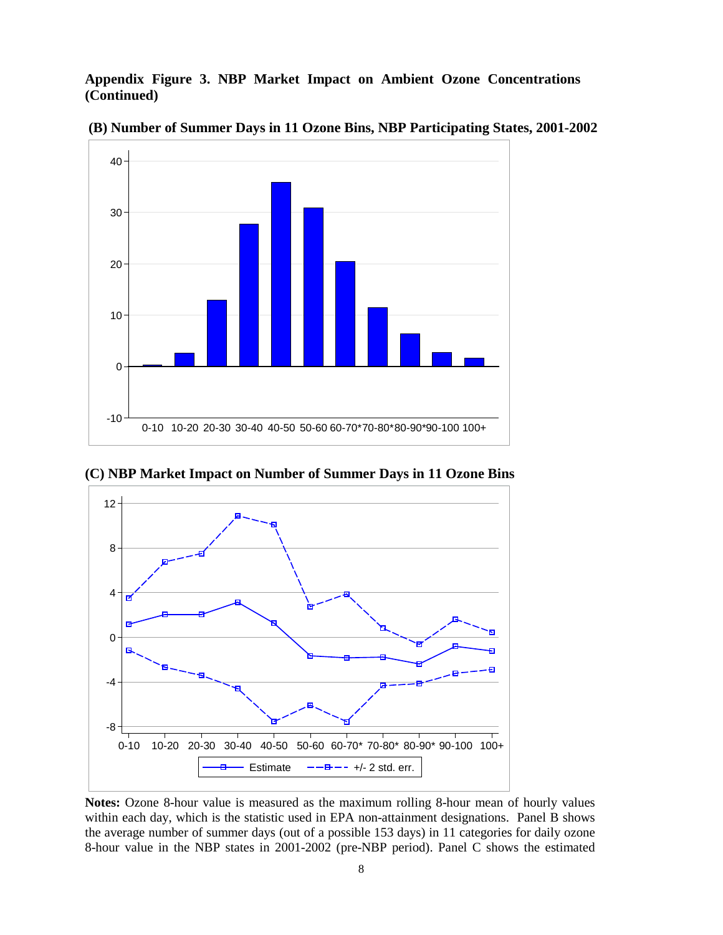**Appendix Figure 3. NBP Market Impact on Ambient Ozone Concentrations (Continued)**



**(B) Number of Summer Days in 11 Ozone Bins, NBP Participating States, 2001-2002**

**(C) NBP Market Impact on Number of Summer Days in 11 Ozone Bins**



**Notes:** Ozone 8-hour value is measured as the maximum rolling 8-hour mean of hourly values within each day, which is the statistic used in EPA non-attainment designations. Panel B shows the average number of summer days (out of a possible 153 days) in 11 categories for daily ozone 8-hour value in the NBP states in 2001-2002 (pre-NBP period). Panel C shows the estimated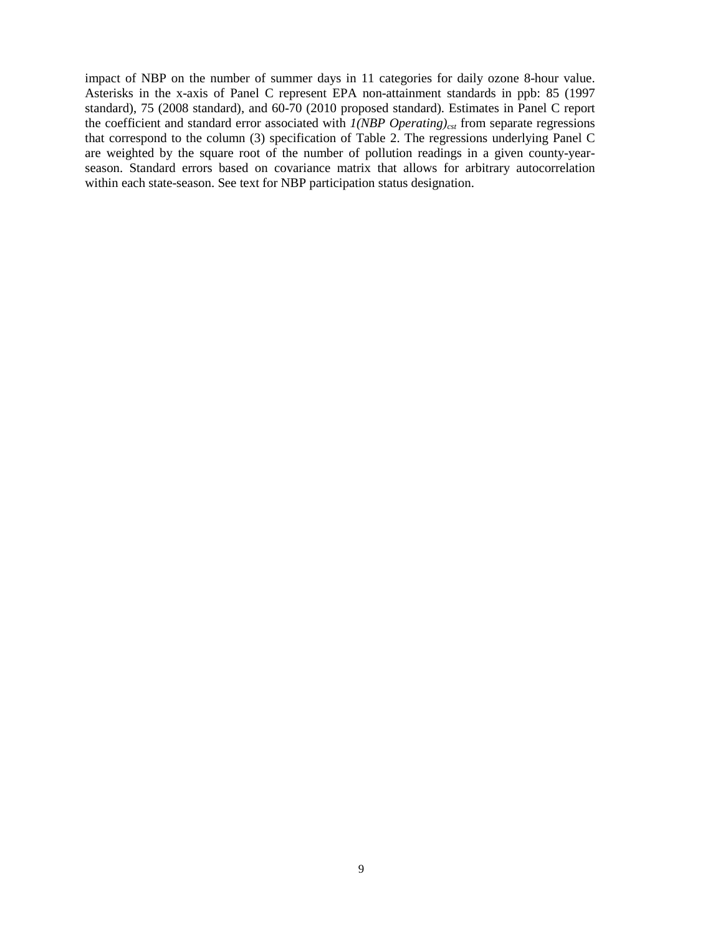impact of NBP on the number of summer days in 11 categories for daily ozone 8-hour value. Asterisks in the x-axis of Panel C represent EPA non-attainment standards in ppb: 85 (1997 standard), 75 (2008 standard), and 60-70 (2010 proposed standard). Estimates in Panel C report the coefficient and standard error associated with  $1(NBP$  Operating)<sub>cst</sub> from separate regressions that correspond to the column (3) specification of Table 2. The regressions underlying Panel C are weighted by the square root of the number of pollution readings in a given county-yearseason. Standard errors based on covariance matrix that allows for arbitrary autocorrelation within each state-season. See text for NBP participation status designation.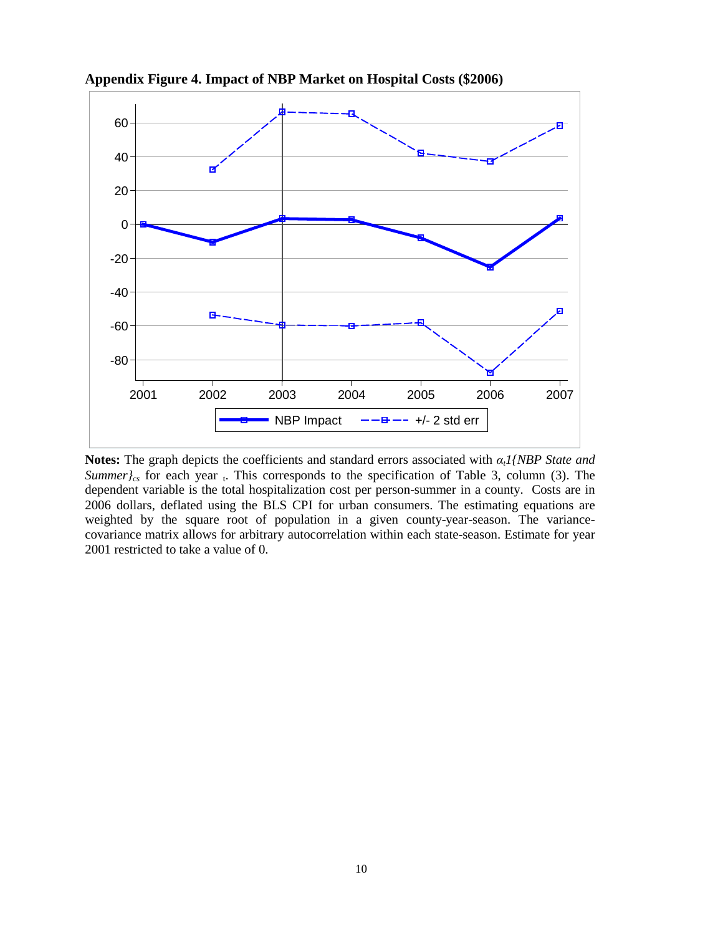

**Appendix Figure 4. Impact of NBP Market on Hospital Costs (\$2006)**

**Notes:** The graph depicts the coefficients and standard errors associated with *αt1{NBP State and Summer* $C_{cs}$  for each year  $\overline{t}$ . This corresponds to the specification of Table 3, column (3). The dependent variable is the total hospitalization cost per person-summer in a county. Costs are in 2006 dollars, deflated using the BLS CPI for urban consumers. The estimating equations are weighted by the square root of population in a given county-year-season. The variancecovariance matrix allows for arbitrary autocorrelation within each state-season. Estimate for year 2001 restricted to take a value of 0.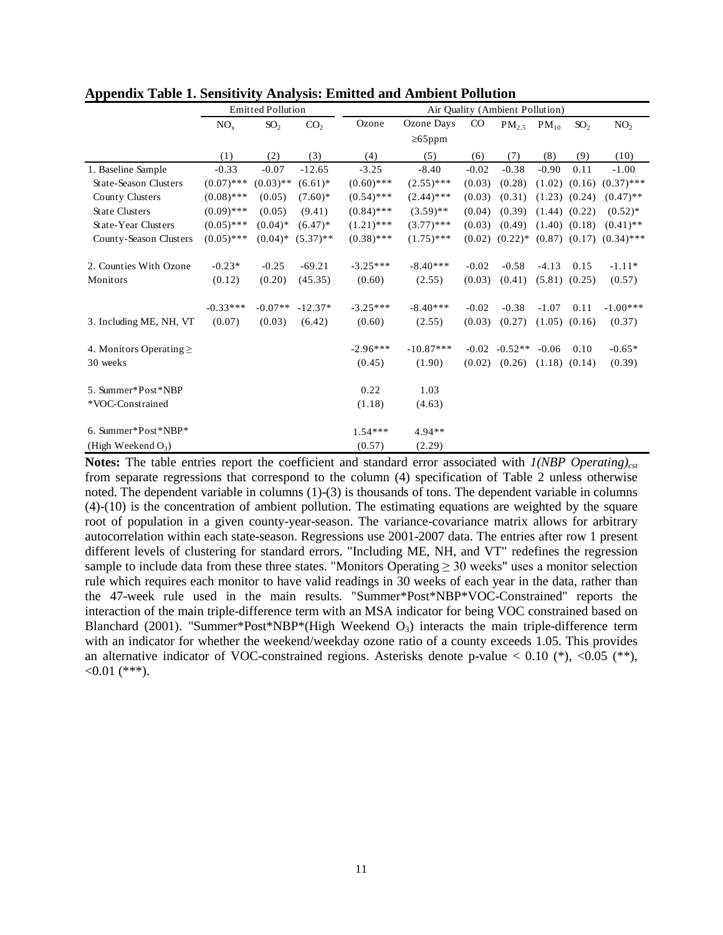|                              | <b>Emitted Pollution</b> |                 |                 | Air Quality (Ambient Pollution) |               |             |            |                   |                   |                 |
|------------------------------|--------------------------|-----------------|-----------------|---------------------------------|---------------|-------------|------------|-------------------|-------------------|-----------------|
|                              | NO <sub>x</sub>          | SO <sub>2</sub> | CO <sub>2</sub> | Ozone                           | Ozone Days    | $_{\rm CO}$ | $PM_{2.5}$ | $PM_{10}$         | SO <sub>2</sub>   | NO <sub>2</sub> |
|                              |                          |                 |                 |                                 | $\geq 65$ ppm |             |            |                   |                   |                 |
|                              | (1)                      | (2)             | (3)             | (4)                             | (5)           | (6)         | (7)        | (8)               | (9)               | (10)            |
| 1. Baseline Sample           | $-0.33$                  | $-0.07$         | $-12.65$        | $-3.25$                         | $-8.40$       | $-0.02$     | $-0.38$    | $-0.90$           | 0.11              | $-1.00$         |
| State-Season Clusters        | $(0.07)$ ***             | $(0.03)$ **     | $(6.61)^*$      | $(0.60)$ ***                    | $(2.55)$ ***  | (0.03)      | (0.28)     |                   | $(1.02)$ $(0.16)$ | $(0.37)$ ***    |
| County Clusters              | $(0.08)$ ***             | (0.05)          | $(7.60)*$       | $(0.54)$ ***                    | $(2.44)$ ***  | (0.03)      | (0.31)     |                   | $(1.23)$ $(0.24)$ | $(0.47)$ **     |
| <b>State Clusters</b>        | $(0.09)$ ***             | (0.05)          | (9.41)          | $(0.84)$ ***                    | $(3.59)$ **   | (0.04)      | (0.39)     | $(1.44)$ $(0.22)$ |                   | $(0.52)^*$      |
| State-Year Clusters          | $(0.05)$ ***             | $(0.04)$ *      | $(6.47)$ *      | $(1.21)$ ***                    | $(3.77)$ ***  | (0.03)      | (0.49)     |                   | $(1.40)$ $(0.18)$ | $(0.41)$ **     |
| County-Season Clusters       | $(0.05)$ ***             | $(0.04)$ *      | $(5.37)$ **     | $(0.38)$ ***                    | $(1.75)$ ***  | (0.02)      | $(0.22)$ * |                   | $(0.87)$ $(0.17)$ | $(0.34)$ ***    |
| 2. Counties With Ozone       | $-0.23*$                 | $-0.25$         | $-69.21$        | $-3.25***$                      | $-8.40***$    | $-0.02$     | $-0.58$    | $-4.13$           | 0.15              | $-1.11*$        |
| Monitors                     | (0.12)                   | (0.20)          | (45.35)         | (0.60)                          | (2.55)        | (0.03)      | (0.41)     |                   | $(5.81)$ $(0.25)$ | (0.57)          |
|                              | $-0.33***$               | $-0.07**$       | $-12.37*$       | $-3.25***$                      | $-8.40***$    | $-0.02$     | $-0.38$    | $-1.07$           | 0.11              | $-1.00***$      |
| 3. Including ME, NH, VT      | (0.07)                   | (0.03)          | (6.42)          | (0.60)                          | (2.55)        | (0.03)      | (0.27)     |                   | $(1.05)$ $(0.16)$ | (0.37)          |
| 4. Monitors Operating $\geq$ |                          |                 |                 | $-2.96***$                      | $-10.87***$   | $-0.02$     | $-0.52**$  | $-0.06$           | 0.10              | $-0.65*$        |
| 30 weeks                     |                          |                 |                 | (0.45)                          | (1.90)        | (0.02)      | (0.26)     |                   | $(1.18)$ $(0.14)$ | (0.39)          |
| 5. Summer*Post*NBP           |                          |                 |                 | 0.22                            | 1.03          |             |            |                   |                   |                 |
| *VOC-Constrained             |                          |                 |                 | (1.18)                          | (4.63)        |             |            |                   |                   |                 |
| 6. Summer*Post*NBP*          |                          |                 |                 | $1.54***$                       | 4.94**        |             |            |                   |                   |                 |
| (High Weekend $O_3$ )        |                          |                 |                 | (0.57)                          | (2.29)        |             |            |                   |                   |                 |

**Appendix Table 1. Sensitivity Analysis: Emitted and Ambient Pollution**

**Notes:** The table entries report the coefficient and standard error associated with  $1(NBP$  Operating)<sub>cst</sub> from separate regressions that correspond to the column (4) specification of Table 2 unless otherwise noted. The dependent variable in columns (1)-(3) is thousands of tons. The dependent variable in columns (4)-(10) is the concentration of ambient pollution. The estimating equations are weighted by the square root of population in a given county-year-season. The variance-covariance matrix allows for arbitrary autocorrelation within each state-season. Regressions use 2001-2007 data. The entries after row 1 present different levels of clustering for standard errors. "Including ME, NH, and VT" redefines the regression sample to include data from these three states. "Monitors Operating  $\geq$  30 weeks" uses a monitor selection rule which requires each monitor to have valid readings in 30 weeks of each year in the data, rather than the 47-week rule used in the main results. "Summer\*Post\*NBP\*VOC-Constrained" reports the interaction of the main triple-difference term with an MSA indicator for being VOC constrained based on Blanchard (2001). "Summer\*Post\*NBP\*(High Weekend  $O_3$ ) interacts the main triple-difference term with an indicator for whether the weekend/weekday ozone ratio of a county exceeds 1.05. This provides an alternative indicator of VOC-constrained regions. Asterisks denote p-value  $< 0.10$  (\*),  $< 0.05$  (\*\*),  $<0.01$  (\*\*\*).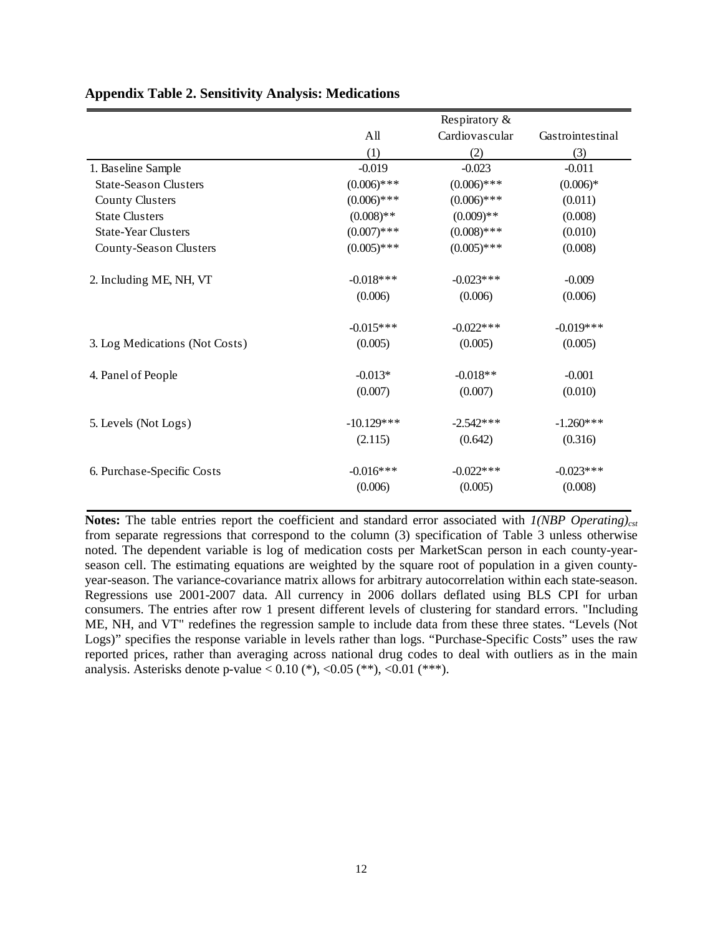|                                |               | Respiratory &  |                  |
|--------------------------------|---------------|----------------|------------------|
|                                | All           | Cardiovascular | Gastrointestinal |
|                                | (1)           | (2)            | (3)              |
| 1. Baseline Sample             | $-0.019$      | $-0.023$       | $-0.011$         |
| <b>State-Season Clusters</b>   | $(0.006)$ *** | $(0.006)$ ***  | $(0.006)*$       |
| <b>County Clusters</b>         | $(0.006)$ *** | $(0.006)$ ***  | (0.011)          |
| <b>State Clusters</b>          | $(0.008)**$   | $(0.009)**$    | (0.008)          |
| <b>State-Year Clusters</b>     | $(0.007)$ *** | $(0.008)$ ***  | (0.010)          |
| County-Season Clusters         | $(0.005)$ *** | $(0.005)$ ***  | (0.008)          |
| 2. Including ME, NH, VT        | $-0.018***$   | $-0.023***$    | $-0.009$         |
|                                | (0.006)       | (0.006)        | (0.006)          |
|                                | $-0.015***$   | $-0.022$ ***   | $-0.019***$      |
| 3. Log Medications (Not Costs) | (0.005)       | (0.005)        | (0.005)          |
| 4. Panel of People             | $-0.013*$     | $-0.018**$     | $-0.001$         |
|                                | (0.007)       | (0.007)        | (0.010)          |
| 5. Levels (Not Logs)           | $-10.129***$  | $-2.542***$    | $-1.260***$      |
|                                | (2.115)       | (0.642)        | (0.316)          |
| 6. Purchase-Specific Costs     | $-0.016***$   | $-0.022$ ***   | $-0.023***$      |
|                                | (0.006)       | (0.005)        | (0.008)          |

#### **Appendix Table 2. Sensitivity Analysis: Medications**

**Notes:** The table entries report the coefficient and standard error associated with *1(NBP Operating)<sub>cst</sub>* from separate regressions that correspond to the column (3) specification of Table 3 unless otherwise noted. The dependent variable is log of medication costs per MarketScan person in each county-yearseason cell. The estimating equations are weighted by the square root of population in a given countyyear-season. The variance-covariance matrix allows for arbitrary autocorrelation within each state-season. Regressions use 2001-2007 data. All currency in 2006 dollars deflated using BLS CPI for urban consumers. The entries after row 1 present different levels of clustering for standard errors. "Including ME, NH, and VT" redefines the regression sample to include data from these three states. "Levels (Not Logs)" specifies the response variable in levels rather than logs. "Purchase-Specific Costs" uses the raw reported prices, rather than averaging across national drug codes to deal with outliers as in the main analysis. Asterisks denote p-value <  $0.10$  (\*), < $0.05$  (\*\*), < $0.01$  (\*\*\*).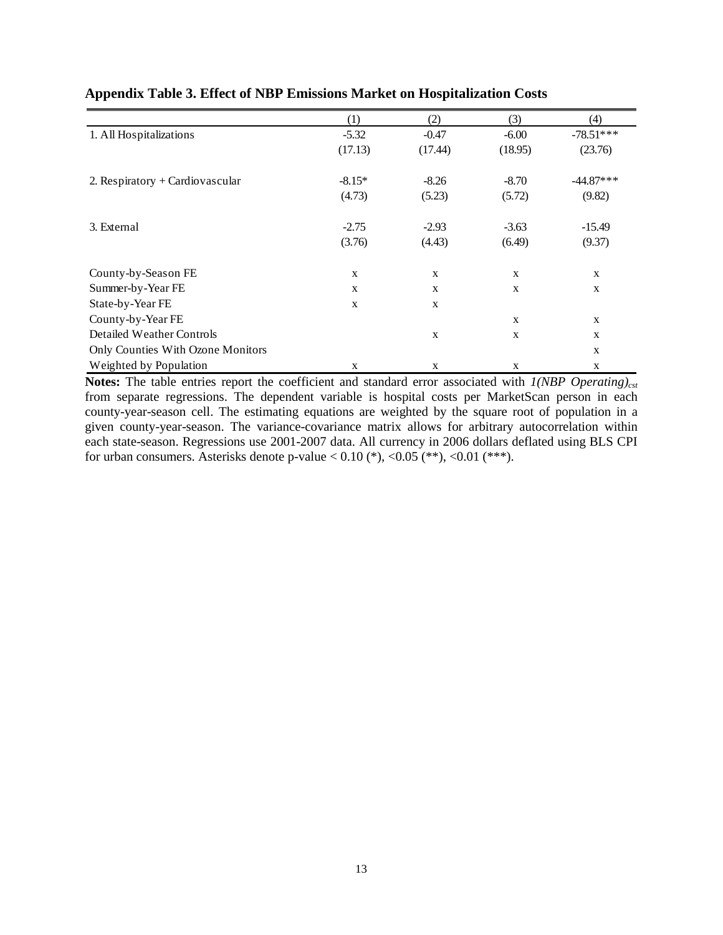|                                   | (1)         | (2)         | (3)         | (4)         |
|-----------------------------------|-------------|-------------|-------------|-------------|
| 1. All Hospitalizations           | $-5.32$     | $-0.47$     | $-6.00$     | $-78.51***$ |
|                                   | (17.13)     | (17.44)     | (18.95)     | (23.76)     |
| 2. Respiratory + Cardiovascular   | $-8.15*$    | $-8.26$     | $-8.70$     | $-44.87***$ |
|                                   | (4.73)      | (5.23)      | (5.72)      | (9.82)      |
| 3. External                       | $-2.75$     | $-2.93$     | $-3.63$     | $-15.49$    |
|                                   | (3.76)      | (4.43)      | (6.49)      | (9.37)      |
| County-by-Season FE               | X           | X           | X           | $\mathbf X$ |
| Summer-by-Year FE                 | X           | X           | $\mathbf X$ | X           |
| State-by-Year FE                  | $\mathbf X$ | X           |             |             |
| County-by-Year FE                 |             |             | X           | X           |
| Detailed Weather Controls         |             | X           | X           | X           |
| Only Counties With Ozone Monitors |             |             |             | X           |
| Weighted by Population            | X           | $\mathbf X$ | X           | $\mathbf X$ |

### **Appendix Table 3. Effect of NBP Emissions Market on Hospitalization Costs**

**Notes:** The table entries report the coefficient and standard error associated with *1(NBP Operating)<sub>cst</sub>* from separate regressions. The dependent variable is hospital costs per MarketScan person in each county-year-season cell. The estimating equations are weighted by the square root of population in a given county-year-season. The variance-covariance matrix allows for arbitrary autocorrelation within each state-season. Regressions use 2001-2007 data. All currency in 2006 dollars deflated using BLS CPI for urban consumers. Asterisks denote p-value  $< 0.10$  (\*),  $< 0.05$  (\*\*),  $< 0.01$  (\*\*\*).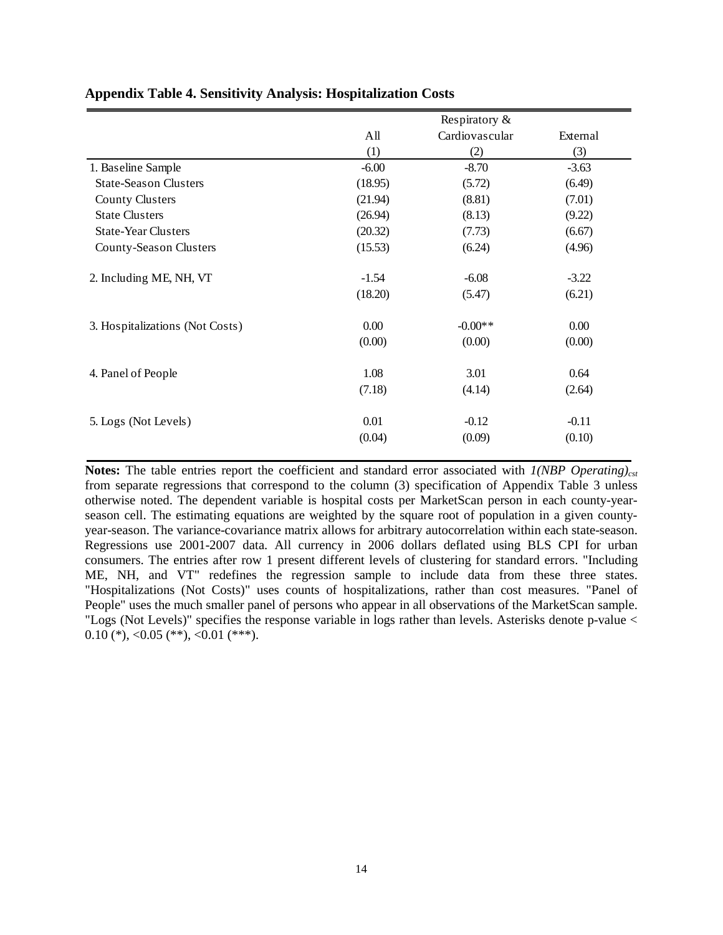|                                 | Respiratory & |                |          |  |  |
|---------------------------------|---------------|----------------|----------|--|--|
|                                 | All           | Cardiovascular | External |  |  |
|                                 | (1)           | (2)            | (3)      |  |  |
| 1. Baseline Sample              | $-6.00$       | $-8.70$        | $-3.63$  |  |  |
| <b>State-Season Clusters</b>    | (18.95)       | (5.72)         | (6.49)   |  |  |
| <b>County Clusters</b>          | (21.94)       | (8.81)         | (7.01)   |  |  |
| <b>State Clusters</b>           | (26.94)       | (8.13)         | (9.22)   |  |  |
| <b>State-Year Clusters</b>      | (20.32)       | (7.73)         | (6.67)   |  |  |
| County-Season Clusters          | (15.53)       | (6.24)         | (4.96)   |  |  |
| 2. Including ME, NH, VT         | $-1.54$       | $-6.08$        | $-3.22$  |  |  |
|                                 | (18.20)       | (5.47)         | (6.21)   |  |  |
| 3. Hospitalizations (Not Costs) | 0.00          | $-0.00**$      | 0.00     |  |  |
|                                 | (0.00)        | (0.00)         | (0.00)   |  |  |
| 4. Panel of People              | 1.08          | 3.01           | 0.64     |  |  |
|                                 | (7.18)        | (4.14)         | (2.64)   |  |  |
| 5. Logs (Not Levels)            | 0.01          | $-0.12$        | $-0.11$  |  |  |
|                                 | (0.04)        | (0.09)         | (0.10)   |  |  |

#### **Appendix Table 4. Sensitivity Analysis: Hospitalization Costs**

**Notes:** The table entries report the coefficient and standard error associated with *1(NBP Operating)<sub>cst</sub>* from separate regressions that correspond to the column (3) specification of Appendix Table 3 unless otherwise noted. The dependent variable is hospital costs per MarketScan person in each county-yearseason cell. The estimating equations are weighted by the square root of population in a given countyyear-season. The variance-covariance matrix allows for arbitrary autocorrelation within each state-season. Regressions use 2001-2007 data. All currency in 2006 dollars deflated using BLS CPI for urban consumers. The entries after row 1 present different levels of clustering for standard errors. "Including ME, NH, and VT" redefines the regression sample to include data from these three states. "Hospitalizations (Not Costs)" uses counts of hospitalizations, rather than cost measures. "Panel of People" uses the much smaller panel of persons who appear in all observations of the MarketScan sample. "Logs (Not Levels)" specifies the response variable in logs rather than levels. Asterisks denote p-value <  $0.10$  (\*), < $0.05$  (\*\*), < $0.01$  (\*\*\*).